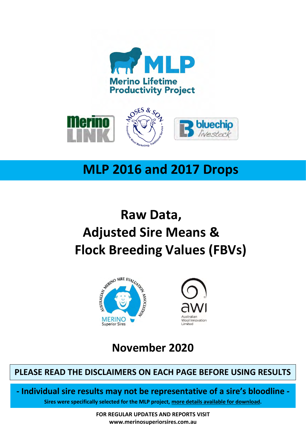



# **MLP 2016 and 2017 Drops**

# **Raw Data, Adjusted Sire Means & Flock Breeding Values (FBVs)**





**November 2020**

### **PLEASE READ THE DISCLAIMERS ON EACH PAGE BEFORE USING RESULTS**

**- Individual sire results may not be representative of a sire's bloodline -**

**Sires were specifically selected for the MLP project, [more details available for download.](https://merinosuperiorsires.com.au/wp-content/uploads/2020/05/MLP-Sire-Selection-Process-and-Stocktake-FINAL.pdf)**

**FOR REGULAR UPDATES AND REPORTS VISIT www.merinosuperiorsires.com.au**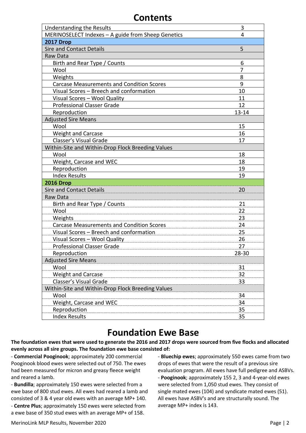#### **Contents**

| <b>Understanding the Results</b>                   | 3         |
|----------------------------------------------------|-----------|
| MERINOSELECT Indexes - A guide from Sheep Genetics | 4         |
| <b>2017 Drop</b>                                   |           |
| <b>Sire and Contact Details</b>                    | 5         |
| Raw Data                                           |           |
| Birth and Rear Type / Counts                       | 6         |
| Wool                                               | 7         |
| Weights                                            | 8         |
| <b>Carcase Measurements and Condition Scores</b>   | 9         |
| Visual Scores - Breech and conformation            | 10        |
| Visual Scores - Wool Quality                       | 11        |
| <b>Professional Classer Grade</b>                  | 12        |
| Reproduction                                       | $13 - 14$ |
| <b>Adjusted Sire Means</b>                         |           |
| Wool                                               | 15        |
| <b>Weight and Carcase</b>                          | 16        |
| Classer's Visual Grade                             | 17        |
| Within-Site and Within-Drop Flock Breeding Values  |           |
| Wool                                               | 18        |
| Weight, Carcase and WEC                            | 18        |
| Reproduction                                       | 19        |
| <b>Index Results</b>                               | 19        |
| <b>2016 Drop</b>                                   |           |
| <b>Sire and Contact Details</b>                    | 20        |
| Raw Data                                           |           |
| Birth and Rear Type / Counts                       | 21        |
| Wool                                               | 22        |
| Weights                                            | 23        |
| <b>Carcase Measurements and Condition Scores</b>   | 24        |
| Visual Scores - Breech and conformation            | 25        |
| Visual Scores - Wool Quality                       | 26        |
| <b>Professional Classer Grade</b>                  | 27        |
| Reproduction                                       | 28-30     |
| <b>Adjusted Sire Means</b>                         |           |
| Wool                                               | 31        |
| Weight and Carcase                                 | 32        |
| Classer's Visual Grade                             | 33        |
| Within-Site and Within-Drop Flock Breeding Values  |           |
| Wool                                               | 34        |
| Weight, Carcase and WEC                            | 34        |
| Reproduction                                       | 35        |
| <b>Index Results</b>                               | 35        |

## **Foundation Ewe Base**

**The foundation ewes that were used to generate the 2016 and 2017 drops were sourced from five flocks and allocated evenly across all sire groups. The foundation ewe base consisted of:**

- **Commercial Pooginook**; approximately 200 commercial Pooginook blood ewes were selected out of 750. The ewes had been measured for micron and greasy fleece weight and reared a lamb.

- **Bundilla**; approximately 150 ewes were selected from a ewe base of 800 stud ewes. All ewes had reared a lamb and consisted of 3 & 4 year old ewes with an average MP+ 140. - **Centre Plus**; approximately 150 ewes were selected from a ewe base of 350 stud ewes with an average MP+ of 158.

- **Bluechip ewes**; approximately 550 ewes came from two drops of ewes that were the result of a previous sire evaluation program. All ewes have full pedigree and ASBVs. - **Pooginook**; approximately 155 2, 3 and 4‐year‐old ewes were selected from 1,050 stud ewes. They consist of single mated ewes (104) and syndicate mated ewes (51). All ewes have ASBV's and are structurally sound. The average MP+ index is 143.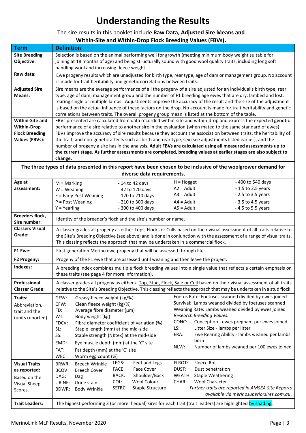# **Understanding the Results**

#### The sire results in this booklet include **Raw Data, Adjusted Sire Means and Within-Site and Within-Drop Flock Breeding Values (FBVs).**

| <b>Term</b>                                                                           | <b>Definition</b>                                                                                                                                                                                                                                                                                                                                                                                                                                                                                                                                                             |                                                                                                                                                                                                                                                                                                                                                                                                                |  |  |  |  |  |  |  |  |  |  |  |  |
|---------------------------------------------------------------------------------------|-------------------------------------------------------------------------------------------------------------------------------------------------------------------------------------------------------------------------------------------------------------------------------------------------------------------------------------------------------------------------------------------------------------------------------------------------------------------------------------------------------------------------------------------------------------------------------|----------------------------------------------------------------------------------------------------------------------------------------------------------------------------------------------------------------------------------------------------------------------------------------------------------------------------------------------------------------------------------------------------------------|--|--|--|--|--|--|--|--|--|--|--|--|
| <b>Site Breeding</b><br>Objective:                                                    | Selection is based on the animal performing well for growth (meeting minimum body weight suitable for<br>joining at 18 months of age) and being structurally sound with good wool quality traits, including long soft<br>handling wool and increasing fleece weight.                                                                                                                                                                                                                                                                                                          |                                                                                                                                                                                                                                                                                                                                                                                                                |  |  |  |  |  |  |  |  |  |  |  |  |
| Raw data:                                                                             | Ewe progeny results which are unadjusted for birth type, rear type, age of dam or management group. No account<br>is made for trait heritability and genetic correlations between traits.                                                                                                                                                                                                                                                                                                                                                                                     |                                                                                                                                                                                                                                                                                                                                                                                                                |  |  |  |  |  |  |  |  |  |  |  |  |
| <b>Adjusted Sire</b><br>Means:                                                        | Sire means are the average performance of all the progeny of a sire adjusted for an individual's birth type, rear<br>type, age of dam, management group and the number of F1 breeding age ewes that are dry, lambed and lost,<br>rearing single or multiple lambs. Adjustments improve the accuracy of the result and the size of the adjustment<br>is based on the actual influence of these factors on the drop. No account is made for trait heritability and genetic<br>correlations between traits. The overall progeny group mean is listed at the bottom of the table. |                                                                                                                                                                                                                                                                                                                                                                                                                |  |  |  |  |  |  |  |  |  |  |  |  |
| Within-Site and<br><b>Within-Drop</b>                                                 | FBVs presented are calculated from data recorded within-site and within-drop and express the expected genetic<br>performance of a sire relative to another sire in the evaluation (when mated to the same standard of ewes).                                                                                                                                                                                                                                                                                                                                                  |                                                                                                                                                                                                                                                                                                                                                                                                                |  |  |  |  |  |  |  |  |  |  |  |  |
| <b>Flock Breeding</b>                                                                 | FBVs improve the accuracy of sire results because they account the association between traits, the heritability of                                                                                                                                                                                                                                                                                                                                                                                                                                                            |                                                                                                                                                                                                                                                                                                                                                                                                                |  |  |  |  |  |  |  |  |  |  |  |  |
| <b>Values (FBVs):</b>                                                                 | the trait, and non-genetic affects such as birth and rear type, sex (see adjustments listed earlier), and the<br>number of progeny a sire has in the analysis. Adult FBVs are calculated using all measured assessments up to<br>the current stage. As further assessments are completed, breeding values at earlier stages are also subject to<br>change.<br>The three types of data presented in this report have been chosen to be inclusive of the woolgrower demand for                                                                                                  |                                                                                                                                                                                                                                                                                                                                                                                                                |  |  |  |  |  |  |  |  |  |  |  |  |
|                                                                                       | diverse data requirements.                                                                                                                                                                                                                                                                                                                                                                                                                                                                                                                                                    |                                                                                                                                                                                                                                                                                                                                                                                                                |  |  |  |  |  |  |  |  |  |  |  |  |
| Age at                                                                                | - 14 to 42 days<br>$M =$ Marking                                                                                                                                                                                                                                                                                                                                                                                                                                                                                                                                              | - 400 to 540 days<br>$H = Hogget$                                                                                                                                                                                                                                                                                                                                                                              |  |  |  |  |  |  |  |  |  |  |  |  |
| assessment:                                                                           | $W = Weaning$<br>- 42 to 120 days                                                                                                                                                                                                                                                                                                                                                                                                                                                                                                                                             | $A2 =$ Adult<br>$-1.5$ to 2.5 years                                                                                                                                                                                                                                                                                                                                                                            |  |  |  |  |  |  |  |  |  |  |  |  |
|                                                                                       | E = Early Post Weaning<br>- 120 to 210 days                                                                                                                                                                                                                                                                                                                                                                                                                                                                                                                                   | $A3 =$ Adult<br>- 2.5 to 3.5 years                                                                                                                                                                                                                                                                                                                                                                             |  |  |  |  |  |  |  |  |  |  |  |  |
|                                                                                       | $P = Post Weaning$<br>- 210 to 300 days                                                                                                                                                                                                                                                                                                                                                                                                                                                                                                                                       | $AA = Adult$<br>- 3.5 to 4.5 years                                                                                                                                                                                                                                                                                                                                                                             |  |  |  |  |  |  |  |  |  |  |  |  |
|                                                                                       | $Y = Yearing$<br>- 300 to 400 days                                                                                                                                                                                                                                                                                                                                                                                                                                                                                                                                            | $AS = Adult$<br>- 4.5 to 5.5 years                                                                                                                                                                                                                                                                                                                                                                             |  |  |  |  |  |  |  |  |  |  |  |  |
| <b>Breeders flock,</b><br>Sire number:                                                | Identity of the breeder's flock and the sire's number or name.                                                                                                                                                                                                                                                                                                                                                                                                                                                                                                                |                                                                                                                                                                                                                                                                                                                                                                                                                |  |  |  |  |  |  |  |  |  |  |  |  |
| <b>Classers Visual</b><br>Grade:                                                      | A classer grades all progeny as either Tops, Flocks or Culls based on their visual assessment of all traits relative to<br>the Site's Breeding Objective (see above) and is done in conjunction with the assessment of a range of visual traits.<br>This classing reflects the approach that may be undertaken in a commercial flock.                                                                                                                                                                                                                                         |                                                                                                                                                                                                                                                                                                                                                                                                                |  |  |  |  |  |  |  |  |  |  |  |  |
| F1 Ewe:                                                                               | First generation Merino ewe progeny that will be assessed through life.                                                                                                                                                                                                                                                                                                                                                                                                                                                                                                       |                                                                                                                                                                                                                                                                                                                                                                                                                |  |  |  |  |  |  |  |  |  |  |  |  |
| F2 Progeny:                                                                           | Progeny of the F1 ewe that are assessed until weaning and then leave the project.                                                                                                                                                                                                                                                                                                                                                                                                                                                                                             |                                                                                                                                                                                                                                                                                                                                                                                                                |  |  |  |  |  |  |  |  |  |  |  |  |
| Indexes:                                                                              | A breeding index combines multiple flock breeding values into a single value that reflects a certain emphasis on<br>these traits (see page 4 for more information).                                                                                                                                                                                                                                                                                                                                                                                                           |                                                                                                                                                                                                                                                                                                                                                                                                                |  |  |  |  |  |  |  |  |  |  |  |  |
| Professional<br><b>Classer Grade:</b>                                                 | A classer grades all progeny as either a Top, Stud, Flock, Sale or Cull based on their visual assessment of all traits<br>relative to the Site's Breeding Objective. This classing reflects the approach that may be undertaken in a stud flock.                                                                                                                                                                                                                                                                                                                              |                                                                                                                                                                                                                                                                                                                                                                                                                |  |  |  |  |  |  |  |  |  |  |  |  |
| Traits:<br>Abbreviation,<br>trait and the<br>(units reported)<br><b>Visual Traits</b> | GFW:<br>Greasy fleece weight (kg/%)<br>CFW:<br>Clean fleece weight (kg/%)<br>FD:<br>Average fibre diameter (µm)<br>WT:<br>Body weight (kg)<br>CONC:<br>FDCV:<br>Fibre diameter coefficient of variation (%)<br>LS:<br>Staple length (mm) at the mid-side<br>SL:<br>ERA:<br>SS:<br>Staple strength (NKtex) at the mid-side<br>EMD:<br>Eye muscle depth (mm) at the 'C' site<br>NLW:<br>FAT:<br>Fat depth (mm) at the 'C' site<br>WEC:<br>Worm egg count (%)<br>FLROT:<br>LEGS:<br>Feet and Legs<br><b>Breech Wrinkle</b><br>BRWR:                                              | Foetus Rate: Foetuses scanned divided by ewes joined<br>Survival: Lambs weaned divided by foetuses scanned<br>Weaning Rate: Lambs weaned divided by ewes joined<br><b>Research Breeding Values:</b><br>Conception - ewes pregnant per ewes joined<br>Litter Size - lambs per litter<br>Ewe Rearing Ability - lambs weaned per lambs<br>born<br>Number of lambs weaned per 100 ewes joined<br><b>Fleece Rot</b> |  |  |  |  |  |  |  |  |  |  |  |  |
| as reported:                                                                          | FACE:<br><b>Face Cover</b><br>DUST:<br>BCOV:<br><b>Breech Cover</b><br>BACK:<br>Shoulder/Back                                                                                                                                                                                                                                                                                                                                                                                                                                                                                 | Dust penetration<br>WEATH: Staple Weathering                                                                                                                                                                                                                                                                                                                                                                   |  |  |  |  |  |  |  |  |  |  |  |  |
| Based on the                                                                          | DAG:<br>Dag<br>Wool Colour<br>COL:<br>CHAR:<br>URINE:<br>Urine stain                                                                                                                                                                                                                                                                                                                                                                                                                                                                                                          | <b>Wool Character</b>                                                                                                                                                                                                                                                                                                                                                                                          |  |  |  |  |  |  |  |  |  |  |  |  |
| <b>Visual Sheep</b><br>Scores.                                                        | Staple Structure<br>SSTRC:<br>BDWR:<br>Body Wrinkle                                                                                                                                                                                                                                                                                                                                                                                                                                                                                                                           | Further traits are reported in AMSEA Site Reports                                                                                                                                                                                                                                                                                                                                                              |  |  |  |  |  |  |  |  |  |  |  |  |
|                                                                                       |                                                                                                                                                                                                                                                                                                                                                                                                                                                                                                                                                                               | available via merinosuperiorsires.com.au.                                                                                                                                                                                                                                                                                                                                                                      |  |  |  |  |  |  |  |  |  |  |  |  |
| <b>Trait Leaders:</b>                                                                 | The highest performing 3 (or more if equal) sires for each trait (trait leaders) are highlighted by shading.                                                                                                                                                                                                                                                                                                                                                                                                                                                                  |                                                                                                                                                                                                                                                                                                                                                                                                                |  |  |  |  |  |  |  |  |  |  |  |  |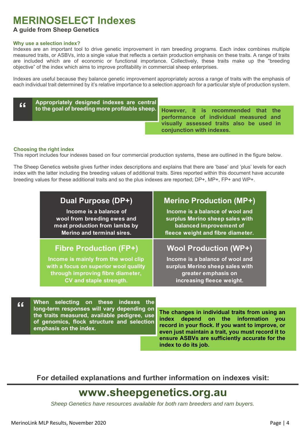# **MERINOSELECT Indexes**

#### **A guide from Sheep Genetics**

#### **Why use a selection index?**

Indexes are an important tool to drive genetic improvement in ram breeding programs. Each index combines multiple measured traits, or ASBVs, into a single value that reflects a certain production emphasis on these traits. A range of traits are included which are of economic or functional importance. Collectively, these traits make up the "breeding objective" of the index which aims to improve profitability in commercial sheep enterprises.

Indexes are useful because they balance genetic improvement appropriately across a range of traits with the emphasis of each individual trait determined by it's relative importance to a selection approach for a particular style of production system.

| 66 | Appropriately designed indexes are central |                                                                                                                              |
|----|--------------------------------------------|------------------------------------------------------------------------------------------------------------------------------|
|    |                                            | to the goal of breeding more profitable sheep. However, it is recommended that the<br>performance of individual measured and |
|    |                                            | visually assessed traits also be used in<br>conjunction with indexes.                                                        |

#### **Choosing the right index**

This report includes four indexes based on four commercial production systems, these are outlined in the figure below.

The Sheep Genetics website gives further index descriptions and explains that there are 'base' and 'plus' levels for each index with the latter including the breeding values of additional traits. Sires reported within this document have accurate breeding values for these additional traits and so the plus indexes are reported; DP+, MP+, FP+ and WP+.

| Dual Purpose (DP+)                    | <b>Merino Production (MP+)</b>    |
|---------------------------------------|-----------------------------------|
| Income is a balance of                | Income is a balance of wool and   |
| wool from breeding ewes and           | surplus Merino sheep sales with   |
| meat production from lambs by         | balanced improvement of           |
| <b>Merino and terminal sires.</b>     | fleece weight and fibre diameter. |
| <b>Fibre Production (FP+)</b>         | <b>Wool Production (WP+)</b>      |
| Income is mainly from the wool clip   | Income is a balance of wool and   |
| with a focus on superior wool quality | surplus Merino sheep sales with   |
| through improving fibre diameter,     | greater emphasis on               |
| CV and staple strength.               | increasing fleece weight.         |

**When selecting on these indexes the long-term responses will vary depending on the traits measured, available pedigree, use of genomics, flock structure and selection emphasis on the index. "**

**The changes in individual traits from using an index depend on the information you record in your flock. If you want to improve, or even just maintain a trait, you must record it to ensure ASBVs are sufficiently accurate for the index to do its job.**

**For detailed explanations and further information on indexes visit:**

# **www.sheepgenetics.org.au**

*Sheep Genetics have resources available for both ram breeders and ram buyers.*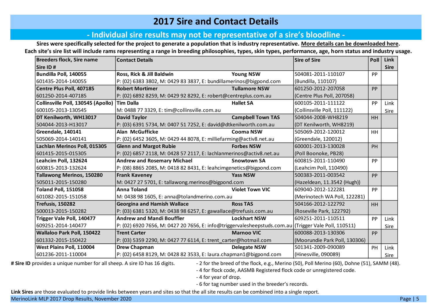#### **2017 Sire and Contact Details**

#### **‐ Individual sire results may not be representative of a sire's bloodline ‐**

**Sires were specifically selected for the project to generate a population that is industry representative. [More details can be downloaded here.](https://merinosuperiorsires.com.au/wp-content/uploads/2020/05/MLP-Sire-Selection-Process-and-Stocktake-FINAL.pdf) Each site's sire list will include rams representing a range in breeding philosophies, types, skin types, performance, age, horn status and industry usage.**

| <b>Breeders flock, Sire name</b>   | <b>Contact Details</b>                                                                               |                          | <b>Sire of Sire</b>           | Poll      | Link        |
|------------------------------------|------------------------------------------------------------------------------------------------------|--------------------------|-------------------------------|-----------|-------------|
| Sire ID#                           |                                                                                                      |                          |                               |           | <b>Sire</b> |
| Bundilla Poll, 140055              | Ross, Rick & Jill Baldwin                                                                            | <b>Young NSW</b>         | 504081-2011-110107            | PP        |             |
| 601435-2014-140055                 | P: (02) 6383 3802, M: 0429 83 3837, E: bundillamerinos@bigpond.com                                   |                          | (Bundilla, 110107)            |           |             |
| Centre Plus Poll, 407185           | <b>Robert Mortimer</b>                                                                               | <b>Tullamore NSW</b>     | 601250-2012-207058            | PP        |             |
| 601250-2014-407185                 | P: (02) 6892 8259, M: 0429 92 8292, E: robert@centreplus.com.au                                      |                          | (Centre Plus Poll, 207058)    |           |             |
| Collinsville Poll, 130545 (Apollo) | <b>Tim Dalla</b>                                                                                     | <b>Hallet SA</b>         | 600105-2011-111122            | PP        | Link        |
| 600105-2013-130545                 | M: 0488 77 3329, E: tim@collinsville.com.au                                                          |                          | (Collinsville Poll, 111122)   |           | Sire        |
| DT Kenilworth, WH13017             | <b>David Taylor</b>                                                                                  | <b>Campbell Town TAS</b> | 504044-2008-WH8219            | HH        |             |
| 504044-2013-H13017                 | P: (03) 6391 5734, M: 0407 51 7252, E: david@dtkenilworth.com.au                                     |                          | (DT Kenilworth, WH8219)       |           |             |
| Greendale, 140141                  | <b>Alan McGufficke</b>                                                                               | <b>Cooma NSW</b>         | 505069-2012-120012            | <b>HH</b> |             |
| 505069-2014-140141                 | P: (02) 6452 3605, M: 0429 44 8078, E: milliefarming@activ8.net.au                                   |                          | (Greendale, 120012)           |           |             |
| Lachlan Merinos Poll, 015305       | <b>Glenn and Margot Rubie</b>                                                                        | <b>Forbes NSW</b>        | 600001-2013-130028            | <b>PH</b> |             |
| 601415-2015-015305                 | P: (02) 6857 2118, M: 0428 57 2117, E: lachlanmerinos@activ8.net.au                                  |                          | (Poll Boonoke, PB28)          |           |             |
| Leahcim Poll, 132624               | <b>Andrew and Rosemary Michael</b>                                                                   | <b>Snowtown SA</b>       | 600815-2011-110490            | PP        |             |
| 600815-2013-132624                 | P: (08) 8865 2085, M: 0418 82 8431, E: leahcimgenetics@bigpond.com                                   |                          | (Leahcim Poll, 110490)        |           |             |
| <b>Tallawong Merinos, 150280</b>   | <b>Frank Kaveney</b>                                                                                 | <b>Yass NSW</b>          | 500383-2011-003542            | PP        |             |
| 505011-2015-150280                 | M: 0427 27 5701, E: tallawong.merinos@bigpond.com                                                    |                          | (Hazeldean, 11.3542 (Hugh))   |           |             |
| <b>Toland Poll, 151058</b>         | <b>Anna Toland</b>                                                                                   | <b>Violet Town VIC</b>   | 609040-2012-122281            | <b>PP</b> |             |
| 601082-2015-151058                 | M: 0438 98 1605, E: anna@tolandmerino.com.au                                                         |                          | (Merinotech WA Poll, 122281)  |           |             |
| Trefusis, 150282                   | <b>Georgina and Hamish Wallace</b>                                                                   | <b>Ross TAS</b>          | 504166-2012-122792            | HH        |             |
| 500013-2015-150282                 | P: (03) 6381 5320, M: 0438 98 6257, E: gawallace@trefusis.com.au                                     |                          | (Roseville Park, 122792)      |           |             |
| Trigger Vale Poll, 140477          | <b>Andrew and Mandi Bouffler</b>                                                                     | <b>Lockhart NSW</b>      | 609251-2011-110511            | PP        | Link        |
| 609251-2014-140477                 | P: (02) 6920 7656, M: 0427 20 7656, E: info@triggervalesheepstuds.com.au (Trigger Vale Poll, 110511) |                          |                               |           | Sire        |
| Wallaloo Park Poll, 150422         | <b>Trent Carter</b>                                                                                  | <b>Marnoo VIC</b>        | 600088-2013-130306            | PP        |             |
| 601332-2015-150422                 | P: (03) 5359 2290, M: 0427 77 6114, E: trent_carter@hotmail.com                                      |                          | (Moorundie Park Poll, 130306) |           |             |
| West Plains Poll, 110004           | <b>Drew Chapman</b>                                                                                  | <b>Delegate NSW</b>      | 501341-2009-090089            | PH        | Link        |
| 601236-2011-110004                 | P: (02) 6458 8129, M: 0428 82 3533, E: laura.chapman1@bigpond.com                                    |                          | (Hinesville, 090089)          |           | Sire        |

# Sire ID provides a unique number for all sheep. A sire ID has 16 digits.  $\blacksquare$  - 2 for the breed of the flock, e.g., Merino (50), Poll Merino (60), Dohne (51), SAMM (48).

- 4 for flock code, AASMB Registered flock code or unregistered code.

- 4 for year of drop.

- 6 for tag number used in the breeder's records.

**Link Sires** are those evaluated to provide links between years and sites so that the all site results can be combined into a single report.

MerinoLink MLP 2017 Drop Results, November 2020 Page | 5 April 2018 Page | 5 April 2019 Page | 5 April 2019 Page | 5 April 2019 Page | 5 April 2019 Page | 5 April 2019 Page | 5 April 2019 Page | 5 April 2019 Page | 5 April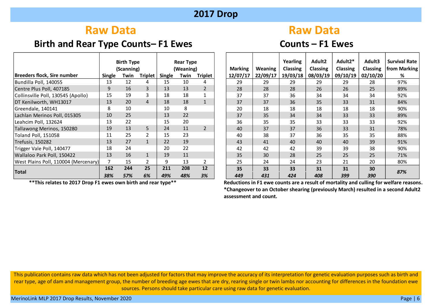# **Raw Data Raw Data Raw Data**

## **Birth and Rear Type Counts– F1 Ewes Counts – F1 Ewes**

|                                      |               | <b>Birth Type</b> |                |        | <b>Rear Type</b>       |                |                |                | Yearling        | Adult <sub>2</sub> | Adult2*         | Adult3          | Survival |
|--------------------------------------|---------------|-------------------|----------------|--------|------------------------|----------------|----------------|----------------|-----------------|--------------------|-----------------|-----------------|----------|
|                                      |               | (Scanning)        |                |        | (Weaning)              |                | <b>Marking</b> | <b>Weaning</b> | <b>Classing</b> | <b>Classing</b>    | <b>Classing</b> | <b>Classing</b> | from Mar |
| Breeders flock, Sire number          | <b>Single</b> | Twin              | <b>Triplet</b> | Single | <b>Triplet</b><br>Twin |                | 12/07/17       | 22/09/17       | 19/03/18        | 08/03/19           | 09/10/19        | 02/10/20        | %        |
| Bundilla Poll, 140055                | 13            | 12                | 4              | 15     | 10                     | 4              | 29             | 29             | 29              | 29                 | 29              | 28              | 97%      |
| Centre Plus Poll, 407185             | 9             | 16                | 3              | 13     | 13                     | $\overline{2}$ | 28             | 28             | 28              | 26                 | 26              | 25              | 89%      |
| Collinsville Poll, 130545 (Apollo)   | 15            | 19                |                | 18     | 18                     |                | 37             | 37             | 36              | 34                 | 34              | 34              | 92%      |
| DT Kenilworth, WH13017               | 13            | 20                | 4              | 18     | 18                     |                | 37             | 37             | 36              | 35                 | 33              | 31              | 84%      |
| Greendale, 140141                    | 8             | 10                |                | 10     | 8                      |                | 20             | 18             | 18              | 18                 | 18              | 18              | 90%      |
| Lachlan Merinos Poll, 015305         | 10            | 25                |                | 13     | 22                     |                | 37             | 35             | 34              | 34                 | 33              | 33              | 89%      |
| Leahcim Poll, 132624                 | 13            | 22                |                | 15     | 20                     |                | 36             | 35             | 35              | 33                 | 33              | 33              | 92%      |
| Tallawong Merinos, 150280            | 19            | 13                | 5.             | 24     | 11                     | $\overline{2}$ | 40             | 37             | 37              | 36                 | 33              | 31              | 78%      |
| Toland Poll, 151058                  | 11            | 25                |                | 15     | 23                     |                | 40             | 38             | 37              | 36                 | 35              | 35              | 88%      |
| Trefusis, 150282                     | 13            | 27                |                | 22     | 19                     |                | 43             | 41             | 40              | 40                 | 40              | 39              | 91%      |
| Trigger Vale Poll, 140477            | 18            | 24                |                | 20     | 22                     |                | 42             | 42             | 42              | 39                 | 39              | 38              | 90%      |
| Wallaloo Park Poll, 150422           | 13            | 16                |                | 19     | 11                     |                | 35             | 30             | 28              | 25                 | 25              | 25              | 71%      |
| West Plains Poll, 110004 (Mercenary) | 7             | 15                |                | q      | 13                     | $\overline{2}$ | 25             | 24             | 24              | 23                 | 21              | 20              | 80%      |
| <b>Total</b>                         | 162           | 244               | 25             | 211    | 208                    | 12             | 35             | 33             | 33              | 31                 | 31              | 30              | 87%      |
|                                      | 38%           | 57%               | 6%             | 49%    | 48%                    | 3%             | 449            | 431            | 424             | 408                | 399             | <b>390</b>      |          |

 **\*\*This relates to 2017 Drop F1 ewes own birth and rear type\*\***

| <b>Birth Type</b><br><b>Rear Type</b><br>(Scanning)<br>(Weaning) |      |                | <b>Marking</b> | Weaning | Yearling<br><b>Classing</b> | Adult2<br><b>Classing</b> | Adult2*<br><b>Classing</b> | Adult3<br><b>Classing</b> | <b>Survival Rate</b><br>from Marking |          |          |     |
|------------------------------------------------------------------|------|----------------|----------------|---------|-----------------------------|---------------------------|----------------------------|---------------------------|--------------------------------------|----------|----------|-----|
| <b>Single</b>                                                    | Twin | <b>Triplet</b> | <b>Single</b>  | Twin    | <b>Triplet</b>              | 12/07/17                  | 22/09/17                   | 19/03/18                  | 08/03/19                             | 09/10/19 | 02/10/20 | %   |
| 13                                                               | 12   | 4              | 15             | 10      | 4                           | 29                        | 29                         | 29                        | 29                                   | 29       | 28       | 97% |
| 9                                                                | 16   | 3              | 13             | 13      | 2                           | 28                        | 28                         | 28                        | 26                                   | 26       | 25       | 89% |
| 15                                                               | 19   | 3              | 18             | 18      |                             | 37                        | 37                         | 36                        | 34                                   | 34       | 34       | 92% |
| 13                                                               | 20   | $\overline{4}$ | 18             | 18      | $\mathbf{1}$                | 37                        | 37                         | 36                        | 35                                   | 33       | 31       | 84% |
| 8                                                                | 10   |                | 10             | 8       |                             | 20                        | 18                         | 18                        | 18                                   | 18       | 18       | 90% |
| 10                                                               | 25   |                | 13             | 22      |                             | 37                        | 35                         | 34                        | 34                                   | 33       | 33       | 89% |
| 13                                                               | 22   |                | 15             | 20      |                             | 36                        | 35                         | 35                        | 33                                   | 33       | 33       | 92% |
| 19                                                               | 13   | 5              | 24             | 11      | $\overline{2}$              | 40                        | 37                         | 37                        | 36                                   | 33       | 31       | 78% |
| 11                                                               | 25   | 2              | 15             | 23      |                             | 40                        | 38                         | 37                        | 36                                   | 35       | 35       | 88% |
| 13                                                               | 27   | $\mathbf{1}$   | 22             | 19      |                             | 43                        | 41                         | 40                        | 40                                   | 40       | 39       | 91% |
| 18                                                               | 24   |                | 20             | 22      |                             | 42                        | 42                         | 42                        | 39                                   | 39       | 38       | 90% |
| 13                                                               | 16   | $\mathbf{1}$   | 19             | 11      |                             | 35                        | 30                         | 28                        | 25                                   | 25       | 25       | 71% |
| 7                                                                | 15   | 2              | 9              | 13      | 2                           | 25                        | 24                         | 24                        | 23                                   | 21       | 20       | 80% |
| 162                                                              | 244  | 25             | 211            | 208     | 12                          | 35                        | 33                         | 33                        | 31                                   | 31       | 30       | 87% |
| 38%                                                              | 57%  | 6%             | 49%            | 48%     | 3%                          | 449                       | 431                        | 424                       | 408                                  | 399      | 390      |     |

**Reductions in F1 ewe counts are a result of mortality and culling for welfare reasons. \*Changeover to an October shearing (previously March) resulted in a second Adult2 assessment and count.**

This publication contains raw data which has not been adjusted for factors that may improve the accuracy of its interpretation for genetic evaluation purposes such as birth and rear type, age of dam and management group, the number of breeding age ewes that are dry, rearing single or twin lambs nor accounting for differences in the foundation ewe sources. Persons should take particular care using raw data for genetic evaluation.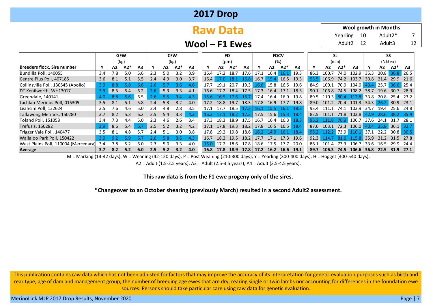| <b>2017 Drop</b> |  |
|------------------|--|
|------------------|--|

# **Raw Data**

Adult $2^*$  7 Adult3 12 **Wool growth in Months** Yearling 10 Adult2 12

**Wool – F1 Ewes**

|                                      |     | <b>GFW</b>      |     |     |     | <b>CFW</b> |       |                |      | FD        |          |                |       |      | <b>FDCV</b>    |                |      |              | SL    |                 |               |         | SS             |        |  |  |
|--------------------------------------|-----|-----------------|-----|-----|-----|------------|-------|----------------|------|-----------|----------|----------------|-------|------|----------------|----------------|------|--------------|-------|-----------------|---------------|---------|----------------|--------|--|--|
|                                      |     | (kg)            |     |     |     | (kg)       |       |                |      | $(\mu m)$ |          |                |       | (%)  |                |                |      | (mm)         |       |                 |               | (Nktex) |                |        |  |  |
| <b>Breeders flock, Sire number</b>   |     | A2*<br>A2<br>A3 |     |     |     | A2         | $A2*$ | A <sub>3</sub> |      | A2        | $A2*$    | A <sub>3</sub> |       | A2   | A2*            | A <sub>3</sub> |      | А2           | $A2*$ | A <sub>3</sub>  |               | A2      | $A2*$          | A3     |  |  |
| Bundilla Poll, 140055                | 3.4 | 7.8             | 5.0 | 5.6 | 2.3 | 5.0        | 3.2   | 3.9            | 16.4 | 17.2      | 18.7     | 17.6           | 17.1  | 16.4 | 16.1           | 19.3           | 86.3 | 100.7        | 74.0  | 102.9           | 35.3          | 20.8    | 36.8 26.5      |        |  |  |
| Centre Plus Poll, 407185             | 3.6 | 8.1             | 5.1 | 5.5 | 2.4 | 4.9        | 3.0   | 3.7            | 16.4 |           | 18.1     | 16.8           | 16.7  | 15.4 | 16.5           | 19.3           | 93.5 | 106.9        | 74.2  | 103.7           | 30.8          | 21.4    | 29.9           | 21.6   |  |  |
| Collinsville Poll, 130545 (Apollo)   | 3.9 | 8.8             | 5.8 | 6.6 | 2.6 |            | 3.6   | 4.6            | 17.7 | 19.1      | 20.7     | 19.3           | 16.67 | 15.8 | 16.5           | 19.6           | 84.9 | 100.1        | 70.9  | 104.0           | 43.4          | 25.7    | $36.6$ 25.4    |        |  |  |
| DT Kenilworth, WH13017               | 3.9 | 8.5             | 5.4 | 6.2 | 467 | 5.3        | 3.3   | 4.1            | 16.6 | 17.2      | 18.4     | 17.5           | 17.3  | 16.4 | 17.1           | 18.5           | 90.1 | 106.8        | 74.5  | 108.2           | 38.7          | 19.6    | 30.7           | 28.9   |  |  |
| Greendale, 140141                    | 4.0 | 8.8             | 5.6 | 6.5 | 2.6 |            | 3.4   | 4.3            | 15.6 | -16.5     | $-17.67$ | 16.7           | 17.4  | 16.4 | 16.9           | 19.8           | 89.5 | 110.3        | 80.4  | 112.8           | 33.8          | 20.8    | 25.4 23.2      |        |  |  |
| Lachlan Merinos Poll, 015305         | 3.5 | 8.1             | 5.1 | 5.8 | 2.4 | 5.3        | 3.2   | 4.0            | 17.2 | 18.8      | 19.7     | 18.3           | 17.8  | 16.9 | 17.7           | 19.8           | 89.0 | 101.2        |       | 70.4 101.3 34.3 |               |         | 26.2 30.9 23.1 |        |  |  |
| Leahcim Poll, 132624                 | 3.5 | 7.6             | 4.6 | 5.0 | 2.4 | 4.8        | 2.8   | 3.5            | 17.1 | 17.7      | 18.5     | 17.3           | 16 1  |      | 16.1           | 18.3           | 93.4 | 1111         | 74 1  | 103.9           | 34.7          | 19.4    | 25.6           | 24.8   |  |  |
| Tallawong Merinos, 150280            | 3.7 | 8.2             | 5.3 | 6.2 | 2.5 | 5.4        | 3.3   | 4.3            | 16.3 |           | 18.2     | 17.3           | 17.5  | 15.6 | 15.3           | -18.4          | 82.5 | 101.1        | 71.8  | 103.8           | 42.9          | 28.6    | 38.2           | - 35.9 |  |  |
| Toland Poll, 151058                  | 3.4 | 7.3             | 4.4 | 5.0 | 2.3 | 4.6        | 2.6   | 3.4            | 17.3 | 18.3      | 18.9     | 17.5           | 16.7  | 16.4 | 16.3           | 18.3           | 95.3 | 111.8        | 76.9  | 106.7           | 37.6          | 24.1    | 31.7           | 28.1   |  |  |
| Trefusis, 150282                     | 3.9 | 8.6             | 5.4 | 6.7 | 2.5 | 5.2        | 3.2   | 4.2            | 17.1 | 17.8      | 19.3     | $18.2$ 17.8    |       |      | 16.5 16.5 18.4 |                | 87.6 | 103.1        | 72.3  | 106.0           | 40.4          |         | 25.8 36.1 32.7 |        |  |  |
| Trigger Vale Poll, 140477            | 3.5 | 8.1             | 4.8 | 5.7 | 2.4 | 5.1        | 3.0   | 3.8            | 17.8 | 19.2      | 19.8     | 18.6           | 16.2  | 14.9 | -16.1          | -18.4          | 95.2 | $112.2$ 73.9 |       | 110.1           | $\sqrt{37.1}$ | 22.2    | 30.8 30.5      |        |  |  |
| Wallaloo Park Poll, 150422           | 3.9 | ຊາ              | 5.9 | 6.7 | 2.6 | 5.8        | 3.6   | 4.3            | 16.7 | 18.2      | 19.5     | 18.2           | 177   | 17.1 | 17.3           | 19.6           | 92.3 |              | -6    | 115.8           | 35.9          | 212     | 31.5           | 27.8   |  |  |
| West Plains Poll, 110004 (Mercenary) | 3.4 | 7.8             | 5.2 | 6.0 | 2.3 | 5.0        | 3.3   | 4.0            | 16.0 | 17.2      | 18.6     | 17.8           | 18.6  | 17.5 | 17.7           | 20.0           | 86.1 | 1014         | 73.3  | 106.7           | 33.6          | 16.5    | 29.9           | 24.4   |  |  |
| <b>Average</b>                       | 3.7 | 8.2             | 5.2 | 6.0 | 2.5 | 5.2        | 3.2   | 4.0            | 16.8 | 17.8      | 18.9     | $17.8$   17.2  |       | 16.2 | 16.6           | 19.1           | 89.7 | 106.3        | 74.5  | 106.6           | 36.8          | 22.5    | 31.9           | 27.1   |  |  |

M = Marking (14-42 days); W = Weaning (42-120 days); P = Post Weaning (210-300 days); Y = Yearling (300-400 days); H = Hogget (400-540 days);

A2 = Adult (1.5-2.5 years); A3 = Adult (2.5-3.5 years); A4 = Adult (3.5-4.5 years).

**This raw data is from the F1 ewe progeny only of the sires.**

#### **\*Changeover to an October shearing (previously March) resulted in a second Adult2 assessment.**

This publication contains raw data which has not been adjusted for factors that may improve the accuracy of its interpretation for genetic evaluation purposes such as birth and rear type, age of dam and management group, the number of breeding age ewes that are dry, rearing single or twin lambs nor accounting for differences in the foundation ewe sources. Persons should take particular care using raw data for genetic evaluation.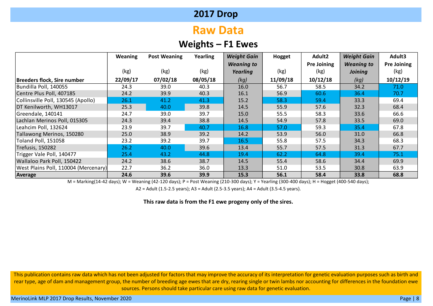# **Raw Data**

## **Weights – F1 Ewes**

|                                      | <b>Weaning</b> | <b>Post Weaning</b> | Yearling | <b>Weight Gain</b> | Hogget   | Adult2             | <b>Weight Gain</b> | Adult3      |
|--------------------------------------|----------------|---------------------|----------|--------------------|----------|--------------------|--------------------|-------------|
|                                      |                |                     |          | <b>Weaning to</b>  |          | <b>Pre Joining</b> | <b>Weaning to</b>  | Pre Joining |
|                                      | (kg)           | (kg)                | (kg)     | Yearling           | (kg)     | (kg)               | <b>Joining</b>     | (kg)        |
| Breeders flock, Sire number          | 22/09/17       | 07/02/18            | 08/05/18 | (kg)               | 11/09/18 | 10/12/18           | (kg)               | 10/12/19    |
| Bundilla Poll, 140055                | 24.3           | 39.0                | 40.3     | 16.0               | 56.7     | 58.5               | 34.2               | 71.0        |
| Centre Plus Poll, 407185             | 24.2           | 39.9                | 40.3     | 16.1               | 56.9     | 60.6               | 36.4               | 70.7        |
| Collinsville Poll, 130545 (Apollo)   | 26.1           | 41.2                | 41.3     | 15.2               | 58.3     | 59.4               | 33.3               | 69.4        |
| DT Kenilworth, WH13017               | 25.3           | 40.0                | 39.8     | 14.5               | 55.9     | 57.6               | 32.3               | 68.4        |
| Greendale, 140141                    | 24.7           | 39.0                | 39.7     | 15.0               | 55.5     | 58.3               | 33.6               | 66.6        |
| Lachlan Merinos Poll, 015305         | 24.3           | 39.4                | 38.8     | 14.5               | 54.9     | 57.8               | 33.5               | 69.0        |
| Leahcim Poll, 132624                 | 23.9           | 39.7                | 40.7     | 16.8               | 57.0     | 59.3               | 35.4               | 67.8        |
| Tallawong Merinos, 150280            | 25.0           | 38.9                | 39.2     | 14.2               | 53.9     | 56.0               | 31.0               | 66.8        |
| Toland Poll, 151058                  | 23.2           | 39.2                | 39.7     | 16.5               | 55.8     | 57.5               | 34.3               | 68.3        |
| Trefusis, 150282                     | 26.2           | 40.0                | 39.6     | 13.4               | 55.7     | 57.5               | 31.3               | 67.7        |
| Trigger Vale Poll, 140477            | 25.4           | 43.2                | 44.8     | 19.4               | 62.2     | 64.8               | 39.4               | 75.1        |
| Wallaloo Park Poll, 150422           | 24.2           | 38.6                | 38.7     | 14.5               | 55.4     | 58.6               | 34.4               | 69.9        |
| West Plains Poll, 110004 (Mercenary) | 22.7           | 36.2                | 36.0     | 13.3               | 51.0     | 53.5               | 30.8               | 63.9        |
| Average                              | 24.6           | 39.6                | 39.9     | 15.3               | 56.1     | 58.4               | 33.8               | 68.8        |

M = Marking(14-42 days); W = Weaning (42-120 days); P = Post Weaning (210-300 days); Y = Yearling (300-400 days); H = Hogget (400-540 days);

A2 = Adult (1.5-2.5 years); A3 = Adult (2.5-3.5 years); A4 = Adult (3.5-4.5 years).

**This raw data is from the F1 ewe progeny only of the sires.**

This publication contains raw data which has not been adjusted for factors that may improve the accuracy of its interpretation for genetic evaluation purposes such as birth and rear type, age of dam and management group, the number of breeding age ewes that are dry, rearing single or twin lambs nor accounting for differences in the foundation ewe sources. Persons should take particular care using raw data for genetic evaluation.

MerinoLink MLP 2017 Drop Results, November 2020 Page | 8 April 2017 Page | 8 April 2017 Page | 8 April 2017 Drop Results, November 2020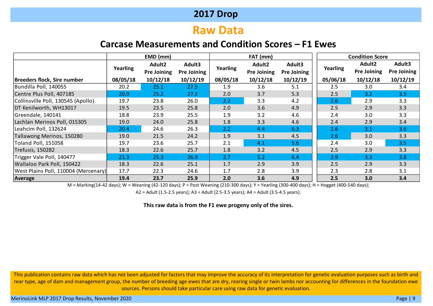# **Raw Data**

## **Carcase Measurements and Condition Scores – F1 Ewes**

|                                      |          | EMD (mm)           |                    |          | FAT (mm)           |             | <b>Condition Score</b> |                    |                    |  |  |  |
|--------------------------------------|----------|--------------------|--------------------|----------|--------------------|-------------|------------------------|--------------------|--------------------|--|--|--|
|                                      |          | Adult <sub>2</sub> | Adult3             |          | Adult2             | Adult3      |                        | Adult2             | Adult3             |  |  |  |
|                                      | Yearling | <b>Pre Joining</b> | <b>Pre Joining</b> | Yearling | <b>Pre Joining</b> | Pre Joining | Yearling               | <b>Pre Joining</b> | <b>Pre Joining</b> |  |  |  |
| <b>Breeders flock, Sire number</b>   | 08/05/18 | 10/12/18           | 10/12/19           | 08/05/18 | 10/12/18           | 10/12/19    | 05/06/18               | 10/12/18           | 10/12/19           |  |  |  |
| Bundilla Poll, 140055                | 20.2     | 25.1               | 27.5               | 1.9      | 3.6                | 5.1         | 2.5                    | 3.0                | 3.4                |  |  |  |
| Centre Plus Poll, 407185             | 20.9     | 25.2               | 27.2               | 2.0      | 3.7                | 5.3         | 2.5                    | 3.2                | 3.5                |  |  |  |
| Collinsville Poll, 130545 (Apollo)   | 19.7     | 23.8               | 26.0               | 2.2      | 3.3                | 4.2         | 2.6                    | 2.9                | 3.3                |  |  |  |
| DT Kenilworth, WH13017               | 19.5     | 23.5               | 25.8               | 2.0      | 3.6                | 4.9         | 2.5                    | 2.9                | 3.3                |  |  |  |
| Greendale, 140141                    | 18.8     | 23.9               | 25.5               | 1.9      | 3.2                | 4.6         | 2.4                    | 3.0                | 3.3                |  |  |  |
| Lachlan Merinos Poll, 015305         | 19.0     | 24.0               | 25.8               | 1.8      | 3.3                | 4.6         | 2.4                    | 2.9                | 3.4                |  |  |  |
| Leahcim Poll, 132624                 | 20.4     | 24.6               | 26.3               | 2.2      | 4.4                | 6.3         | 2.6                    | 3.1                | 3.6                |  |  |  |
| Tallawong Merinos, 150280            | 19.0     | 21.5               | 24.2               | 1.9      | 3.1                | 4.5         | 2.6                    | 3.0                | 3.3                |  |  |  |
| <b>Toland Poll, 151058</b>           | 19.7     | 23.6               | 25.7               | 2.1      | 4.1                | 5.6         | 2.4                    | 3.0                | 3.5                |  |  |  |
| Trefusis, 150282                     | 18.3     | 22.6               | 25.7               | 1.8      | 3.2                | 4.5         | 2.5                    | 2.9                | 3.3                |  |  |  |
| Trigger Vale Poll, 140477            | 21.3     | 25.3               | 26.9               | 2.7      | 5.2                | 6.4         | 2.9                    | 3.3                | 3.8                |  |  |  |
| Wallaloo Park Poll, 150422           | 18.3     | 22.6               | 25.1               | 1.7      | 2.9                | 3.9         | 2.5                    | 2.9                | 3.3                |  |  |  |
| West Plains Poll, 110004 (Mercenary) | 17.7     | 22.3               | 24.6               | 1.7      | 2.8                | 3.9         | 2.3                    | 2.8                | 3.1                |  |  |  |
| Average                              | 19.4     | 23.7               | 25.9               | 2.0      | 3.6                | 4.9         | 2.5                    | 3.0                | 3.4                |  |  |  |

M = Marking(14-42 days); W = Weaning (42-120 days); P = Post Weaning (210-300 days); Y = Yearling (300-400 days); H = Hogget (400-540 days);

A2 = Adult (1.5-2.5 years); A3 = Adult (2.5-3.5 years); A4 = Adult (3.5-4.5 years).

**This raw data is from the F1 ewe progeny only of the sires.**

This publication contains raw data which has not been adjusted for factors that may improve the accuracy of its interpretation for genetic evaluation purposes such as birth and rear type, age of dam and management group, the number of breeding age ewes that are dry, rearing single or twin lambs nor accounting for differences in the foundation ewe sources. Persons should take particular care using raw data for genetic evaluation.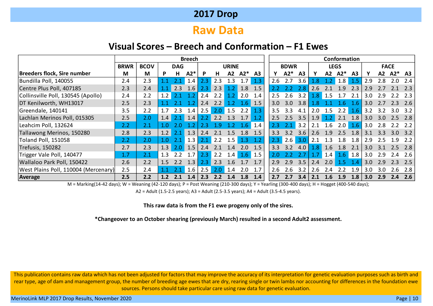# **Raw Data**

#### **Visual Scores – Breech and Conformation – F1 Ewes**

|                                      | <b>Breech</b> |             |     |                  |               |     |     |              |                  |                |     | Conformation |                |     |             |       |                |                  |                  |       |                |
|--------------------------------------|---------------|-------------|-----|------------------|---------------|-----|-----|--------------|------------------|----------------|-----|--------------|----------------|-----|-------------|-------|----------------|------------------|------------------|-------|----------------|
|                                      | <b>BRWR</b>   | <b>BCOV</b> |     | <b>DAG</b>       |               |     |     | <b>URINE</b> |                  |                |     | <b>BDWR</b>  |                |     | <b>LEGS</b> |       |                |                  | <b>FACE</b>      |       |                |
| Breeders flock, Sire number          | M             | M           | P   | $A2*$<br>H.<br>P |               |     | н   | A2           | $A2*$            | A <sub>3</sub> |     | $A2*$        | A <sub>3</sub> | ν   | A2          | $A2*$ | A <sub>3</sub> |                  | A2               | $A2*$ | A <sub>3</sub> |
| Bundilla Poll, 140055                | 2.4           | 2.3         |     |                  | $1.4^{\circ}$ | 2.3 | 2.3 |              |                  | 1.3            | 2.6 | 2.7          | 3.6            | 1.8 |             | 1.8   | 1.5            | 2.9              | 2.8              |       | 2.4            |
| Centre Plus Poll, 407185             | 2.3           | 2.4         |     | 2.3              | 1.6           | 2.3 | 2.3 | 1.2          | 1.8              | 1.5            |     |              | 2.8            | 2.6 |             | 1.9   | 2.3            | 2.9              |                  |       | 2.3            |
| Collinsville Poll, 130545 (Apollo)   | 2.4           | 2.2         | 1.2 |                  | 1.2           | 2.4 | 2.2 | 1.2          | 2.0              | 1.4            | 2.5 | 2.6          | 3.2            | 1.8 | 1.5         | 1.7   | 2.1            | 3.0              | 2.9              |       | 2.3            |
| DT Kenilworth, WH13017               | 2.5           | 2.3         |     |                  |               | 2.4 | 2.2 |              | 1.6              | 1.5            | 3.0 | 3.0          | 3.8            | .Χ  |             | .6    | .6             | 3.0              |                  | 2.3   | 2.6            |
| Greendale, 140141                    | 3.5           | 2.2         | 1.7 | 2.3              | 1.4           | 2.5 | 2.0 | 1.5          | 2.2              | 1.3            | 3.5 | 3.3          | 4.1            | 2.0 | 1.5         | 2.2   | 1.6            | 3.2              | 3.2              | 3.O   | 3.2            |
| Lachlan Merinos Poll, 015305         | 2.5           | 2.0         | 1.4 | 2.1              | 1.4           | 2.2 | 2.2 | 1.3          | 1.7              | 1.2            | 2.5 | 2.5          | 3.5            | 1.9 | 1.2         | 2.1   | 1.8            | 3.0 <sub>1</sub> | 3.0 <sub>1</sub> | 2.5   | 2.8            |
| Leahcim Poll, 132624                 | 2.2           | 2.1         | 1.0 |                  |               |     |     |              | 1.6 <sup>1</sup> | 1.4            | 2.3 |              | 3.2            | 2.1 | 1.6         | 2.0   | 1.6            | 3.0              | 2.8              |       | 2.2            |
| Tallawong Merinos, 150280            | 2.8           | 2.3         | 1.2 | 2.1              | 1.3           | 2.4 |     | 5            | 1.8              | 1.5            | 3.3 | 3.2          | 3.6            | 2.6 | 1.9         | 2.5   | 1.8            | 3.1              | 3.3 <sub>2</sub> | 3.0   | 3.2            |
| Toland Poll, 151058                  | 2.2           | 2.0         | 1.0 | 2.1              | 1.3           | 2.1 | 2.2 | 5            | 1.3              |                | 2.3 | 2.6          | 3.0            | 2.1 | 1.3         | 1.8   | 1.8            | 2.9              | 2.5              | 1.9   | 2.2            |
| Trefusis, 150282                     | 2.7           | 2.3         | 1.3 | 2.0              | 1.5           | 2.4 | 2.1 | 1.4          | 2.0              | 1.5            | 3.3 | 3.2          | 4.0            | 1.8 | 1.6         | 1.8   | 2.1            | 3.0 <sub>2</sub> | 3.1              | 2.5   | 2.8            |
| Trigger Vale Poll, 140477            | 1.7           | 2.1         | 1.3 |                  |               | 2.3 | 2.2 | 1.4          | $1.6-1$          | 1.5            | 2.0 |              | 2.7            | 1.7 | 1.4         |       | $1.6$ 1.8      | 3.0              | 2.9              | 2.4   | 2.6            |
| Wallaloo Park Poll, 150422           | 2.6           | 2.2         | 1.5 |                  | 1.3           | 2.3 | 2.3 | .6           |                  | 1.7            | 2.9 | 2.9          | 3.5            | 2.4 | 2.0         | 1.5   | 14             | 3.0              | 2.9              | 2 3   | 2.5            |
| West Plains Poll, 110004 (Mercenary) | 2.5           | 2.4         |     |                  | $1.6\,$       | 2.5 | 2.0 | 1.4          | 2.0              |                | 2.6 | 2.6          | 3.2            | 2.6 | 2.4         | 2.2   | 1.9            | 3.0              | 3.0              | 2.6   | 2.8            |
| Average                              | 2.5           | 2.2         | 1.2 | 2.1              | 1.4           | 2.3 | 2.2 | .4           | 1.8              | 1.4            | 2.7 | 2.7          | 3.4            | 2.1 | 1.6         | 1.9   | 1.8            | 3.0              | 2.9              | 2.4   | 2.6            |

M = Marking(14-42 days); W = Weaning (42-120 days); P = Post Weaning (210-300 days); Y = Yearling (300-400 days); H = Hogget (400-540 days);

A2 = Adult (1.5-2.5 years); A3 = Adult (2.5-3.5 years); A4 = Adult (3.5-4.5 years).

#### **This raw data is from the F1 ewe progeny only of the sires.**

**\*Changeover to an October shearing (previously March) resulted in a second Adult2 assessment.**

This publication contains raw data which has not been adjusted for factors that may improve the accuracy of its interpretation for genetic evaluation purposes such as birth and rear type, age of dam and management group, the number of breeding age ewes that are dry, rearing single or twin lambs nor accounting for differences in the foundation ewe sources. Persons should take particular care using raw data for genetic evaluation.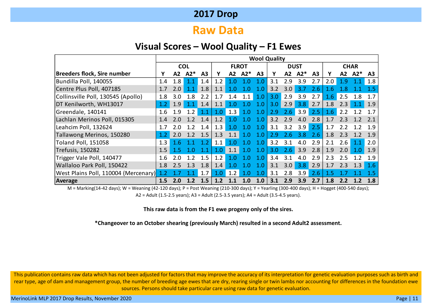## **Raw Data**

#### **Visual Scores – Wool Quality – F1 Ewes**

|                                      | <b>Wool Quality</b> |     |            |                |     |     |              |                |     |     |                  |                |         |     |             |     |
|--------------------------------------|---------------------|-----|------------|----------------|-----|-----|--------------|----------------|-----|-----|------------------|----------------|---------|-----|-------------|-----|
|                                      |                     |     | <b>COL</b> |                |     |     | <b>FLROT</b> |                |     |     | <b>DUST</b>      |                |         |     | <b>CHAR</b> |     |
| Breeders flock, Sire number          | γ                   | A2  | $A2*$      | A <sub>3</sub> | Υ   | A2  | $A2*$        | A <sub>3</sub> | Υ   | A2  | $A2*$            | A <sub>3</sub> | Υ       | A2  | $A2*$       | A3  |
| Bundilla Poll, 140055                | 1.4                 | 1.8 | 1.1        | 1.4            | 1.2 | 1.0 |              |                | 3.1 | 2.9 | 3.9              | 2.7            | 2.0     | 1.9 |             | 1.8 |
| Centre Plus Poll, 407185             | 1.7                 | 2.0 | 1.1        | 1.8            | 1.1 |     |              |                | 3.2 | 3.0 | 37               | 2.6            | 1.6     |     |             | 1.5 |
| Collinsville Poll, 130545 (Apollo)   | 1.8                 | 3.0 | 1.8        | 2.2            | 1.7 | 1.4 | 1.1          | 1.0            | 3.0 | 2.9 | 3.9              | 2.7            | 1.6     | 2.5 | 1.8         | 1.7 |
| DT Kenilworth, WH13017               | 1.2                 | 1.9 | 1.1        | 1.4            | 1.1 | 1.0 | 1.0          | 1.0            | 3.0 | 2.9 | 3.8              | 2.7            | 1.8     | 2.3 | 1.1         | 1.9 |
| Greendale, 140141                    | 1.6                 | 1.9 | 1.2        | 1.1            | 1.0 | 1.3 | 1.0          | 1.0            | 2.9 | 2.6 | 3.9              | 2.5            | 1.6     | 2.2 |             | 17  |
| Lachlan Merinos Poll, 015305         | 1.4                 | 2.0 | 1.2        | 1.4            | 1.2 | - റ | 1. $\Omega$  | 1.0            | 3.2 | 2.9 | 4.0              | 2.8            | 1.7     | 2.3 | 1.2         | 2.1 |
| Leahcim Poll, 132624                 | 1.7                 | 2.0 | 1.2        | 1.4            | 1.3 | 1.0 | 1.0          | 1.0            | 3.1 | 3.2 | 3.9 <sup>°</sup> | 2.5            | 1.7     | 2 Z |             | 1.9 |
| Tallawong Merinos, 150280            | 1.2                 | 2.0 | 1.2        | 1.5            | 1.3 |     | 1.0          | 1.0            | 2.9 | 2.6 | 3.8              | 2.6            | 1.8     | 2.3 | 1.2         | 1.9 |
| <b>Toland Poll, 151058</b>           | 1.3                 | 1.6 |            | - 2            | 1.1 |     | 1. $\Omega$  | 1.0            | 3.2 | 3.1 | 4.0              | 2.9            | 2.1     | 2.6 | 1.1         | 2.0 |
| <b>Trefusis, 150282</b>              | 1.5                 | 1.5 |            | 1.1            | 1.0 | 1.1 | 1.0          | 1.0            | 3.0 | 2.6 | 3.9              | 2.8            | 1.9     | 2.0 | 1.0         | 1.9 |
| Trigger Vale Poll, 140477            | 1.6                 | 2.0 |            | 1.5            | 1.2 | - റ | 1.0          | 1.0            | 3.4 | 3.1 | 4.0              | 2.9            | 2.3     | 2.5 | 1.2         | 1.9 |
| Wallaloo Park Poll, 150422           | 1.8                 | 2.5 | 1.3        | 1.8            | 1.4 | 1.0 | 1 በ          |                | 3.1 | 3.0 | 3.8              | 2.9            | 1.7     | 2.3 | 1.3         | 1.6 |
| West Plains Poll, 110004 (Mercenary) |                     |     |            | 1.7            | 1.0 | 1.2 | 1.0          |                | 3.1 | 2.8 | 3.9              | 2.6            | $1.5\,$ |     |             |     |
| Average                              | 1.5                 | 2.0 | 1.2        | 1.5            | 1.2 |     |              | 1.0            | 3.1 | 2.9 | 3.9              | 2.7            | 1.8     |     |             |     |

M = Marking(14-42 days); W = Weaning (42-120 days); P = Post Weaning (210-300 days); Y = Yearling (300-400 days); H = Hogget (400-540 days); A2 = Adult (1.5-2.5 years); A3 = Adult (2.5-3.5 years); A4 = Adult (3.5-4.5 years).

**This raw data is from the F1 ewe progeny only of the sires.**

**\*Changeover to an October shearing (previously March) resulted in a second Adult2 assessment.**

This publication contains raw data which has not been adjusted for factors that may improve the accuracy of its interpretation for genetic evaluation purposes such as birth and rear type, age of dam and management group, the number of breeding age ewes that are dry, rearing single or twin lambs nor accounting for differences in the foundation ewe sources. Persons should take particular care using raw data for genetic evaluation.

MerinoLink MLP 2017 Drop Results, November 2020 **Page | 11** November 2020 Page | 11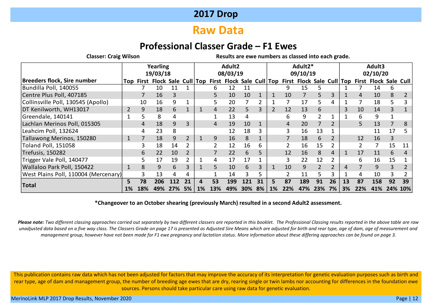# **Raw Data**

## **Professional Classer Grade – F1 Ewes**

**Classer: Craig Wilson Results are ewe numbers as classed into each grade.**

|                                      |           | Yearling<br>19/03/18                                                              |     |     |    | Adult2 |     |          |     |    | Adult2*        |     |          |               |    | Adult3 |     |                              |     |            |
|--------------------------------------|-----------|-----------------------------------------------------------------------------------|-----|-----|----|--------|-----|----------|-----|----|----------------|-----|----------|---------------|----|--------|-----|------------------------------|-----|------------|
|                                      |           |                                                                                   |     |     |    |        |     | 08/03/19 |     |    |                |     | 09/10/19 |               |    |        |     | 02/10/20                     |     |            |
| Breeders flock, Sire number          |           | Top First Flock Sale Cull Top First Flock Sale Cull Top First Flock Sale Cull Top |     |     |    |        |     |          |     |    |                |     |          |               |    |        |     | <b>First Flock Sale Cull</b> |     |            |
| Bundilla Poll, 140055                |           |                                                                                   | 10  |     |    |        | h   | 12       | 11  |    |                | 9   | 15       | 5             |    |        |     | 14                           |     |            |
| Centre Plus Poll, 407185             |           |                                                                                   | 16  | 3   |    |        |     | 10       | 10  |    |                | 10  | 7        | 5.            | 3  |        | 4   | 10                           | 8   |            |
| Collinsville Poll, 130545 (Apollo)   |           | 10                                                                                | 16  | 9   |    |        |     | 20       |     |    |                |     | 17       | 5.            | 4  |        |     | 18                           |     |            |
| DT Kenilworth, WH13017               |           | 9                                                                                 | 18  | 6   |    |        | 4   | 22       | 5   | 3  | $\overline{2}$ | 12  | 13       | 6             |    | 3      | 10  | 14                           |     |            |
| Greendale, 140141                    |           |                                                                                   | 8   | 4   |    |        |     | 13       | 4   |    |                | b   | 9        |               |    |        | 6.  | 9                            |     |            |
| Lachlan Merinos Poll, 015305         |           |                                                                                   | 18  | 9   |    |        |     | 19       | 10  |    |                | 4   | 20       |               |    |        |     | 13                           |     | 8          |
| Leahcim Poll, 132624                 |           |                                                                                   | 23  | 8   |    |        |     | 12       | 18  |    |                |     | 16       | 13            |    |        |     | 11                           | 17  |            |
| Tallawong Merinos, 150280            | 1         |                                                                                   | 18  | 9   |    |        | 9   | 16       | 8   |    |                |     | 18       | 6             |    |        | 12  | 16                           | 3   |            |
| Toland Poll, 151058                  |           | 3                                                                                 | 18  | 14  |    |        |     | 12       | 16  | 6  |                |     | 16       | 15            |    |        |     |                              | 15  | 11         |
| Trefusis, 150282                     |           | 6                                                                                 | 22  | 10  |    |        |     | 22       | 6   |    |                | 12  | 16       | 8             | 4  |        | 17  | 11                           | 6.  | 4          |
| Trigger Vale Poll, 140477            |           | 5.                                                                                | 17  | 19  |    |        | 4   | 17       | 17  |    |                | 3   | 22       | 12            |    |        | 6.  | 16                           | 15  |            |
| Wallaloo Park Poll, 150422           |           | 8                                                                                 | 9   | 6   | 3  |        | 5   | 10       | 6   |    |                | 10  | 9        | $\mathcal{P}$ |    | 4      |     | 9                            | 3   |            |
| West Plains Poll, 110004 (Mercenary) |           |                                                                                   | 13  | 4   | 4  |        |     | 14       | 3   | 5  |                |     | 11       | 5.            | 3  |        | 4   | 10                           | 3.  |            |
|                                      | 5         | 78                                                                                | 206 | 112 | 21 | 4      | 53  | 199      | 121 | 31 | 5.             | 87  | 189      | 91            | 26 | 13     | 87  | 158                          | 92  | 39         |
| <b>Total</b>                         | <b>1%</b> | 18%                                                                               | 49% |     | 5% | 1%     | 13% | 49%      | 30% | 8% | 1%             | 22% | 47%      | 23%           | 7% | 3%     | 22% | 41%                          | 24% | <b>10%</b> |

#### **\*Changeover to an October shearing (previously March) resulted in a second Adult2 assessment.**

*Please note: Two different classing approaches carried out separately by two different classers are reported in this booklet. The Professional Classing results reported in the above table are raw unadjusted data based on a five way class. The Classers Grade on page 17 is presented as Adjusted Sire Means which are adjusted for birth and rear type, age of dam, age of measurement and management group, however have not been made for F1 ewe pregnancy and lactation status. More information about these differing approaches can be found on page 3.*

This publication contains raw data which has not been adjusted for factors that may improve the accuracy of its interpretation for genetic evaluation purposes such as birth and rear type, age of dam and management group, the number of breeding age ewes that are dry, rearing single or twin lambs nor accounting for differences in the foundation ewe sources. Persons should take particular care using raw data for genetic evaluation.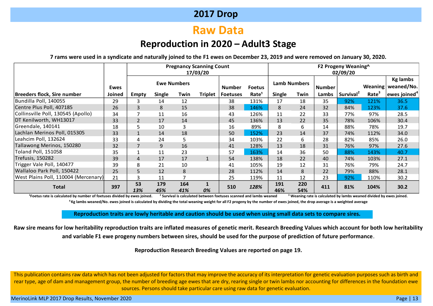# **Raw Data**

## **Reproduction in 2020 – Adult3 Stage**

**7 rams were used in a syndicate and naturally joined to the F1 ewes on December 23, 2019 and were removed on January 30, 2020.**

|                                      |        |                |            |                    | <b>Pregnancy Scanning Count</b><br>17/03/20 |                 |                   |                     |            |               | F2 Progeny Weaning^<br>02/09/20 |                   |                          |
|--------------------------------------|--------|----------------|------------|--------------------|---------------------------------------------|-----------------|-------------------|---------------------|------------|---------------|---------------------------------|-------------------|--------------------------|
|                                      |        |                |            | <b>Ewe Numbers</b> |                                             |                 |                   | <b>Lamb Numbers</b> |            |               |                                 |                   | <b>Kg lambs</b>          |
|                                      | Ewes   |                |            |                    |                                             | <b>Number</b>   | <b>Foetus</b>     |                     |            | <b>Number</b> |                                 |                   | Weaning   weaned/No.     |
| Breeders flock, Sire number          | Joined | Empty          | Single     | Twin               | Triplet                                     | <b>Foetuses</b> | Rate <sup>1</sup> | <b>Single</b>       | Twin       | Lambs         | Survival <sup>2</sup>           | Rate <sup>3</sup> | ewes joined <sup>4</sup> |
| Bundilla Poll, 140055                | 29     | 3              | 14         | 12                 |                                             | 38              | 131%              | 17                  | 18         | 35            | 92%                             | 121%              | 36.5                     |
| Centre Plus Poll, 407185             | 26     | 3              | 8          | 15                 |                                             | 38              | 146%              | 8                   | 24         | 32            | 84%                             | 123%              | 37.6                     |
| Collinsville Poll, 130545 (Apollo)   | 34     |                | 11         | 16                 |                                             | 43              | 126%              | 11                  | 22         | 33            | 77%                             | 97%               | 28.5                     |
| DT Kenilworth, WH13017               | 33     | $\overline{2}$ | 17         | 14                 |                                             | 45              | 136%              | 13                  | 22         | 35            | 78%                             | 106%              | 30.4                     |
| Greendale, 140141                    | 18     | 5              | 10         | 3                  |                                             | 16              | 89%               | 8                   | 6          | 14            | 88%                             | 78%               | 19.7                     |
| Lachlan Merinos Poll, 015305         | 33     |                | 14         | 18                 |                                             | 50              | 152%              | 23                  | 14         | 37            | 74%                             | 112%              | 34.0                     |
| Leahcim Poll, 132624                 | 33     | 4              | 24         | 5                  |                                             | 34              | 103%              | 22                  | 6          | 28            | 82%                             | 85%               | 26.0                     |
| Tallawong Merinos, 150280            | 32     |                | 9          | 16                 |                                             | 41              | 128%              | 13                  | 18         | 31            | 76%                             | 97%               | 27.6                     |
| Toland Poll, 151058                  | 35     |                | 11         | 23                 |                                             | 57              | 163%              | 14                  | 36         | 50            | 88%                             | 143%              | 40.7                     |
| Trefusis, 150282                     | 39     | 4              | 17         | 17                 |                                             | 54              | 138%              | 18                  | 22         | 40            | 74%                             | 103%              | 27.1                     |
| Trigger Vale Poll, 140477            | 39     | 8              | 21         | 10                 |                                             | 41              | 105%              | 19                  | 12         | 31            | 76%                             | 79%               | 24.7                     |
| Wallaloo Park Poll, 150422           | 25     | 5              | 12         | 8                  |                                             | 28              | 112%              | 14                  | 8          | 22            | 79%                             | 88%               | 28.1                     |
| West Plains Poll, 110004 (Mercenary) | 21     | 3              | 11         |                    |                                             | 25              | 119%              | 11                  | 12         | 23            | 92%                             | 110%              | 30.2                     |
| <b>Total</b>                         | 397    | 53<br>13%      | 179<br>45% | 164<br>41%         | 1<br>0%                                     | 510             | 128%              | 191<br>46%          | 220<br>54% | 411           | 81%                             | 104%              | 30.2                     |

**<sup>1</sup>Foetus rate is calculated by number of foetuses divided by ewes joined. <sup>2</sup> Survival is calculated between foetuses scanned and lambs weaned <sup>3</sup> Weaning rate is calculated by lambs weaned divided by ewes joined. <sup>4</sup> Kg lambs weaned/No. ewes joined is calculated by dividing the total weaning weight for all F2 progeny by the number of ewes joined, the drop average is a weighted average**

**Reproduction traits are lowly heritable and caution should be used when using small data sets to compare sires.**

**Raw sire means for low heritability reproduction traits are inflated measures of genetic merit. Research Breeding Values which account for both low heritability and variable F1 ewe progeny numbers between sires, should be used for the purpose of prediction of future performance**.

**Reproduction Research Breeding Values are reported on page 19.**

This publication contains raw data which has not been adjusted for factors that may improve the accuracy of its interpretation for genetic evaluation purposes such as birth and rear type, age of dam and management group, the number of breeding age ewes that are dry, rearing single or twin lambs nor accounting for differences in the foundation ewe sources. Persons should take particular care using raw data for genetic evaluation.

MerinoLink MLP 2017 Drop Results, November 2020 Page | 13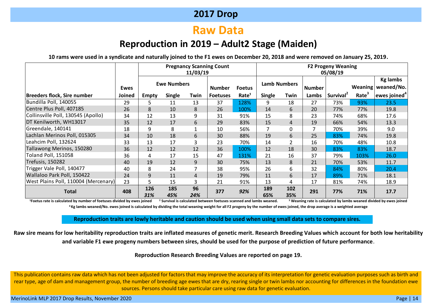# **Raw Data**

## **Reproduction in 2019 – Adult2 Stage (Maiden)**

**10 rams were used in a syndicate and naturally joined to the F1 ewes on December 20, 2018 and were removed on January 25, 2019.**

|                                      |             |              |                    |           | <b>Pregnancy Scanning Count</b> |                   |               |                |                | <b>F2 Progeny Weaning</b> |                      |                          |
|--------------------------------------|-------------|--------------|--------------------|-----------|---------------------------------|-------------------|---------------|----------------|----------------|---------------------------|----------------------|--------------------------|
|                                      |             |              |                    | 11/03/19  |                                 |                   |               |                |                | 05/08/19                  |                      |                          |
|                                      |             |              |                    |           |                                 |                   |               |                |                |                           |                      | <b>Kg lambs</b>          |
|                                      | <b>Ewes</b> |              | <b>Ewe Numbers</b> |           | <b>Number</b>                   | <b>Foetus</b>     | Lamb Numbers  |                | <b>Number</b>  |                           | Weaning <sup>1</sup> | weaned/No.               |
| Breeders flock, Sire number          | Joined      | <b>Empty</b> | <b>Single</b>      | Twin      | <b>Foetuses</b>                 | Rate <sup>1</sup> | <b>Single</b> | Twin           | Lambs          | Survival <sup>2</sup>     | Rate                 | ewes joined <sup>4</sup> |
| Bundilla Poll, 140055                | 29          | 5            | 11                 | 13        | 37                              | 128%              | 9             | 18             | 27             | 73%                       | 93%                  | 23.5                     |
| Centre Plus Poll, 407185             | 26          | 8            | 10                 | 8         | 26                              | 100%              | 14            | 6              | 20             | 77%                       | 77%                  | 19.8                     |
| Collinsville Poll, 130545 (Apollo)   | 34          | 12           | 13                 | 9         | 31                              | 91%               | 15            | 8              | 23             | 74%                       | 68%                  | 17.6                     |
| DT Kenilworth, WH13017               | 35          | 12           | 17                 | 6         | 29                              | 83%               | 15            | 4              | 19             | 66%                       | 54%                  | 13.3                     |
| Greendale, 140141                    | 18          | 9            | 8                  |           | 10                              | 56%               | 7             | 0              | $\overline{7}$ | 70%                       | 39%                  | 9.0                      |
| Lachlan Merinos Poll, 015305         | 34          | 10           | 18                 | 6         | 30                              | 88%               | 19            | 6              | 25             | 83%                       | 74%                  | 19.8                     |
| Leahcim Poll, 132624                 | 33          | 13           | 17                 | 3         | 23                              | 70%               | 14            | $\overline{2}$ | 16             | 70%                       | 48%                  | 10.8                     |
| Tallawong Merinos, 150280            | 36          | 12           | 12                 | 12        | 36                              | 100%              | 12            | 18             | 30             | 83%                       | 83%                  | 18.7                     |
| <b>Toland Poll, 151058</b>           | 36          | 4            | 17                 | 15        | 47                              | 131%              | 21            | 16             | 37             | 79%                       | 103%                 | 26.0                     |
| <b>Trefusis, 150282</b>              | 40          | 19           | 12                 | 9         | 30                              | 75%               | 13            | 8              | 21             | 70%                       | 53%                  | 11.7                     |
| Trigger Vale Poll, 140477            | 40          | 8            | 24                 |           | 38                              | 95%               | 26            | 6              | 32             | 84%                       | 80%                  | 20.4                     |
| Wallaloo Park Poll, 150422           | 24          | 9            | 11                 | 4         | 19                              | 79%               | 11            | 6              | 17             | 89%                       | 71%                  | 18.1                     |
| West Plains Poll, 110004 (Mercenary) | 23          | 5            | 15                 | 3         | 21                              | 91%               | 13            | 4              | 17             | 81%                       | 74%                  | 18.9                     |
| <b>Total</b>                         | 408         | 126<br>31%   | 185<br>45%         | 96<br>24% | 377                             | 92%               | 189<br>65%    | 102<br>35%     | 291            | 77%                       | 71%                  | 17.7                     |

<sup>1</sup>Foetus rate is calculated by number of foetuses divided by ewes ioined <sup>2</sup> Survival is calculated between foetuses scanned and lambs weaned. <sup>3</sup> Weaning rate is calculated by lambs weaned divided by ewes ioined **<sup>4</sup> Kg lambs weaned/No. ewes joined is calculated by dividing the total weaning weight for all F2 progeny by the number of ewes joined, the drop average is a weighted average**

**Reproduction traits are lowly heritable and caution should be used when using small data sets to compare sires.**

**Raw sire means for low heritability reproduction traits are inflated measures of genetic merit. Research Breeding Values which account for both low heritability and variable F1 ewe progeny numbers between sires, should be used for the purpose of prediction of future performance**.

**Reproduction Research Breeding Values are reported on page 19.**

This publication contains raw data which has not been adjusted for factors that may improve the accuracy of its interpretation for genetic evaluation purposes such as birth and rear type, age of dam and management group, the number of breeding age ewes that are dry, rearing single or twin lambs nor accounting for differences in the foundation ewe sources. Persons should take particular care using raw data for genetic evaluation.

MerinoLink MLP 2017 Drop Results, November 2020 Page | 14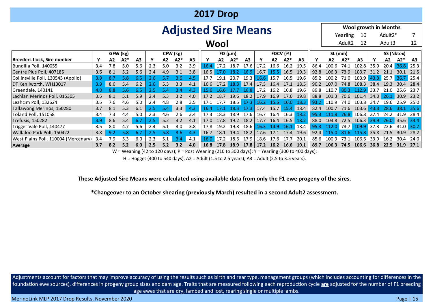|                                                                             | <b>2017 Drop</b> |                |       |                |               |                |                  |     |                            |                     |                   |                |                              |                     |                |      |      |              |                    |                              |              |         |                     |                |
|-----------------------------------------------------------------------------|------------------|----------------|-------|----------------|---------------|----------------|------------------|-----|----------------------------|---------------------|-------------------|----------------|------------------------------|---------------------|----------------|------|------|--------------|--------------------|------------------------------|--------------|---------|---------------------|----------------|
|                                                                             |                  |                |       |                |               |                |                  |     | <b>Adjusted Sire Means</b> |                     |                   |                |                              |                     |                |      |      |              |                    | <b>Wool growth in Months</b> |              |         |                     |                |
|                                                                             |                  |                |       |                |               |                |                  |     |                            |                     |                   |                |                              |                     |                |      |      |              | Yearling           | - 10                         |              | Adult2* |                     |                |
|                                                                             |                  |                |       |                |               |                |                  |     |                            | Wool                |                   |                |                              |                     |                |      |      |              | Adult <sub>2</sub> | 12                           |              | Adult3  |                     | 12             |
| GFW (kg)<br>CFW (kg)<br>SS (Nktex)<br>FD (µm)<br><b>FDCV</b> (%)<br>SL (mm) |                  |                |       |                |               |                |                  |     |                            |                     |                   |                |                              |                     |                |      |      |              |                    |                              |              |         |                     |                |
| Breeders flock, Sire number                                                 | Y                | A <sub>2</sub> | $A2*$ | A <sub>3</sub> |               | A <sub>2</sub> | $A2*$            | A3  |                            | A2                  | $A2*$             | A <sub>3</sub> |                              | A2                  | $A2*$          | A3   |      | A2           | $A2*$              | A <sub>3</sub>               |              | A2      | $A2*$               | A <sub>3</sub> |
| Bundilla Poll, 140055                                                       | 3.4              | 7.8            | 5.0   | 5.6            | 2.3           | 5.0            | 3.2              | 3.9 | 16.4                       | 17.2                | 18.7              | 17.6           | 17.2                         | 16.6                | 16.2           | 19.5 | 86.4 | 100.6        | 74.1               | 102.8                        | 35.9         | 20.4    | 36.8 25.3           |                |
| Centre Plus Poll, 407185                                                    | 3.6              | 8.1            | 5.2   | 5.6            | 2.4           | 4.9            | 3.1              | 3.8 | 16.5                       | 17.0                | $18.2 \quad 16.9$ |                | 16.7                         |                     | 15.5 16.5 19.3 |      | 92.8 | 106.3        | 73.9               | 103.7                        | 31.2         | 21.1    | 30.1                | 21.5           |
| Collinsville Poll, 130545 (Apollo)                                          | 3.9              | 8.7            | 5.8   | 6.5            | 2.6           | 5.7            | 3.6 <sub>1</sub> | 4.5 | 17.7                       | 19.1                | 20.7              | 19.3           |                              | $16.6$ 15.7         | 16.5           | 19.6 | 85.2 | 100 $2$      | 71.0               | 103.9                        |              |         | 43.3 25.7 36.7 25.4 |                |
| DT Kenilworth, WH13017                                                      | 3.9              | 8.6            | 5.4   | 6.2            | $2.6^{\circ}$ | 5.3            | 3.3              | 4.1 | 16.6                       | 17.2                |                   | 18.3 17.4      | 17.3                         | 16.4                | 17.1 18.5      |      | 90.2 | 107.0        | 74.8               | 108.3                        | 38.4         | 19.3    | 30.4                | - 28.4         |
| Greendale, 140141                                                           | 4.0              | 8.8            | 5.6   | 6.5            | 2.5           | 5.4            | 3.4              | 4.3 | 15.6                       | 16.6                | 17.7              | 16.8           | 17.2                         | 16.2                | 16.8           | 19.6 | 89.8 | 110.7        | 80.3               | 112.9                        | 33.7         | 21.0    | 25.6                | 23.7           |
| Lachlan Merinos Poll, 015305                                                | 3.5              | 8.1            | 5.1   | 5.9            | 2.4           | 5.3            | 3.2              | 4.0 | 17.2                       | 18.7                | 19.6              | 18.2           | 17.9                         | 16.9                | 17.6           | 19.8 | 88.8 | 101.3        | 70.6               | 101.4                        | 34.0         |         | $26.1$ 30.9         | 23.2           |
| Leahcim Poll, 132624                                                        | 3.5              | 7.6            | 4.6   | 5.0            | 2.4           | 4.8            | 2.8              | 3.5 | 17.1                       | 17.7                | 18.5 17.3         |                | 16.2 15.5                    |                     | 16.0           | 18.3 | 93.2 | 110.9        | 74.0               | 103.8                        | 34.7         | 19.6    | 25.9                | 25.0           |
| Tallawong Merinos, 150280                                                   | 3.7              | 8.1            | 5.3   | 6.1            | 2.5           | 5.4            | 3.3              | 4.3 | 16.4                       | 17.1                | 18.3              | 17.3           |                              | 17.4 15.7 15.4 18.4 |                |      | 82.4 | 100.7        |                    | 71.6 103.6                   | 43.3         | 28.6    | 38.1 35.6           |                |
| Toland Poll, 151058                                                         | 3.4              | 7.3            | 4.4   | 5.0            | 2.3           | 4.6            | 2.6              | 3.4 | 17.3                       | 18.3                | 18.9              | 17.6           | 16.7                         |                     | 16.4 16.3      | 18.2 | 95.3 | 111.8        |                    | $76.8$ 106.8                 | 37.4         | 24.2    | 31.9                | 28.4           |
| Trefusis, 150282                                                            | 3.9              | 8.6            | 5.4   | 6.7            | 2.5           | 5.2            | 3.2              | 4.1 | 17.0                       | 17.8                | 19.2              | 18.2           | 17.7                         | 16.4                | 16.5           | 18.2 | 88.0 | 103.8        | 72.5               | 106.3                        | 39.9         | 26.0    | $35.6$ 33.4         |                |
| Trigger Vale Poll, 140477                                                   | 3.5              | 8.0            | 4.7   | 5.6            | 2.4           | 5.1            | 3.0              | 3.8 | 17.8                       | 19.2                | 19.8              | 18.6           | 16.3                         | 14.9                | 16.1 18.4      |      | 95.3 | $112.0$ 73.7 |                    | $109.9$ 37.3                 |              | 22.6    | $31.0$ 30.7         |                |
| Wallaloo Park Poll, 150422                                                  | 3.8              | 9.2            | 5.8   | 6.7            | 2.5           | 5.8            | 3.6              | 4.3 | 16.7                       | 18.1                | 19.4              | 18.2           | 17.6                         | 17.1                | 17.4           | 19.6 | 92.4 | 115.0        | 81.6               | 115.8                        | $\vert$ 35.8 | 21.5    | 30.9                | 28.2           |
| West Plains Poll, 110004 (Mercenary)                                        | 3.4              | 7.9            | 5.3   | 6.0            | 2.3           | 5.1            | 3.4              | 4.1 | 16.0                       | $\blacksquare$ 17.2 | 18.6              | 17.9           | 18.6                         | 17.6                | 17.7           | 20.1 | 85.6 | 100.9        | 73.1               | 106.6                        | 33.9         | 16.2    | 30.4                | 24.0           |
| Average                                                                     | 3.7              | 8.2            | 5.2   | 6.0            | 2.5           | 5.2            | 3.2              | 4.0 | 16.8 17.8 18.9             |                     |                   |                | $17.8$   17.2 16.2 16.6 19.1 |                     |                |      | 89.7 | 106.3        | 74.5               | $106.6$ 36.8                 |              |         | 22.5 31.9           | 27.1           |

W = Weaning (42 to 120 days); P = Post Weaning (210 to 300 days); Y = Yearling (300 to 400 days);

H = Hogget (400 to 540 days); A2 = Adult (1.5 to 2.5 years); A3 = Adult (2.5 to 3.5 years).

#### **These Adjusted Sire Means were calculated using available data from only the F1 ewe progeny of the sires.**

**\*Changeover to an October shearing (previously March) resulted in a second Adult2 assessment.**

Adjustments account for factors that may improve accuracy of using the results such as birth and rear type, management groups (which includes accounting for differences in the foundation ewe sources), differences in progeny group sizes and dam age. Traits that are measured following each reproduction cycle **are** adjusted for the number of F1 breeding age ewes that are dry, lambed and lost, rearing single or multiple lambs.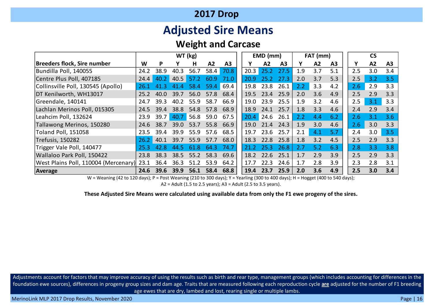# **Adjusted Sire Means**

## **Weight and Carcase**

|                                      |      | WT (kg) |                |      |      |                |      | $EMD$ (mm) |                |     | FAT (mm)       |                |     | <b>CS</b> |                |
|--------------------------------------|------|---------|----------------|------|------|----------------|------|------------|----------------|-----|----------------|----------------|-----|-----------|----------------|
| Breeders flock, Sire number          | W    | P       |                | н    | A2   | A <sub>3</sub> |      | A2         | A <sub>3</sub> | Υ   | A <sub>2</sub> | A <sub>3</sub> | Υ   | A2        | A <sub>3</sub> |
| Bundilla Poll, 140055                | 24.2 | 38.9    | 40.3           | 56.7 | 58.4 | 70.8           | 20.3 | 25.2       | 27.5           | 1.9 | 3.7            | 5.1            | 2.5 | 3.0       | 3.4            |
| Centre Plus Poll, 407185             | 24.4 | 40.2    | 40.5           | 57.2 | 60.9 | 71.0           | 20.9 | 25.2       | 27.3           | 2.0 | 3.7            | 5.3            | 2.5 | 3.2       | 3.5            |
| Collinsville Poll, 130545 (Apollo)   | 26.1 | 41.3    | $\Delta$<br>41 | 58.4 | 59.4 | 69.4           | 19.8 | 23.8       | 26.1           | 2.2 | 3.3            | 4.2            | 2.6 | 2.9       | 3.3            |
| DT Kenilworth, WH13017               | 25.2 | 40.0    | 39.7           | 56.0 | 57.8 | 68.4           | 19.5 | 23.4       | 25.9           | 2.0 | 3.6            | 4.9            | 2.5 | 2.9       | 3.3            |
| Greendale, 140141                    | 24.7 | 39.3    | 40.2           | 55.9 | 58.7 | 66.9           | 19.0 | 23.9       | 25.5           | 1.9 | 3.2            | 4.6            | 2.5 | 3.1       | 3.3            |
| Lachlan Merinos Poll, 015305         | 24.5 | 39.4    | 38.8           | 54.8 | 57.8 | 68.9           | 18.9 | 24.1       | 25.7           | 1.8 | 3.3            | 4.6            | 2.4 | 2.9       | 3.4            |
| Leahcim Poll, 132624                 | 23.9 | 39.7    | 40.7           | 56.8 | 59.0 | 67.5           | 20.4 | 24.6       | 26.1           | 2.2 | 4.4            | 6.2            | 2.6 | 3.1       | 3.6            |
| Tallawong Merinos, 150280            | 24.6 | 38.7    | 39.0           | 53.7 | 55.8 | 66.9           | 19.0 | 21.4       | 24.3           | 1.9 | 3.0            | 4.6            | 2.6 | 3.0       | 3.3            |
| <b>Toland Poll, 151058</b>           | 23.5 | 39.4    | 39.9           | 55.9 | 57.6 | 68.5           | 19.7 | 23.6       | 25.7           | 2.1 | 4.1            | 5.7            | 2.4 | 3.0       | 3.5            |
| <b>Trefusis, 150282</b>              | 26.2 | 40.1    | 39.7           | 55.9 | 57.7 | 68.0           | 18.3 | 22.8       | 25.8           | 1.8 | 3.2            | 4.5            | 2.5 | 2.9       | 3.3            |
| Trigger Vale Poll, 140477            | 25.3 | 42.8    | 44.5           | 61.8 | 64.3 | 74.7           | 21.2 | 25.3       | 26.8           | 2.7 | 5.2            | 6.3            | 2.8 | 3.3       | 3.8            |
| Wallaloo Park Poll, 150422           | 23.8 | 38.3    | 38.5           | 55.2 | 58.3 | 69.6           | 18.2 | 22.6       | 25.1           | 1.7 | 2.9            | 3.9            | 2.5 | 2.9       | 3.3            |
| West Plains Poll, 110004 (Mercenary) | 23.1 | 36.4    | 36.3           | 51.2 | 53.9 | 64.2           | 17.7 | 22.3       | 24.6           | 1.7 | 2.8            | 3.9            | 2.3 | 2.8       | 3.1            |
| Average                              | 24.6 | 39.6    | 39.9           | 56.1 | 58.4 | 68.8           | 19.4 | 23.7       | 25.9           | 2.0 | 3.6            | 4.9            | 2.5 | 3.0       | 3.4            |

W = Weaning (42 to 120 days); P = Post Weaning (210 to 300 days); Y = Yearling (300 to 400 days); H = Hogget (400 to 540 days);

 $A2 =$  Adult (1.5 to 2.5 years);  $A3 =$  Adult (2.5 to 3.5 years).

**These Adjusted Sire Means were calculated using available data from only the F1 ewe progeny of the sires.** 

Adjustments account for factors that may improve accuracy of using the results such as birth and rear type, management groups (which includes accounting for differences in the foundation ewe sources), differences in progeny group sizes and dam age. Traits that are measured following each reproduction cycle **are** adjusted for the number of F1 breeding age ewes that are dry, lambed and lost, rearing single or multiple lambs.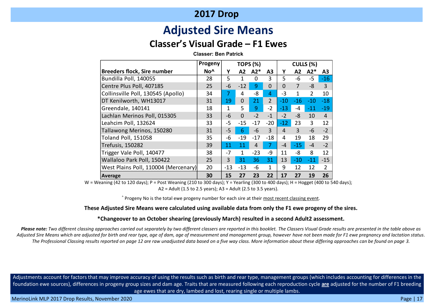# **Adjusted Sire Means**

## **Classer's Visual Grade – F1 Ewes**

**Classer: Ben Patrick**

|                                      | Progeny         | <b>TOPS (%)</b> |              |       |                |          | CULLS (%)      |                |                |
|--------------------------------------|-----------------|-----------------|--------------|-------|----------------|----------|----------------|----------------|----------------|
| <b>Breeders flock, Sire number</b>   | No <sup>^</sup> | Y               | Α2           | $A2*$ | A3             | Υ        | А2             | $A2*$          | A3             |
| Bundilla Poll, 140055                | 28              | 5               | 1            | 0     | 3              | 5        | $-6$           | $-5$           | $-16$          |
| Centre Plus Poll, 407185             | 25              | $-6$            | $-12$        | 9     | $\mathbf 0$    | $\Omega$ | $\overline{7}$ | $-8$           | $\overline{3}$ |
| Collinsville Poll, 130545 (Apollo)   | 34              | 7               | 4            | $-8$  | 4              | -3       | 1              | $\overline{2}$ | 10             |
| DT Kenilworth, WH13017               | 31              | 19              | $\Omega$     | 21    | $\overline{2}$ | $-10$    | $-16$          | $-10$          | $-18$          |
| Greendale, 140141                    | 18              | 1               | 5            | 9     | $-2$           | $-13$    | $-4$           | $-11$          | $-19$          |
| Lachlan Merinos Poll, 015305         | 33              | $-6$            | $\mathbf 0$  | $-2$  | $-1$           | $-2$     | -8             | 10             | $\overline{4}$ |
| Leahcim Poll, 132624                 | 33              | $-5$            | $-15$        | $-17$ | $-20$          | $-12$    | 23             | 3              | 12             |
| Tallawong Merinos, 150280            | 31              | -5              | 6            | $-6$  | $\overline{3}$ | 4        | 3              | $-6$           | $-2$           |
| <b>Toland Poll, 151058</b>           | 35              | -6              | $-19$        | $-17$ | $-18$          | 4        | 19             | 18             | 29             |
| Trefusis, 150282                     | 39              | 11              | 11           | 4     | 7              | $-4$     | $-15$          | $-4$           | $-2$           |
| Trigger Vale Poll, 140477            | 38              | $-7$            | $\mathbf{1}$ | $-23$ | -9             | 11       | $-8$           | 8              | 12             |
| Wallaloo Park Poll, 150422           | 25              | 3               | 31           | 36    | 31             | 13       | $-10$          | $-11$          | $-15$          |
| West Plains Poll, 110004 (Mercenary) | 20              | -13             | $-13$        | $-6$  | $\mathbf{1}$   | 9        | 12             | 12             | $\overline{2}$ |
| Average                              | 30              | 15              | 27           | 23    | 22             | 17       | 27             | 19             | 26             |

W = Weaning (42 to 120 days); P = Post Weaning (210 to 300 days); Y = Yearling (300 to 400 days); H = Hogget (400 to 540 days); A2 = Adult (1.5 to 2.5 years); A3 = Adult (2.5 to 3.5 years).

^ Progeny No is the total ewe progeny number for each sire at their most recent classing event.

#### **These Adjusted Sire Means were calculated using available data from only the F1 ewe progeny of the sires.**

#### **\*Changeover to an October shearing (previously March) resulted in a second Adult2 assessment.**

*Please note: Two different classing approaches carried out separately by two different classers are reported in this booklet. The Classers Visual Grade results are presented in the table above as Adjusted Sire Means which are adjusted for birth and rear type, age of dam, age of measurement and management group, however have not been made for F1 ewe pregnancy and lactation status. The Professional Classing results reported on page 12 are raw unadjusted data based on a five way class. More information about these differing approaches can be found on page 3.*

Adjustments account for factors that may improve accuracy of using the results such as birth and rear type, management groups (which includes accounting for differences in the foundation ewe sources), differences in progeny group sizes and dam age. Traits that are measured following each reproduction cycle **are** adjusted for the number of F1 breeding age ewes that are dry, lambed and lost, rearing single or multiple lambs.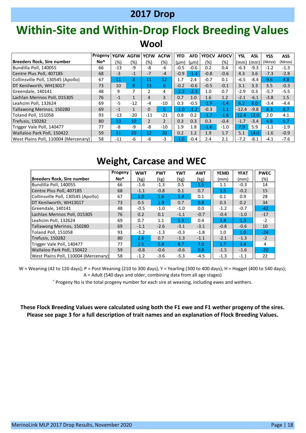# **Within-Site and Within-Drop Flock Breeding Values Wool**

|                                      | Progeny         | <b>YGFW</b> | <b>AGFW YCFW</b> |                | <b>ACFW</b>     | <b>YFD</b> | <b>AFD</b> | <b>YFDCV</b> | <b>AFDCV</b> | <b>YSL</b> | <b>ASL</b> | <b>YSS</b> | <b>ASS</b> |
|--------------------------------------|-----------------|-------------|------------------|----------------|-----------------|------------|------------|--------------|--------------|------------|------------|------------|------------|
| Breeders flock, Sire number          | No <sup>^</sup> | (%)         | (%)              | (%)            | (%)             | $(\mu m)$  | $(\mu m)$  | (%)          | (%)          | (mm)       | (mm)       | (Nktex)    | (Nktex)    |
| Bundilla Poll, 140055                | 66              | $-13$       | -9               | -8             | $-6$            | $-0.5$     | $-0.6$     | 0.2          | 0.4          | $-6.3$     | $-9.3$     | $-1.2$     | $-1.3$     |
| Centre Plus Poll, 407185             | 68              | $-3$        | $-1$             | $-7$           | $-4$            | $-0.9$     | $-1.4$     | $-0.8$       | $-0.6$       | 4.3        | 3.6        | $-7.3$     | $-2.8$     |
| Collinsville Poll, 130545 (Apollo)   | 67              | 11          | 8                | 11             | 12 <sup>°</sup> | 1.7        | 2.4        | $-0.7$       | 0.1          | $-6.5$     | $-8.4$     | 9.6        | 4.8        |
| DT Kenilworth, WH13017               | 73              | 10          | 8                | 13             | 6               | $-0.2$     | $-0.6$     | $-0.5$       | $-0.1$       | 3.1        | 3.3        | 3.5        | $-0.3$     |
| Greendale, 140141                    | 48              | 9           | 7                | $\overline{2}$ | 4               | $-2.3$     | $-2.3$     | 1.0          | 0.7          | $-2.9$     | 0.3        | $-5.7$     | $-5.5$     |
| Lachlan Merinos Poll, 015305         | 76              | $-1$        | $\mathbf{1}$     | 4              | $\overline{3}$  | 0.7        | 1.0        | 1.6          | 1.2          | $-2.1$     | $-6.1$     | $-3.8$     | 1.5        |
| Leahcim Poll, 132624                 | 69              | $-5$        | $-12$            | $-4$           | $-10$           | 0.3        | $-0.5$     | $-1.9$       | $-1.4$       | 6.2        | 6.0        | $-3.4$     | $-4.4$     |
| Tallawong Merinos, 150280            | 69              | $-1$        | $\mathbf{1}$     | $\mathbf 0$    | 6               | $-1.0$     | $-1.2$     | $-0.3$       | $-1.1$       | $-12.4$    | $-9.8$     | 8.3        | 8.7        |
| Toland Poll, 151058                  | 93              | $-13$       | $-20$            | $-11$          | $-21$           | 0.8        | 0.2        | $-1.7$       | $-1.6$       | 12.4       | 12.0       | 2.0        | 4.1        |
| Trefusis, 150282                     | 80              | 13          | 10               | $\overline{2}$ | $\overline{2}$  | 0.3        | 0.3        | 0.3          | $-0.4$       | $-1.7$     | $-3.4$     | 4.8        | 5.7        |
| Trigger Vale Poll, 140477            | 77              | -8          | -9               | -8             | $-10$           | 1.9        | 1.8        | $-1.6$       | $-1.0$       | 7.9        | 5.9        | $-1.1$     | $-1.9$     |
| Wallaloo Park Poll, 150422           | 59              | 11          | 20               | 12             | 20              | 0.2        | 1.2        | 1.9          | 1.7          | 5.1        | 14.0       | $-1.6$     | $-0.9$     |
| West Plains Poll, 110004 (Mercenary) | 58              | $-11$       | $-6$             | $-6$           | $-3$            | $-1.0$     | $-0.4$     | 2.4          | 2.1          | $-7.2$     | $-8.1$     | $-4.1$     | $-7.6$     |

# **Weight, Carcase and WEC**

|                                      | Progeny | <b>WWT</b> | <b>PWT</b> | <b>YWT</b> | <b>AWT</b> | <b>YEMD</b> | <b>YFAT</b> | <b>PWEC</b> |
|--------------------------------------|---------|------------|------------|------------|------------|-------------|-------------|-------------|
| Breeders flock, Sire number          | No^     | (kg)       | (kg)       | (kg)       | (kg)       | (mm)        | (mm)        | (%)         |
| Bundilla Poll, 140055                | 66      | $-1.6$     | $-1.3$     | 0.5        | 1.5        | 1.1         | $-0.3$      | 14          |
| Centre Plus Poll, 407185             | 68      | $-1.1$     | $-0.8$     | 0.1        | 0.7        | 1.5         | $-0.2$      | 15          |
| Collinsville Poll, 130545 (Apollo)   | 67      | 1.0        | 1.6        | 1.4        | 0.1        | 0.1         | 0.9         | 28          |
| DT Kenilworth, WH13017               | 73      | 0.5        | 1.9        | 0.7        | 0.8        | 0.3         | 0.2         | 34          |
| Greendale, 140141                    | 48      | $-0.5$     | $-1.0$     | $-1.0$     | 0.0        | $-1.2$      | $-0.7$      | $-42$       |
| Lachlan Merinos Poll. 015305         | 76      | 0.2        | 0.1        | $-1.1$     | $-0.7$     | $-0.4$      | $-1.0$      | $-17$       |
| Leahcim Poll, 132624                 | 69      | 0.7        | 1.1        | 1.3        | 0.4        | 1.4         | 1.3         | $-2$        |
| Tallawong Merinos, 150280            | 69      | $-1.1$     | $-2.6$     | $-3.1$     | $-3.1$     | $-0.8$      | $-0.6$      | 10          |
| Toland Poll, 151058                  | 93      | $-1.2$     | $-1.3$     | $-0.3$     | $-1.8$     | 1.0         | 1.0         | $-24$       |
| Trefusis, 150282                     | 80      | 2.6        | 0.7        | $-1.3$     | $-1.1$     | $-2.1$      | $-1.3$      | $-2$        |
| Trigger Vale Poll, 140477            | 77      | 2.5        | 5.8        | 8.7        | 7.0        | 1.7         | 3.4         | 4           |
| Wallaloo Park Poll, 150422           | 59      | $-0.8$     | $-0.6$     | $-0.6$     | 0.8        | $-1.5$      | $-1.6$      | $-20$       |
| West Plains Poll, 110004 (Mercenary) | 58      | $-1.2$     | $-3.6$     | $-5.3$     | $-4.5$     | $-1.3$      | $-1.1$      | 22          |

W = Weaning (42 to 120 days); P = Post Weaning (210 to 300 days); Y = Yearling (300 to 400 days); H = Hogget (400 to 540 days); A = Adult (540 days and older, combining data from all age stages)

^ Progeny No is the total progeny number for each sire at weaning, including ewes and wethers.

**These Flock Breeding Values were calculated using both the F1 ewe and F1 wether progeny of the sires. Please see page 3 for a full description of trait names and an explanation of Flock Breeding Values.**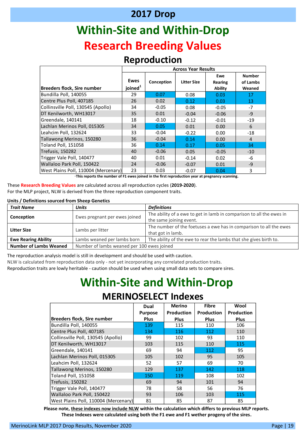# **Within-Site and Within-Drop Research Breeding Values**

#### **Reproduction**

|               |                                                                                                                                                                                                                                                                                                                |             |                               | <b>Across Year Results</b> |                           |                                                             |                |
|---------------|----------------------------------------------------------------------------------------------------------------------------------------------------------------------------------------------------------------------------------------------------------------------------------------------------------------|-------------|-------------------------------|----------------------------|---------------------------|-------------------------------------------------------------|----------------|
|               |                                                                                                                                                                                                                                                                                                                |             |                               |                            | Ewe                       |                                                             | <b>Number</b>  |
|               |                                                                                                                                                                                                                                                                                                                | <b>Ewes</b> | Conception                    | <b>Litter Size</b>         | <b>Rearing</b>            |                                                             | of Lambs       |
|               | <b>Breeders flock, Sire number</b>                                                                                                                                                                                                                                                                             | joined $^1$ |                               |                            | <b>Ability</b>            | Weaned                                                      |                |
|               | Bundilla Poll, 140055                                                                                                                                                                                                                                                                                          | 29          | 0.07                          | 0.08                       | 0.03                      |                                                             | 17             |
|               | Centre Plus Poll, 407185                                                                                                                                                                                                                                                                                       | 26          | 0.02                          | 0.12                       | 0.03                      |                                                             | 13             |
|               | Collinsville Poll, 130545 (Apollo)                                                                                                                                                                                                                                                                             | 34          | $-0.05$                       | 0.08                       | $-0.05$                   |                                                             | $-7$           |
|               | DT Kenilworth, WH13017                                                                                                                                                                                                                                                                                         | 35          | 0.01                          | $-0.04$                    | $-0.06$                   |                                                             | $-9$           |
|               | Greendale, 140141                                                                                                                                                                                                                                                                                              | 18          | $-0.10$                       | $-0.12$                    | $-0.01$                   |                                                             | $-19$          |
|               | Lachlan Merinos Poll, 015305                                                                                                                                                                                                                                                                                   | 34          | 0.05                          | 0.01                       | 0.00                      |                                                             | 6              |
|               | Leahcim Poll, 132624                                                                                                                                                                                                                                                                                           | 33          | $-0.04$                       | $-0.22$                    | 0.00                      |                                                             | $-18$          |
|               | Tallawong Merinos, 150280                                                                                                                                                                                                                                                                                      | 36          | $-0.04$                       | 0.14                       | 0.00                      |                                                             | $\overline{4}$ |
|               | Toland Poll, 151058                                                                                                                                                                                                                                                                                            | 36          | 0.14                          | 0.17                       | 0.05                      |                                                             | 34             |
|               | Trefusis, 150282                                                                                                                                                                                                                                                                                               | 40          | $-0.06$                       | 0.05                       | $-0.05$                   |                                                             | $-10$          |
|               | Trigger Vale Poll, 140477                                                                                                                                                                                                                                                                                      | 40          | 0.01                          | $-0.14$                    | 0.02                      |                                                             | -6             |
|               | Wallaloo Park Poll, 150422                                                                                                                                                                                                                                                                                     | 24          | $-0.06$                       | $-0.07$                    | 0.01                      |                                                             | $-9$           |
|               | West Plains Poll, 110004 (Mercenary)                                                                                                                                                                                                                                                                           | 23          | 0.03                          | $-0.07$                    | 0.04                      |                                                             | 3              |
|               | bject, NLW is derived from the three reproduction component traits.<br>ons sourced from Sheep Genetics                                                                                                                                                                                                         |             |                               |                            |                           |                                                             |                |
|               | <b>Units</b>                                                                                                                                                                                                                                                                                                   |             | <b>Definitions</b>            |                            |                           |                                                             |                |
|               | Ewes pregnant per ewes joined                                                                                                                                                                                                                                                                                  |             | the same joining event.       |                            |                           | The ability of a ewe to get in lamb in comparison to all tl |                |
|               | Lambs per litter                                                                                                                                                                                                                                                                                               |             | that got in lamb.             |                            |                           | The number of the foetuses a ewe has in comparison to       |                |
| <b>bility</b> | Lambs weaned per lambs born                                                                                                                                                                                                                                                                                    |             |                               |                            |                           | The ability of the ewe to rear the lambs that she gives bi  |                |
| nbs Weaned    | Number of lambs weaned per 100 ewes joined                                                                                                                                                                                                                                                                     |             |                               |                            |                           |                                                             |                |
|               | In analysis model is still in development and should be used with caution.<br>ed from reproduction data only - not yet incorporating any correlated production traits.<br>aits are lowly heritable - caution should be used when using small data sets to compare sires.<br><b>Within-Site and Within-Drop</b> |             | <b>MERINOSELECT Indexes</b>   |                            |                           |                                                             |                |
|               |                                                                                                                                                                                                                                                                                                                |             | Dual                          | <b>Merino</b>              | <b>Fibre</b>              | Wool                                                        |                |
|               | <b>Breeders flock, Sire number</b>                                                                                                                                                                                                                                                                             |             | <b>Purpose</b><br><b>Plus</b> | Production<br>Plus         | Production<br><b>Plus</b> | <b>Production</b><br><b>Plus</b>                            |                |

These **Research Breeding Values** are calculated across all reproduction cycles (**2019-2020**). For the MLP project, NLW is derived from the three reproduction component traits.

#### **Units / Definitions sourced from Sheep Genetics**

| <b>Trait Name</b>             | <b>Units</b>                               | <b>Definitions</b>                                                                              |  |  |  |  |  |  |  |  |
|-------------------------------|--------------------------------------------|-------------------------------------------------------------------------------------------------|--|--|--|--|--|--|--|--|
| Conception                    | Ewes pregnant per ewes joined              | The ability of a ewe to get in lamb in comparison to all the ewes in<br>the same joining event. |  |  |  |  |  |  |  |  |
| <b>Litter Size</b>            | Lambs per litter                           | The number of the foetuses a ewe has in comparison to all the ewes<br>that got in lamb.         |  |  |  |  |  |  |  |  |
| <b>Ewe Rearing Ability</b>    | Lambs weaned per lambs born                | The ability of the ewe to rear the lambs that she gives birth to.                               |  |  |  |  |  |  |  |  |
| <b>Number of Lambs Weaned</b> | Number of lambs weaned per 100 ewes joined |                                                                                                 |  |  |  |  |  |  |  |  |

The reproduction analysis model is still in development and should be used with caution.

NLW is calculated from reproduction data only - not yet incorporating any correlated production traits.

Reproduction traits are lowly heritable - caution should be used when using small data sets to compare sires.

# **Within-Site and Within-Drop**

### **MERINOSELECT Indexes**

|                                      | Dual           | <b>Merino</b> | <b>Fibre</b> | Wool              |
|--------------------------------------|----------------|---------------|--------------|-------------------|
|                                      | <b>Purpose</b> | Production    | Production   | <b>Production</b> |
| <b>Breeders flock, Sire number</b>   | <b>Plus</b>    | <b>Plus</b>   | <b>Plus</b>  | <b>Plus</b>       |
| Bundilla Poll, 140055                | 139            | 115           | 110          | 106               |
| Centre Plus Poll, 407185             | 134            | 116           | 112          | 110               |
| Collinsville Poll, 130545 (Apollo)   | 99             | 102           | 93           | 110               |
| DT Kenilworth, WH13017               | 103            | 115           | 110          | 115               |
| Greendale, 140141                    | 69             | 94            | 112          | 95                |
| Lachlan Merinos Poll, 015305         | 105            | 102           | 95           | 105               |
| Leahcim Poll, 132624                 | 52             | 57            | 69           | 70                |
| Tallawong Merinos, 150280            | 129            | 137           | 142          | 118               |
| Toland Poll, 151058                  | 150            | 119           | 108          | 102               |
| Trefusis, 150282                     | 69             | 94            | 101          | 94                |
| Trigger Vale Poll, 140477            | 78             | 58            | 56           | 76                |
| Wallaloo Park Poll, 150422           | 93             | 106           | 103          | 115               |
| West Plains Poll, 110004 (Mercenary) | 81             | 85            | 87           | 85                |

**Please note, these indexes now include NLW within the calculation which differs to previous MLP reports. These Indexes were calculated using both the F1 ewe and F1 wether progeny of the sires.**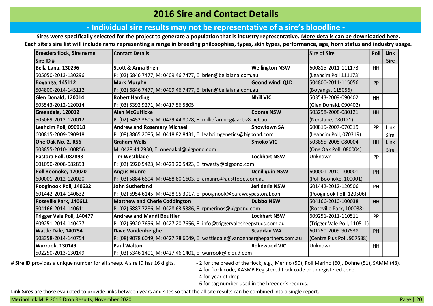### **2016 Sire and Contact Details**

#### **‐ Individual sire results may not be representative of a sire's bloodline ‐**

**Sires were specifically selected for the project to generate a population that is industry representative. [More details can be downloaded here.](https://merinosuperiorsires.com.au/wp-content/uploads/2020/05/MLP-Sire-Selection-Process-and-Stocktake-FINAL.pdf) Each site's sire list will include rams representing a range in breeding philosophies, types, skin types, performance, age, horn status and industry usage.**

| <b>Breeders flock, Sire name</b> | <b>Contact Details</b>                                                        |                       | <b>Sire of Sire</b>         | Poll      | Link        |
|----------------------------------|-------------------------------------------------------------------------------|-----------------------|-----------------------------|-----------|-------------|
| Sire ID#                         |                                                                               |                       |                             |           | <b>Sire</b> |
| <b>Bella Lana, 130296</b>        | <b>Scott &amp; Anna Brien</b>                                                 | <b>Wellington NSW</b> | 600815-2011-111173          | HH        |             |
| 505050-2013-130296               | P: (02) 6846 7477, M: 0409 46 7477, E: brien@bellalana.com.au                 |                       | (Leahcim Poll 111173)       |           |             |
| <b>Boyanga, 145112</b>           | <b>Mark Murphy</b>                                                            | Goondiwindi QLD       | 504800-2011-115056          | PP        |             |
| 504800-2014-145112               | P: (02) 6846 7477, M: 0409 46 7477, E: brien@bellalana.com.au                 |                       | (Boyanga, 115056)           |           |             |
| Glen Donald, 120014              | <b>Robert Harding</b>                                                         | <b>Nhill VIC</b>      | 503543-2009-090402          | <b>HH</b> |             |
| 503543-2012-120014               | P: (03) 5392 9271, M: 0417 56 5805                                            |                       | (Glen Donald, 090402)       |           |             |
| Greendale, 120012                | <b>Alan McGufficke</b>                                                        | <b>Cooma NSW</b>      | 503298-2008-080121          | HH        |             |
| 505069-2012-120012               | P: (02) 6452 3605, M: 0429 44 8078, E: milliefarming@activ8.net.au            |                       | (Nerstane, 080121)          |           |             |
| Leahcim Poll, 090918             | <b>Andrew and Rosemary Michael</b>                                            | <b>Snowtown SA</b>    | 600815-2007-070319          | PP        | Link        |
| 600815-2009-090918               | P: (08) 8865 2085, M: 0418 82 8431, E: leahcimgenetics@bigpond.com            |                       | (Leahcim Poll, 070319)      |           | Sire        |
| One Oak No. 2, R56               | <b>Graham Wells</b>                                                           | <b>Smoko VIC</b>      | 503855-2008-080004          | <b>HH</b> | Link        |
| 503855-2010-100R56               | M: 0428 44 2930, E: oneoakpl@bigpond.com                                      |                       | (One Oak Poll, 080004)      |           | <b>Sire</b> |
| Pastora Poll, 082893             | <b>Tim Westblade</b>                                                          | <b>Lockhart NSW</b>   | Unknown                     | PP        |             |
| 601090-2008-082893               | P: (02) 6920 5423, M: 0429 20 5423, E: trwesty@bigpond.com                    |                       |                             |           |             |
| Poll Boonoke, 120020             | <b>Angus Munro</b>                                                            | <b>Deniliquin NSW</b> | 600001-2010-100001          | <b>PH</b> |             |
| 600001-2012-120020               | P: (03) 5884 6604, M: 0488 60 1603, E: amunro@austfood.com.au                 |                       | (Poll Boonoke, 100001)      |           |             |
| Pooginook Poll, 140632           | <b>John Sutherland</b>                                                        | Jerilderie NSW        | 601442-2012-120506          | PH        |             |
| 601442-2014-140632               | P: (02) 6954 6145, M: 0428 95 3017, E: pooginook@parawaypastoral.com          |                       | (Pooginook Poll, 120506)    |           |             |
| Roseville Park, 140611           | <b>Matthew and Cherie Coddington</b>                                          | <b>Dubbo NSW</b>      | 504166-2010-100038          | <b>HH</b> |             |
| 504166-2014-140611               | P: (02) 6887 7286, M: 0428 63 5386, E: rpmerinos@bigpond.com                  |                       | (Roseville Park, 100038)    |           |             |
| Trigger Vale Poll, 140477        | <b>Andrew and Mandi Bouffler</b>                                              | <b>Lockhart NSW</b>   | 609251-2011-110511          | <b>PP</b> |             |
| 609251-2014-140477               | P: (02) 6920 7656, M: 0427 20 7656, E: info@triggervalesheepstuds.com.au      |                       | (Trigger Vale Poll, 110511) |           |             |
| Wattle Dale, 140754              | Dave Vandenberghe                                                             | <b>Scaddan WA</b>     | 601250-2009-907538          | PH        |             |
| 503358-2014-140754               | P: (08) 9078 6049, M: 0427 78 6049, E: wattledale@vandenberghepartners.com.au |                       | (Centre Plus Poll, 907538)  |           |             |
| <b>Wurrook, 130149</b>           | <b>Paul Walton</b>                                                            | <b>Rokewood VIC</b>   | Unknown                     | HH        |             |
| 502250-2013-130149               | P: (03) 5346 1401, M: 0427 46 1401, E: wurrook@icloud.com                     |                       |                             |           |             |

# Sire ID provides a unique number for all sheep. A sire ID has 16 digits.  $\blacksquare$  - 2 for the breed of the flock, e.g., Merino (50), Poll Merino (60), Dohne (51), SAMM (48).

- 4 for flock code, AASMB Registered flock code or unregistered code.

- 4 for year of drop.

- 6 for tag number used in the breeder's records.

**Link Sires** are those evaluated to provide links between years and sites so that the all site results can be combined into a single report.

MerinoLink MLP 2016 Drop Results, November 2020 Page | 20 April 2014 Page | 20 April 2016 Page | 20 April 2016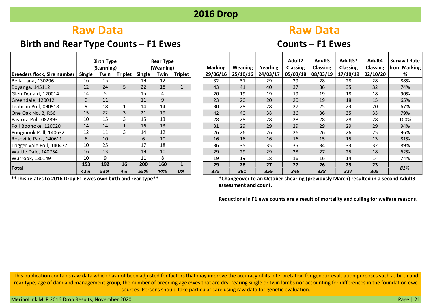### **Birth and Rear Type Counts – F1 Ewes Counts – F1 Ewes**

# **Raw Data Raw Data Raw Data**

|                             |               | <b>Birth Type</b><br>(Scanning) |                |        | <b>Rear Type</b><br>(Weaning) |              |
|-----------------------------|---------------|---------------------------------|----------------|--------|-------------------------------|--------------|
| Breeders flock, Sire number | <b>Single</b> | Twin                            | <b>Triplet</b> | Single | Twin                          | Triplet      |
| Bella Lana, 130296          | 16            | 15                              |                | 19     | 12                            |              |
| Boyanga, 145112             | 12            | 24                              | 5              | 22     | 18                            | $\mathbf{1}$ |
| Glen Donald, 120014         | 14            | 5                               |                | 15     | 4                             |              |
| Greendale, 120012           | 9             | 11                              |                | 11     | 9                             |              |
| Leahcim Poll, 090918        | 9             | 18                              | 1              | 14     | 14                            |              |
| One Oak No. 2, R56          | 15            | 22                              | 3              | 21     | 19                            |              |
| Pastora Poll, 082893        | 10            | 15                              | 3              | 15     | 13                            |              |
| Poll Boonoke, 120020        | 14            | 14                              | $\mathbf{1}$   | 16     | 13                            |              |
| Pooginook Poll, 140632      | 12            | 11                              | 3              | 14     | 12                            |              |
| Roseville Park, 140611      | 6             | 10                              |                | 6      | 10                            |              |
| Trigger Vale Poll, 140477   | 10            | 25                              |                | 17     | 18                            |              |
| Wattle Dale, 140754         | 16            | 13                              |                | 19     | 10                            |              |
| Wurrook, 130149             | 10            | 9                               |                | 11     | 8                             |              |
| <b>Total</b>                | 153           | 192                             | 16             | 200    | 160                           | $\mathbf{1}$ |
|                             | 42%           | 53%                             | 4%             | 55%    | 44%                           | 0%           |

**\*\*This relates to 2016 Drop F1 ewes own birth and rear type\*\***

|                                    |        | <b>Birth Type</b> |                |        | <b>Rear Type</b> |                |                |          |          | Adult2          | Adult3          | Adult3*         | Adult4          | Survival Rate |
|------------------------------------|--------|-------------------|----------------|--------|------------------|----------------|----------------|----------|----------|-----------------|-----------------|-----------------|-----------------|---------------|
|                                    |        | (Scanning)        |                |        | (Weaning)        |                | <b>Marking</b> | Weaning  | Yearling | <b>Classing</b> | <b>Classing</b> | <b>Classing</b> | <b>Classing</b> | from Marking  |
| <b>Breeders flock, Sire number</b> | Single | Twin              | <b>Triplet</b> | Single | Twin             | <b>Triplet</b> | 29/06/16       | 25/10/16 | 24/03/17 | 05/03/18        | 08/03/19        | 17/10/19        | 02/10/20        | %             |
| Bella Lana, 130296                 | 16     | 15                |                | 19     | 12               |                | 32             | 31       | 29       | 29              | 28              | 28              | 28              | 88%           |
| Boyanga, 145112                    | 12     | 24                | 5              | 22     | 18               |                | 43             | 41       | 40       | 37              | 36              | 35              | 32              | 74%           |
| Glen Donald, 120014                | 14     |                   |                | 15     | 4                |                | 20             | 19       | 19       | 19              | 19              | 18              | 18              | 90%           |
| Greendale, 120012                  | 9      | 11                |                | 11     | 9                |                | 23             | 20       | 20       | 20              | 19              | 18              | 15              | 65%           |
| Leahcim Poll, 090918               | 9      | 18                |                | 14     | 14               |                | 30             | 28       | 28       | 27              | 25              | 23              | 20              | 67%           |
| One Oak No. 2, R56                 | 15     | 22                | 3              | 21     | 19               |                | 42             | 40       | 38       | 36              | 36              | 35              | 33              | 79%           |
| Pastora Poll, 082893               | 10     | 15                | 3              | 15     | 13               |                | 28             | 28       | 28       | 28              | 28              | 28              | 28              | 100%          |
| Poll Boonoke, 120020               | 14     | 14                | $\mathbf{1}$   | 16     | 13               |                | 31             | 29       | 29       | 29              | 29              | 29              | 29              | 94%           |
| Pooginook Poll, 140632             | 12     | 11                | 3              | 14     | 12               |                | 26             | 26       | 26       | 26              | 26              | 26              | 25              | 96%           |
| Roseville Park, 140611             | 6      | 10                |                | 6      | 10               |                | 16             | 16       | 16       | 16              | 15              | 15              | 13              | 81%           |
| Trigger Vale Poll, 140477          | 10     | 25                |                | 17     | 18               |                | 36             | 35       | 35       | 35              | 34              | 33              | 32              | 89%           |
| Wattle Dale, 140754                | 16     | 13                |                | 19     | 10               |                | 29             | 29       | 29       | 28              | 27              | 25              | 18              | 62%           |
| Wurrook, 130149                    | 10     | 9                 |                | 11     | 8                |                | 19             | 19       | 18       | 16              | 16              | 14              | 14              | 74%           |
| <b>Total</b>                       | 153    | 192               | 16             | 200    | 160              | $\mathbf{1}$   | 29             | 28       | 27       | 27              | 26              | 25              | 23              | 81%           |
|                                    | 42%    | 53%               | 4%             | 55%    | 44%              | 0%             | 375            | 361      | 355      | 346             | 338             | 327             | 305             |               |

**\*Changeover to an October shearing (previously March) resulted in a second Adult3 assessment and count.**

**Reductions in F1 ewe counts are a result of mortality and culling for welfare reasons.**

This publication contains raw data which has not been adjusted for factors that may improve the accuracy of its interpretation for genetic evaluation purposes such as birth and rear type, age of dam and management group, the number of breeding age ewes that are dry, rearing single or twin lambs nor accounting for differences in the foundation ewe sources. Persons should take particular care using raw data for genetic evaluation.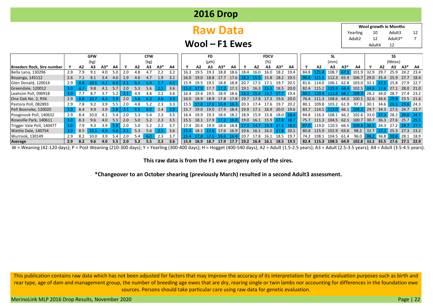|  | <b>2016 Drop</b> |
|--|------------------|
|--|------------------|

# **Raw Data**

10 12 Adult3 12 7 Adult3\* Adult4 12 Yearling Adult2 **Wool growth in Months**

**Wool – F1 Ewes**

|                             | <b>GFW</b><br><b>CFW</b> |     |             |     |     |     |     | FD.  |               |     |       |               | <b>FDCV</b> |           |           |                          |      | SL        |                                              |      |      |       | SS                          |       |                                                 |           |                          |             |                |      |
|-----------------------------|--------------------------|-----|-------------|-----|-----|-----|-----|------|---------------|-----|-------|---------------|-------------|-----------|-----------|--------------------------|------|-----------|----------------------------------------------|------|------|-------|-----------------------------|-------|-------------------------------------------------|-----------|--------------------------|-------------|----------------|------|
|                             |                          |     | (kg)        |     |     |     |     | (kg) |               |     |       |               | $(\mu m)$   |           |           |                          |      | (%)       |                                              |      |      |       | (mm)                        |       |                                                 |           |                          | (Nktex)     |                |      |
| Breeders flock, Sire number |                          | A2  | А3          | A3* | А4  |     | A2  | А3   | $A3*$         | A4  |       | A2            |             | $A3*$     | A4        |                          | A2   | А3        | $A3*$                                        | A4   |      | A2    | А3                          | $A3*$ | A4                                              |           | A2                       | A3          | A3*            | - A4 |
| Bella Lana, 130296          | 2.9                      | 7.9 |             | 4.0 | 5.0 |     |     |      |               | 3.2 |       | 195           | 19 3        | 18.8      | 18.6      | 18.4                     | 16.0 | 16.0      | 18.2                                         | 19.4 | 84.8 |       | 108.7                       |       | 67.1 101.9                                      | 32.9      | 29.7                     | 25.9        | 24.2 23.4      |      |
| Boyanga, 145112             | 2.6                      |     | <b>8.1</b>  | 3.4 | 4.6 | 1.9 | 4.6 | 4.7  | 1.9           | 3.1 | 16.0  | 19.0          | 18.8        | 17.7      | 17.6      |                          |      |           | 18.3 15.5 15.8 18.2 19.5                     |      | 90.8 |       | 121.5 112.3                 |       | 65.9 106.7                                      | 29.0 35.4 |                          |             | 25.9 27.7 18.4 |      |
| Glen Donald, 120014         | 2.9                      | 8.8 |             |     |     |     |     |      |               |     | 15 9. | 19.5          | 19.5        | 18.8      | 18.8      | 20.7                     | 17.5 | 171       | 19.7                                         | 20.5 | 81.6 | 114.0 | 106.1                       |       | 62.8 103.0 32.1 37.2                            |           |                          | 25.8 27.9   |                | 22.7 |
| Greendale, 120012           | 3.0                      |     | 9.8         | 4.1 | 5.7 | 2.0 | 5.3 | 5.6  |               | 3.6 |       | 179           |             |           |           | 17.7 17.2 17.1 19.1 16.3 |      | 15.3 18.5 |                                              | 20.0 | 82.4 | 115.2 | 15.9                        |       | $68.4$ 102.5 34.6 37.6 27.1 28.0 21.0           |           |                          |             |                |      |
| Leahcim Poll, 090918        | 3.0                      |     | 8.7         | 3.7 | 5.2 |     | 4.9 | 4.8  | 2.2           | 3.6 | 16.4  | 19.4          | 19.5 18.9   |           | 18.6      | 18.3                     | 15 4 | 15.7      | $-177$                                       | 19.4 | 88.5 | 120 A | 12.8                        |       | 68.2 109.0                                      | 28.2 34.0 |                          | - 28.7      | 27.4 23.2      |      |
| One Oak No. 2, R56          | 2.9                      | 8.8 |             |     |     | 2.0 |     |      | 2.6.          |     | 16.0  |               |             |           |           |                          |      |           | 18.9 18.9 17.8 17.8 19.7 17.8 17.3 19.6 20.0 |      | 76.4 |       |                             |       | 111.3 108.6 64.0 100.5 32.6 36.6 29.9 23.5 21.6 |           |                          |             |                |      |
| Pastora Poll, 082893        | 2.9                      |     | 9.2         | 3.9 | 5.5 | 2.0 | 4.8 | 5.2  | 2.3           |     | 1551  |               | 17.6 16.8   |           | 16.3      | 20.3                     | 17.4 | 17.6 19.7 |                                              | 20.2 | 80.1 |       | 109.8 103.2 61.9 97.3       |       |                                                 |           | 30.1 34.6 29.1           |             | $29.6$ 24.3    |      |
| Poll Boonoke, 120020        | 3.0                      | 8.4 | 9.9         | 3.9 |     |     |     | 6.0  | 2.4           | 3.9 | 15.7  |               |             |           |           |                          |      |           | 19.0 19.0 17.9 18.4 19.9 17.1 16.9 20.0 19.6 |      | 83.7 |       | 114.5 113.0 66.1 108.2      |       |                                                 |           | 29.7 34.3 27.5 24.7 23.7 |             |                |      |
| Pooginook Poll, 140632      | 2.9                      | 8.4 | 10.0        | 4.1 | 54  | 2.0 | 5.3 | 5.4  | 2.3           | 3.5 | 16.4  | 19.9          | 19.3        | 18.6      | 18.2      | 18.9                     | 15.9 |           | 15.8 18.0 18.4                               |      | 84.8 | 116.3 | 108.1                       |       | 66.2 102.6 33.0 37.3 28.2 29.0                  |           |                          |             |                |      |
| Roseville Park, 140611      | 3.0                      | 8.3 | 9.6         | 4.0 | 5.5 | 2.0 | 5.0 | 5.2  | 2.3           | 3.5 |       | 15.5 18.1     | $17.9$ 17.2 |           | 16.8      |                          |      |           | 19.0 16.1 15.9 17.8 18.7                     |      | 75.7 |       |                             |       | 111.3 104.5 62.1 100.7 30.7 36.3 27.6 25.7 25.5 |           |                          |             |                |      |
| Trigger Vale Poll, 140477   | 3.0                      | 7.9 | 9.3         | 3.9 |     | 2.0 |     | 5.2  |               |     |       | 20.4          | 19.9        |           | 18.6 18.8 |                          |      |           |                                              |      |      |       | 87.0 119.0 110.5 66.5 109.8 |       |                                                 |           | 36.5 34.3 27.2           |             | 28.7 27.7      |      |
| Wattle Dale, 140754         | 3.0                      | 8.5 |             |     |     |     | 5.3 | 5.6  | $2.5^{\circ}$ | 3.6 |       | 18.1 <b>I</b> |             | 17.6 17.6 | 16.9      |                          |      |           | 19.6 16.1 16.0 17.8 20.1                     |      | 80.8 |       |                             |       | 115.9 102.9 63.6 98.2                           |           | 32.7 37.2 25.3 27.3 23.2 |             |                |      |
| Wurrook, 130149             | 2.9                      | 8.2 | 10 $\Omega$ | 3.9 | 5.4 |     | 5.4 | 6.O  | 2.3           |     |       |               |             | -16.6     | $\P64$    | 20.7                     | 17.8 | 16.1      | 18.5                                         | 19.7 | 74.2 | 108.1 | 104.5                       | 61.4  | 96.0                                            |           | $36.2$ 36.8              | $30.6$ 28.1 |                | 18.9 |
| Average                     | 2.9                      | 8.2 | 9.6         | 4.0 | 5.5 | 2.0 | 5.2 | 5.5  | 2.3           | 3.6 | 15.9  |               | 18.7        | 17.9      | 17.7      | 19.2                     | 16.4 | 16.1      | 18.5                                         | 19.5 | 82.4 | 115.3 | 108.5                       | 64.9  | 102.8                                           | 32.2      | 35.5 27.6                |             | 27.1           | 22.9 |

W = Weaning (42-120 days); P = Post Weaning (210-300 days); Y = Yearling (300-400 days); H = Hogget (400-540 days); A2 = Adult (1.5-2.5 years); A3 = Adult (2.5-3.5 years); A4 = Adult (3.5-4.5 years).

**This raw data is from the F1 ewe progeny only of the sires.**

**\*Changeover to an October shearing (previously March) resulted in a second Adult3 assessment.**

This publication contains raw data which has not been adjusted for factors that may improve the accuracy of its interpretation for genetic evaluation purposes such as birth and rear type, age of dam and management group, the number of breeding age ewes that are dry, rearing single or twin lambs nor accounting for differences in the foundation ewe sources. Persons should take particular care using raw data for genetic evaluation.

MerinoLink MLP 2016 Drop Results, November 2020 Page | 22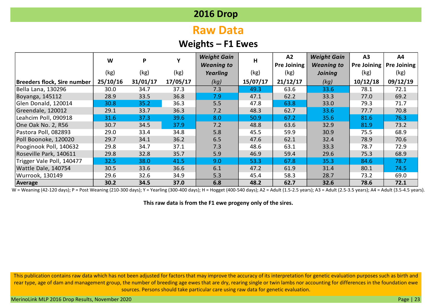# **Raw Data**

## **Weights – F1 Ewes**

|                             | W        | P        |          | <b>Weight Gain</b> | H        | A2                 | <b>Weight Gain</b> | A3                 | A4                 |
|-----------------------------|----------|----------|----------|--------------------|----------|--------------------|--------------------|--------------------|--------------------|
|                             |          |          |          | <b>Weaning to</b>  |          | <b>Pre Joining</b> | <b>Weaning to</b>  | <b>Pre Joining</b> | <b>Pre Joining</b> |
|                             | (kg)     | (kg)     | (kg)     | Yearling           | (kg)     | (kg)               | Joining            | (kg)               | (kg)               |
| Breeders flock, Sire number | 25/10/16 | 31/01/17 | 17/05/17 | (kg)               | 15/07/17 | 21/12/17           | (kg)               | 10/12/18           | 09/12/19           |
| Bella Lana, 130296          | 30.0     | 34.7     | 37.3     | 7.3                | 49.3     | 63.6               | 33.6               | 78.1               | 72.1               |
| Boyanga, 145112             | 28.9     | 33.5     | 36.8     | 7.9                | 47.1     | 62.2               | 33.3               | 77.0               | 69.2               |
| Glen Donald, 120014         | 30.8     | 35.2     | 36.3     | 5.5                | 47.8     | 63.8               | 33.0               | 79.3               | 71.7               |
| Greendale, 120012           | 29.1     | 33.7     | 36.3     | 7.2                | 48.3     | 62.7               | 33.6               | 77.7               | 70.8               |
| Leahcim Poll, 090918        | 31.6     | 37.3     | 39.6     | 8.0                | 50.9     | 67.2               | 35.6               | 81.6               | 76.3               |
| One Oak No. 2, R56          | 30.7     | 34.5     | 37.9     | 7.2                | 48.8     | 63.6               | 32.9               | 81.9               | 73.2               |
| Pastora Poll, 082893        | 29.0     | 33.4     | 34.8     | 5.8                | 45.5     | 59.9               | 30.9               | 75.5               | 68.9               |
| Poll Boonoke, 120020        | 29.7     | 34.1     | 36.2     | 6.5                | 47.6     | 62.1               | 32.4               | 78.9               | 70.6               |
| Pooginook Poll, 140632      | 29.8     | 34.7     | 37.1     | 7.3                | 48.6     | 63.1               | 33.3               | 78.7               | 72.9               |
| Roseville Park, 140611      | 29.8     | 32.8     | 35.7     | 5.9                | 46.9     | 59.4               | 29.6               | 75.3               | 68.9               |
| Trigger Vale Poll, 140477   | 32.5     | 38.0     | 41.5     | 9.0                | 53.3     | 67.8               | 35.3               | 84.6               | 78.7               |
| Wattle Dale, 140754         | 30.5     | 33.6     | 36.6     | 6.1                | 47.2     | 61.9               | 31.4               | 80.1               | 74.5               |
| Wurrook, 130149             | 29.6     | 32.6     | 34.9     | 5.3                | 45.4     | 58.3               | 28.7               | 73.2               | 69.0               |
| Average                     | 30.2     | 34.5     | 37.0     | 6.8                | 48.2     | 62.7               | 32.6               | 78.6               | 72.1               |

W = Weaning (42-120 days); P = Post Weaning (210-300 days); Y = Yearling (300-400 days); H = Hogget (400-540 days); A2 = Adult (1.5-2.5 years); A3 = Adult (2.5-3.5 years); A4 = Adult (3.5-4.5 years).

**This raw data is from the F1 ewe progeny only of the sires.**

This publication contains raw data which has not been adjusted for factors that may improve the accuracy of its interpretation for genetic evaluation purposes such as birth and rear type, age of dam and management group, the number of breeding age ewes that are dry, rearing single or twin lambs nor accounting for differences in the foundation ewe sources. Persons should take particular care using raw data for genetic evaluation.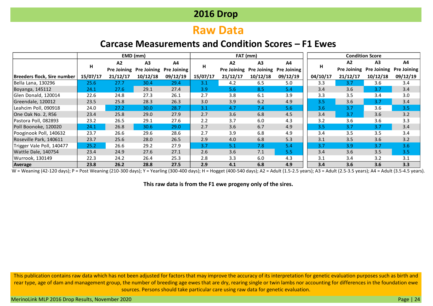# **Raw Data**

## **Carcase Measurements and Condition Scores – F1 Ewes**

|                                    |          |                    | EMD (mm)           |                    |          |          | FAT (mm)                |                    |          |                    | <b>Condition Score</b> |                    |
|------------------------------------|----------|--------------------|--------------------|--------------------|----------|----------|-------------------------|--------------------|----------|--------------------|------------------------|--------------------|
|                                    |          | A2                 | A <sub>3</sub>     | A4                 |          | A2       | A <sub>3</sub>          | A4                 |          | A2                 | A <sub>3</sub>         | A4                 |
|                                    | н        | <b>Pre Joining</b> | <b>Pre Joining</b> | <b>Pre Joining</b> | н        |          | Pre Joining Pre Joining | <b>Pre Joining</b> | н        | <b>Pre Joining</b> | <b>Pre Joining</b>     | <b>Pre Joining</b> |
| <b>Breeders flock, Sire number</b> | 15/07/17 | 21/12/17           | 10/12/18           | 09/12/19           | 15/07/17 | 21/12/17 | 10/12/18                | 09/12/19           | 04/10/17 | 21/12/17           | 10/12/18               | 09/12/19           |
| Bella Lana, 130296                 | 25.6     | 27.7               | 30.4               | 29.4               | 3.1      | 4.2      | 6.5                     | 5.0                | 3.3      | 3.7                | 3.6                    | 3.4                |
| Boyanga, 145112                    | 24.1     | 27.6               | 29.1               | 27.4               | 3.9      | 5.6      | 8.5                     | 5.4                | 3.4      | 3.6                | 3.7                    | 3.4                |
| Glen Donald, 120014                | 22.6     | 24.8               | 27.3               | 26.1               | 2.7      | 3.8      | 6.1                     | 3.9                | 3.3      | 3.5                | 3.4                    | 3.0                |
| Greendale, 120012                  | 23.5     | 25.8               | 28.3               | 26.3               | 3.0      | 3.9      | 6.2                     | 4.9                | 3.5      | 3.6                | 3.7                    | 3.4                |
| Leahcim Poll, 090918               | 24.0     | 27.2               | 30.0               | 28.7               | 3.1      | 4.7      | 7.4                     | 5.6                | 3.6      | 3.7                | 3.6                    | 3.5                |
| One Oak No. 2, R56                 | 23.4     | 25.8               | 29.0               | 27.9               | 2.7      | 3.6      | 6.8                     | 4.5                | 3.4      | 3.7                | 3.6                    | 3.2                |
| Pastora Poll, 082893               | 23.2     | 26.5               | 29.1               | 27.6               | 2.2      | 3.7      | 6.0                     | 4.3                | 3.2      | 3.6                | 3.6                    | 3.3                |
| Poll Boonoke, 120020               | 24.1     | 26.8               | 30.6               | 29.0               | 2.7      | 3.6      | 6.7                     | 4.9                | 3.5      | 3.7                | 3.7                    | 3.4                |
| Pooginook Poll, 140632             | 23.7     | 26.6               | 29.6               | 28.6               | 2.7      | 3.9      | 6.8                     | 4.9                | 3.4      | 3.5                | 3.5                    | 3.4                |
| Roseville Park, 140611             | 23.7     | 25.6               | 28.0               | 26.5               | 2.9      | 4.0      | 6.8                     | 5.3                | 3.1      | 3.5                | 3.6                    | 3.2                |
| Trigger Vale Poll, 140477          | 25.2     | 26.6               | 29.2               | 27.9               | 3.7      | 5.1      | 7.8                     | 5.4                | 3.7      | 3.9                | 3.7                    | 3.6                |
| Wattle Dale, 140754                | 23.4     | 24.9               | 27.6               | 27.1               | 2.6      | 3.6      | 7.1                     | 5.5                | 3.4      | 3.6                | 3.5                    | 3.5                |
| Wurrook, 130149                    | 22.3     | 24.2               | 26.4               | 25.3               | 2.8      | 3.3      | 6.0                     | 4.3                | 3.1      | 3.4                | 3.2                    | 3.1                |
| Average                            | 23.8     | 26.2               | 28.8               | 27.5               | 2.9      | 4.1      | 6.8                     | 4.9                | 3.4      | 3.6                | 3.6                    | 3.3                |

W = Weaning (42-120 days); P = Post Weaning (210-300 days); Y = Yearling (300-400 days); H = Hogget (400-540 days); A2 = Adult (1.5-2.5 years); A3 = Adult (2.5-3.5 years); A4 = Adult (3.5-4.5 years).

**This raw data is from the F1 ewe progeny only of the sires.**

This publication contains raw data which has not been adjusted for factors that may improve the accuracy of its interpretation for genetic evaluation purposes such as birth and rear type, age of dam and management group, the number of breeding age ewes that are dry, rearing single or twin lambs nor accounting for differences in the foundation ewe sources. Persons should take particular care using raw data for genetic evaluation.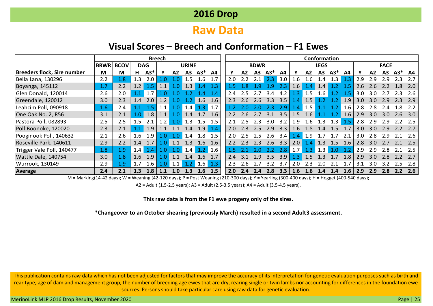# **Raw Data**

### **Visual Scores – Breech and Conformation – F1 Ewes**

|                             |             | <b>Breech</b> |     |            |                  |     |                  |               |                   |     |                |             |       |     |                  |     | Conformation   |                 |     |                  |               |                  |       |     |
|-----------------------------|-------------|---------------|-----|------------|------------------|-----|------------------|---------------|-------------------|-----|----------------|-------------|-------|-----|------------------|-----|----------------|-----------------|-----|------------------|---------------|------------------|-------|-----|
|                             | <b>BRWR</b> | <b>BCOV</b>   |     | <b>DAG</b> |                  |     | <b>URINE</b>     |               |                   |     |                | <b>BDWR</b> |       |     |                  |     | <b>LEGS</b>    |                 |     |                  |               | <b>FACE</b>      |       |     |
| Breeders flock, Sire number | M           | M             | н   | $A3*$      |                  | A2  | А3               | $A3*$         | A4                |     | A <sub>2</sub> | A3          | $A3*$ | A4  |                  | A2  | A <sub>3</sub> | $A3*$           | A4  |                  | A2            | A3               | $A3*$ | A4  |
| Bella Lana, 130296          | 2.2         | 1.8           | 1.3 | 2.0        | 1.0              |     | 1.5              | 1.6           | 1.7               | 2.0 | 2.2            | 2.1         | 2.3   | 3.0 | $\overline{4.6}$ | .6  | 1.4            | 1.3             |     | 2.9              | 2.9           | 2.9              | 2.3   | 2.7 |
| Boyanga, 145112             | 1.7         | 2.2           | 1.2 | 1.5        | 1.1              | 1.0 | 1.3              | $1.4^{\circ}$ | 1.3               |     |                |             | .9    |     | 1.6              |     | 1.4            |                 | 1.5 | 2.6              | 2.6           | 2.2              | 1.8   | 2.0 |
| Glen Donald, 120014         | 2.6         | 2.0           |     | 1.7        |                  |     |                  | 1 4           | 1.4               | 2.4 |                |             | 3.4   | 4.2 | .3               | 1.5 | .6             |                 | 1.5 | 3.0 <sub>2</sub> | 3.O           |                  | 2.3   | 2.6 |
| Greendale, 120012           | 3.0         | 2.3           | 1.4 | 2.0        | 1.2              | 1.0 |                  | 1.6           | 1.6               | 2.3 | 2.6            | 2.6         | 3.3   | 3.5 | $\mathcal{A}$    | 1.5 |                | .2              | 1.9 | 3.0              | 3.0           | 2.9              | 2.3   | 2.9 |
| Leahcim Poll, 090918        | 1.6         | 2.4           |     |            | 1.1              | 1.0 | 1.4              | 1.3           | $\vert 1.7 \vert$ |     |                |             | 2.3   | 2.9 | $\cdot$ 4        | 1.5 |                | $\overline{.2}$ | 1.6 | 2.8              | 2.8           | 2.4              | 1.8   | 2.2 |
| One Oak No. 2, R56          | 3.1         | 2.1           | 1.0 | 1.8        | 1.1              | 1.0 | 1.4              | 1.7           | 1.6               | 2.2 | 2.6            |             | 3.1   | 3.5 | 1.5              | 1.6 | . 1            | $\cdot$ .2      | 1.6 | 2.9              | 3.0           | 3.0 <sub>2</sub> | 2.6   | 3.0 |
| Pastora Poll, 082893        | 2.5         | 2.5           | 1.5 | 2.1        | $1.2^{\circ}$    | 1.0 | 1.3              | 1.5           | 1.5               | 2.1 | 2.5            | 2.3         | 3.0   | 3.2 | 9                | .6  | 1.3            | 1.3             | 1.5 | 2.8              | 2.9           | 2.9              | 2.2   | 2.5 |
| Poll Boonoke, 120020        | 2.3         | 2.1           |     | 1.9        | 1.1              | 1.1 | 1.4              | 1.9           | 1.4               | 2.0 | 23             | 2.5         | 2.9   | 3.3 | 1.6              | 1.8 | $\mathbf{A}$   | 1.5             | 1.7 | 3.0              | $3.0^{\circ}$ | 2.9              | 2.2   | 2.7 |
| Pooginook Poll, 140632      | 2.1         | 2.6           | 1.6 | 1.9        | 1.0 <sub>1</sub> | 1.0 | 1.4              | 1.8           | 1.5               | 2.0 | 2.5            | 2.5         | 2.6   | 3.4 | .4               | 1.9 |                |                 | 2.1 | 3.0              | 2.8           | 2.9              | 2.1   | 2.6 |
| Roseville Park, 140611      | 2.9         | 2.2           | 1.4 | 1.7        | 1.0              |     | 1.3              | 1.6           | 1.6               | 2.2 |                | 2.3         | 2.6   | 3.3 | 2.0              |     | 1.3            | 1.5             | 1.6 | 2.8              | 3.0           |                  | 2.1   | 2.5 |
| Trigger Vale Poll, 140477   | 1.8         | 1.9           | 1.4 | 1.4        | 1.0              |     | 1.4 <sub>1</sub> | 1.2           | $\vert$ 1.6       |     |                |             |       | 2.8 | .7               | .3  | 1.3            | .0              |     | 2.9              | 2.9           | 2.8              | 2.1   | 2.5 |
| Wattle Dale, 140754         | 3.0         | 1.8           | 1.6 | 1.9        | 1.0              | 1.1 | 1.4              | 1.6           | 1.7               | 2.4 | .3.1           | 2.9         | 3.5   | 3.9 | .3               | 1.5 | .3             |                 | 1.8 | 2.9              | 3.0           | 2.8              | 2.2   | 2.7 |
| Wurrook, 130149             | 2.9         | 1.9           | 1.7 | $1.6\,$    | 1.0              | 1.1 |                  | $1.6\,$       | 1.3               | 2.3 | 2.6            |             | 3.2   | 3.7 | $\cdot$ .0       | 2.3 | 2.0            | 2.1             | 17  | 3.1              | 3.0           | $3.2^{\circ}$    | 2.5   | 2.8 |
| <b>Average</b>              | 2.4         | 2.1           | 1.3 | 1.8        | 1.1              | 1.0 | 1.3              | 1.6           | 1.5               | 2.0 | 2.4            | 2.4         | 2.8   | 3.3 | 1.6              | 1.6 | 1.4            | 1.4             | 1.6 | 2.9              | 2.9           | 2.8              | 2.2   | 2.6 |

M = Marking(14-42 days); W = Weaning (42-120 days); P = Post Weaning (210-300 days); Y = Yearling (300-400 days); H = Hogget (400-540 days);

A2 = Adult (1.5-2.5 years); A3 = Adult (2.5-3.5 years); A4 = Adult (3.5-4.5 years).

**This raw data is from the F1 ewe progeny only of the sires.**

**\*Changeover to an October shearing (previously March) resulted in a second Adult3 assessment.**

This publication contains raw data which has not been adjusted for factors that may improve the accuracy of its interpretation for genetic evaluation purposes such as birth and rear type, age of dam and management group, the number of breeding age ewes that are dry, rearing single or twin lambs nor accounting for differences in the foundation ewe sources. Persons should take particular care using raw data for genetic evaluation.

MerinoLink MLP 2016 Drop Results, November 2020 Page | 25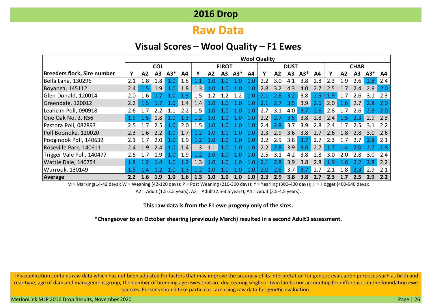## **Raw Data**

#### **Visual Scores – Wool Quality – F1 Ewes**

|                             |     |                  |                  |                  |     |                |           |                |                  |     | <b>Wool Quality</b> |                |             |       |     |     |                |             |                  |                    |
|-----------------------------|-----|------------------|------------------|------------------|-----|----------------|-----------|----------------|------------------|-----|---------------------|----------------|-------------|-------|-----|-----|----------------|-------------|------------------|--------------------|
|                             |     |                  | <b>COL</b>       |                  |     |                |           | <b>FLROT</b>   |                  |     |                     |                | <b>DUST</b> |       |     |     |                | <b>CHAR</b> |                  |                    |
| Breeders flock, Sire number |     | A <sub>2</sub>   | A3               | $A3*$            | A4  |                | A2        | A <sub>3</sub> | $A3*$            | A4  | ν                   | A <sub>2</sub> | A3          | $A3*$ | A4  |     | A <sub>2</sub> | A3          | $A3*$            | A4                 |
| Bella Lana, 130296          | 2.1 | 1.8              | 1.8              | 1.0              | 1.5 |                |           |                |                  | 1.0 | 2.2                 | 3.0            | 4.1         | 3.8   | 2.8 | 2.3 | 1.9            | 2.6         | 2.8              | 2.4                |
| Boyanga, 145112             | 2.4 | $1.5\phantom{0}$ | 1.9              |                  | 1.8 | 1.3            |           |                |                  |     | 2.8                 | 3.2            | 4.3         | 4.0   | 2.7 | 2.5 |                | 2 4         | 2.9              |                    |
| Glen Donald, 120014         | 2.0 | $1.6\phantom{0}$ |                  |                  | 1.3 | 1.5            | ာ         | 1 2            | 1.2              | 1.0 | 2.1                 | 2.8            | 3.2         | 3.8   | 2.5 | 1.9 | 1.7            | 2.6         |                  | 2.3                |
| Greendale, 120012           | 2.2 | 15               |                  | <b>TO</b>        | 1.4 | 1.4            |           |                |                  | 1.0 | 2.1                 | 2.7            | 3.5         | 3.9   | 2.6 | 2.0 | 1.6            | 2.7         | 2.8              | 2.0                |
| Leahcim Poll, 090918        | 2.6 |                  |                  |                  | 2.2 | 1.5            | $\cdot$ 0 |                | - റ              | 1.0 | 2.7                 | 3.1            | 4.0         | 3.7   | 2.6 | 2.8 |                | 2.6         | 2.8              |                    |
| One Oak No. 2, R56          | 1.9 | 1.5              | 1.8              | $\Omega$         | 1.3 |                |           |                | 1.0              | 1.0 | 2.2                 | 2.7            | 3.5         | 3.8   | 2.8 | 2.4 | $1.5\,$        | 2.3         | 2.9              | 2.3                |
| Pastora Poll, 082893        | 2.5 | 17               | 2.5              | 1.0              | 2.0 | 1.5            | $\Omega$  |                |                  | 1.0 | 2.4                 | 2.8            | 3.7         | 3.9   | 2.8 | 2.4 |                | 2.5         | 3.1              | 2.2                |
| Poll Boonoke, 120020        | 2.3 | 1.6              | 2.2              | 1.0              | 1.7 | 1 <sub>2</sub> |           |                |                  | 1.0 | 2.3                 | 2.9            | 3.6         | 3.8   | 2.7 | 2.6 | 1.8            | 2.8         | 3.0              | 2.6                |
| Pooginook Poll, 140632      | 2.1 | 17               | 2.0              | 1.0              | 1.9 |                |           |                | 1 ∩              | 1.0 | 2.2                 | 2.9            | 3.8         | 3.7   | 2.7 | 2.3 | 1.7            | 2.7         | 2.8              | $\blacksquare$ 2.1 |
| Roseville Park, 140611      | 2.4 | 1.9              | 2.4              | 1.0              | 1.4 | 1.3            | 1.1       | 1.0            | 1.0              | 1.0 | 2.2                 | 2.8            | 3.9         | 3.6   | 2.7 | 1.7 |                |             |                  |                    |
| Trigger Vale Poll, 140477   | 2.5 | 1.7              | 1.9 <sub>2</sub> | 1.0 <sub>l</sub> | 1.9 |                |           |                |                  | 1.0 | 2.5                 | 3.1            |             | 3.8   | 2.8 | 3.0 | 2.0            | 2.8         | 3.0 <sub>2</sub> | 2.4                |
| Wattle Dale, 140754         | 1.8 |                  | -4               |                  | 12  | 1.3            |           |                |                  | ⊟Ω  | 2.1                 | 2.8            | 3.9         | 3.8   | 2.8 | 1.9 | 1.6            |             | 2.8              | 2.2                |
| Wurrook, 130149             |     |                  |                  |                  |     |                |           |                |                  |     | 2.0                 | 2.8            | 3.7         | 3.7   | 2.7 | 2.1 | 1.8            | 2.3         | 2.9              | 2.1                |
| Average                     | 2.2 | 1.6              | 1.9              | 1.0              | 1.6 | 1.3            | 1.0       | 1.0            | 1.0 <sub>1</sub> | 1.0 | 2.3                 | 2.9            | 3.8         | 3.8   | 2.7 | 2.3 |                | 2.5         | 2.9              | 2.2                |

M = Marking(14-42 days); W = Weaning (42-120 days); P = Post Weaning (210-300 days); Y = Yearling (300-400 days); H = Hogget (400-540 days);

A2 = Adult (1.5-2.5 years); A3 = Adult (2.5-3.5 years); A4 = Adult (3.5-4.5 years).

#### **This raw data is from the F1 ewe progeny only of the sires.**

**\*Changeover to an October shearing (previously March) resulted in a second Adult3 assessment.**

This publication contains raw data which has not been adjusted for factors that may improve the accuracy of its interpretation for genetic evaluation purposes such as birth and rear type, age of dam and management group, the number of breeding age ewes that are dry, rearing single or twin lambs nor accounting for differences in the foundation ewe sources. Persons should take particular care using raw data for genetic evaluation.

MerinoLink MLP 2016 Drop Results, November 2020 Page | 26 April 2017 12:00 Page | 26 April 2016 Page | 26 Page | 26 Page | 26 Page | 26 Page | 26 Page | 26 Page | 26 Page | 26 Page | 26 Page | 26 Page | 26 Page | 26 Page |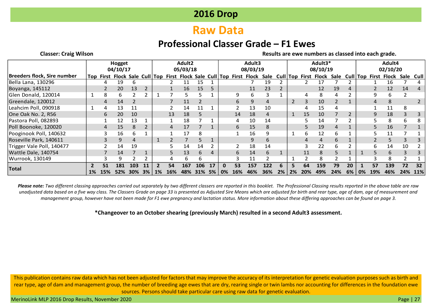# **Raw Data**

## **Professional Classer Grade – F1 Ewes**

**Classer: Craig Wilson Results are ewe numbers as classed into each grade.**

|                             | Hogget<br>04/10/17<br>Top First Flock Sale Cull Top First Flock Sale Cull Top First Flock Sale |            |     |        |    |       | Adult <sub>2</sub><br>05/03/18 |     |     |    |    | Adult3<br>08/03/19 |     |     |       |    | Adult3*<br>08/10/19 |                           |     |    |    | Adult4<br>02/10/20 |                      |      |            |
|-----------------------------|------------------------------------------------------------------------------------------------|------------|-----|--------|----|-------|--------------------------------|-----|-----|----|----|--------------------|-----|-----|-------|----|---------------------|---------------------------|-----|----|----|--------------------|----------------------|------|------------|
| Breeders flock, Sire number |                                                                                                |            |     |        |    |       |                                |     |     |    |    |                    |     |     |       |    |                     | Cull Top First Flock Sale |     |    |    |                    | Cull Top First Flock | Sale | Cull       |
| Bella Lana, 130296          |                                                                                                |            | 19  |        |    |       |                                |     | 15  |    |    |                    |     | 19  |       |    |                     | 17                        |     |    |    |                    | 16                   |      |            |
| Boyanga, 145112             |                                                                                                |            | 20  | 13     |    |       |                                | 16  | 15  |    |    |                    | 11  | 23  |       |    |                     | 12                        | 19  | 4  |    |                    | 12                   | 14   |            |
| Glen Donald, 120014         |                                                                                                | 8          | 6   |        |    |       |                                |     |     |    |    |                    | b.  |     |       |    |                     | 8                         |     |    |    |                    | h                    |      |            |
| Greendale, 120012           |                                                                                                |            | 14  |        |    |       |                                | 11  |     |    |    | 6                  |     | 4   |       |    |                     | 10                        |     |    |    | 4                  |                      |      |            |
| Leahcim Poll, 090918        |                                                                                                |            | 13  | 11     |    |       |                                | 14  | 11  |    |    |                    | 13  | 10  |       |    |                     | 15                        |     |    |    |                    | 11                   |      |            |
| One Oak No. 2, R56          |                                                                                                | 6          | 20  | 10     |    |       | 13                             | 18  |     |    |    | 14                 | 18  |     |       |    | 15                  | 10                        |     |    |    |                    | 18                   |      |            |
| Pastora Poll, 082893        |                                                                                                |            | 12  | 13     |    |       |                                | 18  |     |    |    |                    | 10  | 14  |       |    |                     | 14                        |     |    |    |                    | 8                    |      |            |
| Poll Boonoke, 120020        |                                                                                                | 4          | 15  | 8      |    |       |                                | 17  |     |    |    | 6                  | 15  | 8   |       |    |                     | 19                        | 4   |    |    |                    | 16                   |      |            |
| Pooginook Poll, 140632      |                                                                                                |            | 16  | h      |    |       |                                | 17  | 8   |    |    |                    | 16  | 9   |       |    | 6                   | 12                        | h   |    |    |                    | 11                   |      |            |
| Roseville Park, 140611      |                                                                                                |            | 9   | 4      |    |       |                                |     | 5   |    |    |                    | 9   | 6   |       |    | 4                   | 4                         | b.  |    |    |                    | 5.                   |      |            |
| Trigger Vale Poll, 140477   |                                                                                                |            | 14  | 19     |    |       |                                | 14  | 14  |    |    |                    | 18  | 14  |       |    |                     | 22                        | b.  |    |    | h                  | 14                   | 10   |            |
| Wattle Dale, 140754         |                                                                                                |            | 14  |        |    |       |                                | 13  | 6   |    |    | 6                  | 14  | 6   |       |    | 11                  | 8                         |     |    |    |                    |                      |      |            |
| Wurrook, 130149             |                                                                                                |            | q   |        |    |       |                                | 6   | 6   |    |    |                    | 11  |     |       |    |                     | ጸ                         |     |    |    |                    |                      |      |            |
|                             |                                                                                                | 51         | 181 | 103    |    |       | 54                             | 167 | 106 | 17 | n  | 53                 | 157 | 122 |       |    | 64                  | 159                       | 79  | 20 |    | 57                 | 139                  | 72   | 32         |
| <b>Total</b>                | $1\%$                                                                                          | <b>15%</b> | 52% | $30\%$ | 3% | $1\%$ | 16%                            | 48% | 31% | 5% | 0% | 16%                | 46% | 36% | $2\%$ | 2% | 20%                 | 49%                       | 24% | 6% | 0% | 19%                | 46%                  | 24%  | <b>11%</b> |

*Please note: Two different classing approaches carried out separately by two different classers are reported in this booklet. The Professional Classing results reported in the above table are raw unadjusted data based on a five way class. The Classers Grade on page 33 is presented as Adjusted Sire Means which are adjusted for birth and rear type, age of dam, age of measurement and management group, however have not been made for F1 ewe pregnancy and lactation status. More information about these differing approaches can be found on page 3.*

**\*Changeover to an October shearing (previously March) resulted in a second Adult3 assessment.**

This publication contains raw data which has not been adjusted for factors that may improve the accuracy of its interpretation for genetic evaluation purposes such as birth and rear type, age of dam and management group, the number of breeding age ewes that are dry, rearing single or twin lambs nor accounting for differences in the foundation ewe sources. Persons should take particular care using raw data for genetic evaluation.

MerinoLink MLP 2016 Drop Results, November 2020 **Page 127** November 2020 Page 127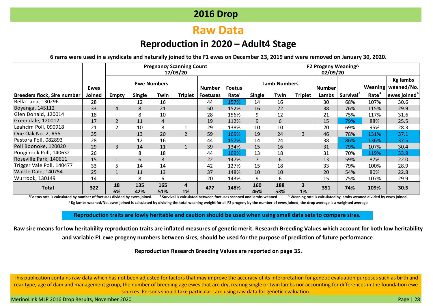# **Raw Data**

## **Reproduction in 2020 – Adult4 Stage**

**6 rams were used in a syndicate and naturally joined to the F1 ewes on December 23, 2019 and were removed on January 30, 2020.**

|                                    |             |                |                    |            | <b>Pregnancy Scanning Count</b><br>17/03/20 |                 |                   |               |                     |                               | F2 Progeny Weaning^<br>02/09/20 |                       |      |                                         |
|------------------------------------|-------------|----------------|--------------------|------------|---------------------------------------------|-----------------|-------------------|---------------|---------------------|-------------------------------|---------------------------------|-----------------------|------|-----------------------------------------|
|                                    | <b>Ewes</b> |                | <b>Ewe Numbers</b> |            |                                             | <b>Number</b>   | <b>Foetus</b>     |               | <b>Lamb Numbers</b> |                               | <b>Number</b>                   |                       |      | <b>Kg lambs</b><br>Weaning   weaned/No. |
| <b>Breeders flock, Sire number</b> | Joined      | <b>Empty</b>   | <b>Single</b>      | Twin       | Triplet                                     | <b>Foetuses</b> | Rate <sup>1</sup> | <b>Single</b> | Twin                | <b>Triplet</b>                | Lambs                           | Survival <sup>2</sup> | Rate | $ $ ewes joined ${}^4$                  |
| Bella Lana, 130296                 | 28          |                | 12                 | 16         |                                             | 44              | 157%              | 14            | 16                  |                               | 30                              | 68%                   | 107% | 30.6                                    |
| Boyanga, 145112                    | 33          | 4              | 8                  | 21         |                                             | 50              | 152%              | 16            | 22                  |                               | 38                              | 76%                   | 115% | 29.9                                    |
| Glen Donald, 120014                | 18          |                | 8                  | 10         |                                             | 28              | 156%              | 9             | 12                  |                               | 21                              | 75%                   | 117% | 31.6                                    |
| Greendale, 120012                  | 17          |                | 11                 | 4          |                                             | 19              | 112%              | 9             | 6                   |                               | 15                              | 79%                   | 88%  | 25.5                                    |
| Leahcim Poll, 090918               | 21          | $\overline{2}$ | 10                 | 8          |                                             | 29              | 138%              | 10            | 10                  |                               | 20                              | 69%                   | 95%  | 28.3                                    |
| One Oak No. 2, R56                 | 35          |                | 13                 | 20         | $\overline{2}$                              | 59              | 169%              | 19            | 24                  | 3                             | 46                              | 78%                   | 131% | 37.1                                    |
| Pastora Poll, 082893               | 28          |                | 12                 | 16         |                                             | 44              | 157%              | 14            | 24                  |                               | 38                              | 86%                   | 136% | 37.5                                    |
| Poll Boonoke, 120020               | 29          | 3              | 14                 | 11         | $\mathbf{1}$                                | 39              | 134%              | 15            | 16                  |                               | 31                              | 79%                   | 107% | 30.4                                    |
| Pooginook Poll, 140632             | 26          |                | 8                  | 18         |                                             | 44              | 169%              | 13            | 18                  |                               | 31                              | 70%                   | 119% | 33.8                                    |
| Roseville Park, 140611             | 15          |                | 6                  | 8          |                                             | 22              | 147%              | 7             | 6                   |                               | 13                              | 59%                   | 87%  | 22.0                                    |
| Trigger Vale Poll, 140477          | 33          | 5              | 14                 | 14         |                                             | 42              | 127%              | 15            | 18                  |                               | 33                              | 79%                   | 100% | 28.9                                    |
| Wattle Dale, 140754                | 25          |                | 11                 | 13         |                                             | 37              | 148%              | 10            | 10                  |                               | 20                              | 54%                   | 80%  | 22.8                                    |
| Wurrook, 130149                    | 14          |                | 8                  | 6          |                                             | 20              | 143%              | 9             | 6                   |                               | 15                              | 75%                   | 107% | 29.9                                    |
| <b>Total</b>                       | 322         | 18<br>6%       | 135<br>42%         | 165<br>51% | 4<br>1%                                     | 477             | 148%              | 160<br>46%    | 188<br>53%          | $\overline{\mathbf{3}}$<br>1% | 351                             | 74%                   | 109% | 30.5                                    |

**<sup>1</sup>Foetus rate is calculated by number of foetuses divided by ewes joined. <sup>2</sup> Survival is calculated between foetuses scanned and lambs weaned <sup>3</sup> Weaning rate is calculated by lambs weaned divided by ewes joined. <sup>4</sup> Kg lambs weaned/No. ewes joined is calculated by dividing the total weaning weight for all F2 progeny by the number of ewes joined, the drop average is a weighted average**

**Reproduction traits are lowly heritable and caution should be used when using small data sets to compare sires.**

**Raw sire means for low heritability reproduction traits are inflated measures of genetic merit. Research Breeding Values which account for both low heritability and variable F1 ewe progeny numbers between sires, should be used for the purpose of prediction of future performance**.

**Reproduction Research Breeding Values are reported on page 35.**

This publication contains raw data which has not been adjusted for factors that may improve the accuracy of its interpretation for genetic evaluation purposes such as birth and rear type, age of dam and management group, the number of breeding age ewes that are dry, rearing single or twin lambs nor accounting for differences in the foundation ewe sources. Persons should take particular care using raw data for genetic evaluation.

MerinoLink MLP 2016 Drop Results, November 2020 Page | 28 April 2016 Page | 28 April 2017 Page | 28 April 2017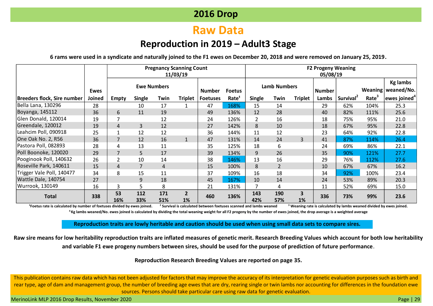# **Raw Data**

## **Reproduction in 2019 – Adult3 Stage**

**6 rams were used in a syndicate and naturally joined to the F1 ewes on December 20, 2018 and were removed on January 25, 2019.**

|                                    |             |                                                                        |                |            | <b>Pregnancy Scanning Count</b><br>11/03/19 |                 |                   |               |                     |                               | <b>F2 Progeny Weaning</b><br>05/08/19 |                       |                   |                                         |
|------------------------------------|-------------|------------------------------------------------------------------------|----------------|------------|---------------------------------------------|-----------------|-------------------|---------------|---------------------|-------------------------------|---------------------------------------|-----------------------|-------------------|-----------------------------------------|
|                                    | <b>Ewes</b> | <b>Ewe Numbers</b><br>Single<br><b>Triplet</b><br>Twin<br><b>Empty</b> |                |            |                                             | <b>Number</b>   | <b>Foetus</b>     |               | <b>Lamb Numbers</b> |                               | <b>Number</b>                         |                       |                   | <b>Kg lambs</b><br>Weaning   weaned/No. |
| <b>Breeders flock, Sire number</b> | Joined      |                                                                        |                |            |                                             | <b>Foetuses</b> | Rate <sup>1</sup> | <b>Single</b> | Twin                | <b>Triplet</b>                | Lambs                                 | Survival <sup>2</sup> | Rate <sup>3</sup> | ewes joined <sup>4</sup>                |
| Bella Lana, 130296                 | 28          |                                                                        | 10             | 17         |                                             | 47              | 168%              | 15            | 14                  |                               | 29                                    | 62%                   | 104%              | 25.3                                    |
| Boyanga, 145112                    | 36          | 6                                                                      | 11             | 19         |                                             | 49              | 136%              | 12            | 28                  |                               | 40                                    | 82%                   | 111%              | 25.6                                    |
| Glen Donald, 120014                | 19          |                                                                        |                | 12         |                                             | 24              | 126%              |               | 16                  |                               | 18                                    | 75%                   | 95%               | 21.0                                    |
| Greendale, 120012                  | 19          | 4                                                                      | 3              | 12         |                                             | 27              | 142%              | 8             | 10                  |                               | 18                                    | 67%                   | 95%               | 22.8                                    |
| Leahcim Poll, 090918               | 25          |                                                                        | 12             | 12         |                                             | 36              | 144%              | 11            | 12                  |                               | 23                                    | 64%                   | 92%               | 22.8                                    |
| One Oak No. 2, R56                 | 36          | $\overline{7}$                                                         | 12             | 16         | $\mathbf{1}$                                | 47              | 131%              | 14            | 24                  | 3                             | 41                                    | 87%                   | 114%              | 26.4                                    |
| Pastora Poll, 082893               | 28          | 4                                                                      | 13             | 11         |                                             | 35              | 125%              | 18            | 6                   |                               | 24                                    | 69%                   | 86%               | 22.1                                    |
| Poll Boonoke, 120020               | 29          | $\overline{7}$                                                         | 5              | 17         |                                             | 39              | 134%              | 9             | 26                  |                               | 35                                    | 90%                   | 121%              | 27.7                                    |
| Pooginook Poll, 140632             | 26          |                                                                        | 10             | 14         |                                             | 38              | 146%              | 13            | 16                  |                               | 29                                    | 76%                   | 112%              | 27.6                                    |
| Roseville Park, 140611             | 15          | 4                                                                      | $\overline{7}$ | 4          |                                             | 15              | 100%              | 8             | $\overline{2}$      |                               | 10                                    | 67%                   | 67%               | 16.2                                    |
| Trigger Vale Poll, 140477          | 34          | 8                                                                      | 15             | 11         |                                             | 37              | 109%              | 16            | 18                  |                               | 34                                    | 92%                   | 100%              | 23.4                                    |
| Wattle Dale, 140754                | 27          |                                                                        | 9              | 18         |                                             | 45              | 167%              | 10            | 14                  |                               | 24                                    | 53%                   | 89%               | 20.3                                    |
| Wurrook, 130149                    | 16          | 3                                                                      | 5              | 8          |                                             | 21              | 131%              |               | 4                   |                               | 11                                    | 52%                   | 69%               | 15.0                                    |
| <b>Total</b>                       | 338         | 53<br>16%                                                              | 112<br>33%     | 171<br>51% | $\overline{2}$<br>1%                        | 460             | 136%              | 143<br>42%    | 190<br>57%          | $\overline{\mathbf{3}}$<br>1% | 336                                   | 73%                   | 99%               | 23.6                                    |

**<sup>1</sup>Foetus rate is calculated by number of foetuses divided by ewes joined. <sup>2</sup> Survival is calculated between foetuses scanned and lambs weaned <sup>3</sup> Weaning rate is calculated by lambs weaned divided by ewes joined. <sup>4</sup> Kg lambs weaned/No. ewes joined is calculated by dividing the total weaning weight for all F2 progeny by the number of ewes joined, the drop average is a weighted average**

#### **Reproduction traits are lowly heritable and caution should be used when using small data sets to compare sires.**

**Raw sire means for low heritability reproduction traits are inflated measures of genetic merit. Research Breeding Values which account for both low heritability and variable F1 ewe progeny numbers between sires, should be used for the purpose of prediction of future performance**.

#### **Reproduction Research Breeding Values are reported on page 35.**

This publication contains raw data which has not been adjusted for factors that may improve the accuracy of its interpretation for genetic evaluation purposes such as birth and rear type, age of dam and management group, the number of breeding age ewes that are dry, rearing single or twin lambs nor accounting for differences in the foundation ewe sources. Persons should take particular care using raw data for genetic evaluation.

MerinoLink MLP 2016 Drop Results, November 2020 Page | 29 Access 2020 Page | 29 Access 2020 Page | 29 Access 2020 Page | 29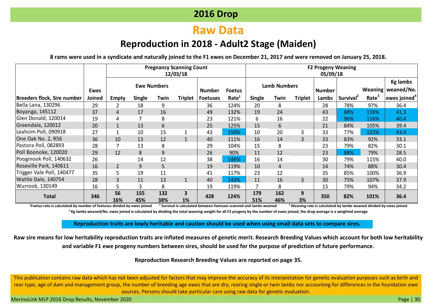# **Raw Data**

## **Reproduction in 2018 - Adult2 Stage (Maiden)**

**8 rams were used in a syndicate and naturally joined to the F1 ewes on December 21, 2017 and were removed on January 25, 2018.**

|                             |             |                    | <b>Pregnancy Scanning Count</b><br>12/03/18 |            |                               |                 |                     | <b>F2 Progeny Weaning</b><br>05/09/18 |            |                |       |                       |                                         |                              |  |  |
|-----------------------------|-------------|--------------------|---------------------------------------------|------------|-------------------------------|-----------------|---------------------|---------------------------------------|------------|----------------|-------|-----------------------|-----------------------------------------|------------------------------|--|--|
|                             | <b>Ewes</b> | <b>Ewe Numbers</b> |                                             |            | <b>Number</b>                 | <b>Foetus</b>   | <b>Lamb Numbers</b> |                                       |            | <b>Number</b>  |       |                       | <b>Kg lambs</b><br>Weaning   weaned/No. |                              |  |  |
| Breeders flock, Sire number | Joined      | <b>Empty</b>       | <b>Single</b>                               | Twin       | <b>Triplet</b>                | <b>Foetuses</b> | Rate <sup>1</sup>   | <b>Single</b>                         | Twin       | <b>Triplet</b> | Lambs | Survival <sup>2</sup> | Rate <sup>3</sup>                       | $ $ ewes joined <sup>4</sup> |  |  |
| Bella Lana, 130296          | 29          | 2                  | 18                                          | 9          |                               | 36              | 124%                | 20                                    | 8          |                | 28    | 78%                   | 97%                                     | 36.4                         |  |  |
| Boyanga, 145112             | 37          | 4                  | 17                                          | 16         |                               | 49              | 132%                | 19                                    | 24         |                | 43    | 88%                   | 116%                                    | 41.3                         |  |  |
| Glen Donald, 120014         | 19          | 4                  |                                             | 8          |                               | 23              | 121%                | 6                                     | 16         |                | 22    | 96%                   | 116%                                    | 40.4                         |  |  |
| Greendale, 120012           | 20          |                    | 13                                          | 6          |                               | 25              | 125%                | 15                                    | 6          |                | 21    | 84%                   | 105%                                    | 39.4                         |  |  |
| Leahcim Poll, 090918        | 27          |                    | 10                                          | 15         |                               | 43              | 159%                | 10                                    | 20         | 3              | 33    | 77%                   | 122%                                    | 43.4                         |  |  |
| One Oak No. 2, R56          | 36          | 10                 | 13                                          | 12         |                               | 40              | 111%                | 16                                    | 14         | 3              | 33    | 83%                   | 92%                                     | 33.1                         |  |  |
| Pastora Poll, 082893        | 28          |                    | 13                                          | 8          |                               | 29              | 104%                | 15                                    | 8          |                | 23    | 79%                   | 82%                                     | 30.1                         |  |  |
| Poll Boonoke, 120020        | 29          | 12                 | 8                                           | 9          |                               | 26              | 90%                 | 11                                    | 12         |                | 23    | 88%                   | 79%                                     | 28.5                         |  |  |
| Pooginook Poll, 140632      | 26          |                    | 14                                          | 12         |                               | 38              | 146%                | 16                                    | 14         |                | 30    | 79%                   | 115%                                    | 40.0                         |  |  |
| Roseville Park, 140611      | 16          | $\overline{2}$     | 9                                           | 5          |                               | 19              | 119%                | 10                                    | 4          |                | 14    | 74%                   | 88%                                     | 30.4                         |  |  |
| Trigger Vale Poll, 140477   | 35          | 5                  | 19                                          | 11         |                               | 41              | 117%                | 23                                    | 12         |                | 35    | 85%                   | 100%                                    | 36.9                         |  |  |
| Wattle Dale, 140754         | 28          | 3                  | 11                                          | 13         | $\mathbf{1}$                  | 40              | 143%                | 11                                    | 16         | 3              | 30    | 75%                   | 107%                                    | 37.9                         |  |  |
| Wurrook, 130149             | 16          | 5                  | 3                                           | 8          |                               | 19              | 119%                |                                       | 8          |                | 15    | 79%                   | 94%                                     | 34.2                         |  |  |
| <b>Total</b>                | 346         | 56<br>16%          | 155<br>45%                                  | 132<br>38% | $\overline{\mathbf{3}}$<br>1% | 428             | 124%                | 179<br>51%                            | 162<br>46% | 9<br>3%        | 350   | 82%                   | 101%                                    | 36.4                         |  |  |

<sup>1</sup>Foetus rate is calculated by number of foetuses divided by ewes joined <sup>2</sup> Survival is calculated between foetuses scanned and lambs weaned <sup>3</sup> Weaning rate is calculated by lambs weaned divided by ewes joined **<sup>4</sup> Kg lambs weaned/No. ewes joined is calculated by dividing the total weaning weight for all F2 progeny by the number of ewes joined, the drop average is a weighted average**

**Reproduction traits are lowly heritable and caution should be used when using small data sets to compare sires.**

**Raw sire means for low heritability reproduction traits are inflated measures of genetic merit. Research Breeding Values which account for both low heritability and variable F1 ewe progeny numbers between sires, should be used for the purpose of prediction of future performance**.

#### **Reproduction Research Breeding Values are reported on page 35.**

This publication contains raw data which has not been adjusted for factors that may improve the accuracy of its interpretation for genetic evaluation purposes such as birth and rear type, age of dam and management group, the number of breeding age ewes that are dry, rearing single or twin lambs nor accounting for differences in the foundation ewe sources. Persons should take particular care using raw data for genetic evaluation.

MerinoLink MLP 2016 Drop Results, November 2020 Page | 30 November 2020 Page | 30 November 2020 Page | 30 November 2020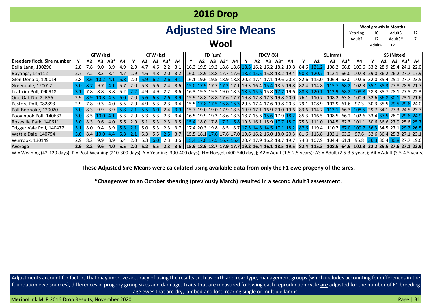| <b>2016 Drop</b>                                    |                                                                             |                  |                  |     |               |                 |                 |               |               |           |  |    |  |             |    |    |                                                                                                                                                              |    |                 |       |                                           |    |    |                          |  |    |
|-----------------------------------------------------|-----------------------------------------------------------------------------|------------------|------------------|-----|---------------|-----------------|-----------------|---------------|---------------|-----------|--|----|--|-------------|----|----|--------------------------------------------------------------------------------------------------------------------------------------------------------------|----|-----------------|-------|-------------------------------------------|----|----|--------------------------|--|----|
| Wool growth in Months<br><b>Adjusted Sire Means</b> |                                                                             |                  |                  |     |               |                 |                 |               |               |           |  |    |  |             |    |    |                                                                                                                                                              |    |                 |       |                                           |    |    |                          |  |    |
|                                                     |                                                                             |                  |                  |     |               |                 |                 |               |               |           |  |    |  |             |    |    |                                                                                                                                                              |    |                 |       | Yearling                                  | 10 |    | Adult3                   |  | 12 |
| Adult <sub>2</sub><br>12<br>Adult3*<br>Wool         |                                                                             |                  |                  |     |               |                 |                 |               |               |           |  |    |  |             |    |    |                                                                                                                                                              |    |                 |       |                                           |    |    |                          |  |    |
| 12<br>Adult4                                        |                                                                             |                  |                  |     |               |                 |                 |               |               |           |  |    |  |             |    |    |                                                                                                                                                              |    |                 |       |                                           |    |    |                          |  |    |
|                                                     | GFW (kg)<br>CFW (kg)<br>FD (µm)<br><b>FDCV</b> (%)<br>SS (Nktex)<br>SL (mm) |                  |                  |     |               |                 |                 |               |               |           |  |    |  |             |    |    |                                                                                                                                                              |    |                 |       |                                           |    |    |                          |  |    |
| <b>Breeders flock, Sire number</b>                  | Y                                                                           | A2               | A3               | A3* | A4            |                 | A2              | <b>A3</b>     | A3*           | A4        |  | A2 |  | $A3 \tA3^*$ | A4 | A2 | A3 A3*<br>- A4                                                                                                                                               | A2 | A3              | $A3*$ | A4                                        |    | A2 | A3 A3* A4                |  |    |
| Bella Lana, 130296                                  | 2.8                                                                         | 7.8              | 9.0              | 3.9 | 4.9           | 2.0             | 4.7             | 4.6           | $2.2^{\circ}$ | 3.1       |  |    |  |             |    |    | 16.3 19.5 19.2 18.8 18.6 18.5 16.2 16.2 18.2 19.8   84.6 121.2                                                                                               |    |                 |       | 108.2 66.8 100.6 33.2 28.9 25.4 24.1 22.0 |    |    |                          |  |    |
| Boyanga, 145112                                     | 2.7                                                                         | 7.2              | 8.3              | 3.4 | 4.7           | 1.9             |                 | 4.8           | 2.0           | 3.2       |  |    |  |             |    |    | 16.0 18.9 18.8 17.7 17.6 18.2 15.5 15.8 18.2 19.4 90.3 120.7                                                                                                 |    | 112.1           |       | 66.0 107.3 29.0 36.2 26.2 27.7 17.9       |    |    |                          |  |    |
| Glen Donald, 120014                                 | 2.8                                                                         | 8.6              | 102              | 4.1 | 5.8           | 2.0             | 5.9             | 6.2           | 2.6           | $-4.1$    |  |    |  |             |    |    | $ 16.1\;19.6\;19.5\;18.9\;18.8\, 20.2\;17.4\;17.1\;19.6\;20.3\, 82.6\;115.0$                                                                                 |    |                 |       | 106.4 63.0 102.6 32.0 35.4 25.1 27.7 23.5 |    |    |                          |  |    |
| Greendale, 120012                                   | 3.0                                                                         | -8.7             |                  |     | $9.7$ 4.1 5.7 | 2.0             | 5.3             | 5.6           |               |           |  |    |  |             |    |    |                                                                                                                                                              |    |                 |       |                                           |    |    |                          |  |    |
| Leahcim Poll, 090918                                | 3.1                                                                         | $\overline{7.8}$ | 8.8              |     | $3.8$ 5.2     | $2.2 \quad 4.9$ |                 | 4.9           | 2.2           |           |  |    |  |             |    |    | 3.6   16.3 19.3 19.5 19.0 18.5 18.5 15.5 15.8 17.7 19.6   88.3 120.1                                                                                         |    | 112.9           |       | 68.2 108.8 28.3 35.7 28.1 27.5 22.3       |    |    |                          |  |    |
| One Oak No. 2, R56                                  | 2.9                                                                         | 8.9              | 10843            |     | - 6.0         | 2.0             |                 |               | -26.          | $-3.9$    |  |    |  |             |    |    | 15.9 18.8 18.8 17.6 17.7 19.8 17.8 17.3 19.8 20.0    76.1 110.7 108.2 63.8 100.9   32.6 36.8 30.1 23.1 21.6                                                  |    |                 |       |                                           |    |    |                          |  |    |
| Pastora Poll, 082893                                | 2.9                                                                         | 7.8              | 9.3              | 4.0 | 5.5           | 2.0             | 4.9             | 5.3           | 2.3           |           |  |    |  |             |    |    | 3.4   15.5 17.8 17.5 16.8 16.3 20.5 17.4 17.6 19.8 20.3   79.1 108.9                                                                                         |    | 102.9 61.6 97.3 |       |                                           |    |    | 30.3 35.5 29.5 29.6 24.0 |  |    |
| Poll Boonoke, 120020                                | 3.0                                                                         | 8.3              | 9.9              | 3.9 | 5.8           | 2.1             | $5.5^{\circ}$   | 6.0           | 2.4           |           |  |    |  |             |    |    | 3.9 15.7 19.0 19.0 17.9 18.5 19.9 17.1 16.9 20.0 19.6 33.6 114.7 113.1 66.3 108.5 29.7 34.1 27.3 24.5 23.7                                                   |    |                 |       |                                           |    |    |                          |  |    |
| Pooginook Poll, 140632                              | 3.0                                                                         |                  | 8.5 10.0 4.1 5.3 |     |               | $2.0\quad 5.3$  |                 | 5.3           | 2.3           |           |  |    |  |             |    |    | 3.4   16.5 19.9 19.3 18.6 18.3 18.7 15.6 17.9 18.2   85.3 116.5 108.5 66.2 102.6 33.4 37.5 28.0 29.6 24.9                                                    |    |                 |       |                                           |    |    |                          |  |    |
| Roseville Park, 140611                              | 3.0                                                                         | 8.3              | 9.6              | 4.0 | 5.6           | 2.0             | 5.1             | 5.3           | 2.3           |           |  |    |  |             |    |    | 3.5 3.5 3.6 27.9 25.6 25.7 3.9 25.6 25.7 26.9 27.7 28.7 27.7 28.7 27.3 211.0 204.5 62.3 201.1 30.6 36.6 27.9 25.6 25.7                                       |    |                 |       |                                           |    |    |                          |  |    |
| Trigger Vale Poll, 140477                           | 3.1                                                                         | 8.0              |                  |     | $9.4$ 3.9 5.8 |                 | $2.1 \quad 5.0$ | 5.3           | 2.3           |           |  |    |  |             |    |    | 3.7   17.4 20.3 19.8 18.5 18.7 17.5 14.8 14.5 17.1 18.2   87.6 119.4 110.7 67.0 109.7   36.3 34.5 27.1 29.2 26.5                                             |    |                 |       |                                           |    |    |                          |  |    |
| Wattle Dale, 140754                                 | 3.0                                                                         | 8.4              | 10.04.4          |     | 5.8           |                 |                 | $2.1$ 5.3 5.5 |               | $2.5$ 3.7 |  |    |  |             |    |    | 15.5 18.1 17.6 17.6 17.0 19.6 16.2 16.0 18.0 20.3   81.6 115.8                                                                                               |    |                 |       | 102.1 63.2 97.6 32.6 36.4 25.3 27.1 23.1  |    |    |                          |  |    |
| Wurrook, 130149                                     |                                                                             | 8.2              | 9.9              | 3.9 | 5.4           |                 | $2.0$ 5.3       | 6.0           | 2.3           |           |  |    |  |             |    |    | 3.6 $\left  15.4 \right  17.8 \left  17.5 \right  16.7 \left  16.4 \right  20.7 \left  17.9 \right  16.2 \left  18.7 \right  19.7 \left  74.3 \right  107.9$ |    | 104.4 61.1      |       | 95.8                                      |    |    | 36.3 36.4 30.8 27.7 19.6 |  |    |
| Average                                             | 2.9                                                                         | 8.2              | 9.6              | 4.0 | 5.5           | 2.0             |                 | $5.2$ 5.5     | 2.3           |           |  |    |  |             |    |    | 3.6   15.9 18.9 18.7 17.9 17.7 19.2 16.4 16.1 18.5 19.5   82.4 115.3 108.5 64.9 102.8 32.2 35.5 27.6 27.1 22.9                                               |    |                 |       |                                           |    |    |                          |  |    |

W = Weaning (42-120 days); P = Post Weaning (210-300 days); Y = Yearling (300-400 days); H = Hogget (400-540 days); A2 = Adult (1.5-2.5 years); A3 = Adult (2.5-3.5 years); A4 = Adult (3.5-4.5 years).

**These Adjusted Sire Means were calculated using available data from only the F1 ewe progeny of the sires.**

**\*Changeover to an October shearing (previously March) resulted in a second Adult3 assessment.**

Adjustments account for factors that may improve accuracy of using the results such as birth and rear type, management groups (which includes accounting for differences in the foundation ewe sources), differences in progeny group sizes and dam age. Traits that are measured following each reproduction cycle **are** adjusted for the number of F1 breeding age ewes that are dry, lambed and lost, rearing single or multiple lambs.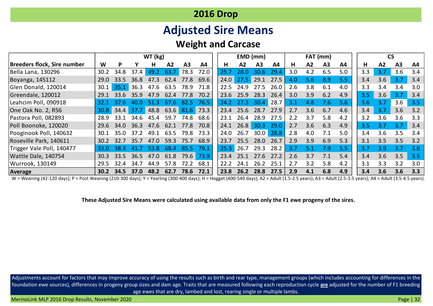# **Adjusted Sire Means**

## **Weight and Carcase**

| <b>2016 Drop</b>                             |      |             |      |                 |      |      |      |  |      |             |                |      |     |     |                |     |     |     |     |     |
|----------------------------------------------|------|-------------|------|-----------------|------|------|------|--|------|-------------|----------------|------|-----|-----|----------------|-----|-----|-----|-----|-----|
| <b>Adjusted Sire Means</b>                   |      |             |      |                 |      |      |      |  |      |             |                |      |     |     |                |     |     |     |     |     |
| <b>Weight and Carcase</b>                    |      |             |      |                 |      |      |      |  |      |             |                |      |     |     |                |     |     |     |     |     |
| WT (kg)<br><b>CS</b><br>EMD (mm)<br>FAT (mm) |      |             |      |                 |      |      |      |  |      |             |                |      |     |     |                |     |     |     |     |     |
| Breeders flock, Sire number                  | W    | P           |      | н               | A2   | A3   | A4   |  | н    | A2          | A <sub>3</sub> | A4   | н   | A2  | A <sub>3</sub> | A4  | н   | A2  | A3  | A4  |
| Bella Lana, 130296                           | 30.2 | 34.8        | 37.4 | 49.2            | 63.7 | 78.3 | 72.0 |  | 25.7 | 28.0        | 30.6           | 29.4 | 3.0 | 4.2 | 6.5            | 5.0 | 3.3 | 3.7 | 3.6 | 3.4 |
| Boyanga, 145112                              | 29.0 | 33.5        | 36.8 | 473             | 624  | 77.8 | 69.6 |  | 24.0 | $27.5$ 29.1 |                | 27.5 | 4.0 | 5.6 | 8.9            | 5.5 | 3.4 | 3.6 | 3.7 | 3.4 |
| Glen Donald, 120014                          | 30.1 | 35.1        | 36.3 | 47.6            | 63.5 | 78.9 | 71.8 |  | 22.5 | 24.9        | 27.5           | 26.0 | 2.6 | 3.8 | 6.1            | 4.0 | 3.3 | 3.4 | 3.4 | 3.0 |
| Greendale, 120012                            | 29.1 | 336         | 359  | 479             | 624  | 77.8 | 70.2 |  | 23.6 | 25.9        | 28.3           | 26.4 | 3.0 | 3.9 | 6.2            | 4.9 | 3.5 | 3.6 | 3.7 | 3.4 |
| Leahcim Poll, 090918                         | 32.1 | 37.6        | 40.0 | 51 <sup>3</sup> | 67.6 | 82.5 | 76.5 |  | 24.2 | 27.3        | 30.4           | 28.7 | 3.1 | 4.8 | 7.6            | 5.6 | 3.6 | 3.7 | 3.6 | 3.5 |
| One Oak No. 2, R56                           | 30.8 | 34.4        | -37  | 48.8            | 63.6 | 81.6 | 73.3 |  | 23.4 | 25.6        | 28.7           | 27.9 | 2.7 | 3.6 | 6.7            | 4.6 | 3.4 | 3.7 | 3.6 | 3.2 |
| Pastora Poll, 082893                         | 28.9 | 33.1        | 34 R | 45              | 59.7 | 74.8 | 68.6 |  | 23.1 | 26.4        | 28.9           | 27.5 | 2.2 | 3.7 | 5.8            | 4.2 | 3.2 | 3.6 | 3.6 | 3.3 |
| Poll Boonoke, 120020                         | 29.6 | 34 $\Omega$ | 36.3 | 47 <sub>6</sub> | 62 1 | 77.8 | 70.8 |  | 24.1 | 26.8        | 30.3           | 29.0 | 2.7 | 3.6 | 6.3            | 4.9 | 3.5 | 3.7 | 3.7 | 3.4 |
| Pooginook Poll, 140632                       | 30.1 | 35.O        | 37.2 | 49.1            | 63.5 | 79.8 | 73.3 |  | 24.0 | 26.7        | 30.0           | 28.8 | 2.8 | 4.0 | 7.1            | 5.0 | 3.4 | 3.6 | 3.5 | 3.4 |
| Roseville Park, 140611                       | 30.2 | 32.7        | 35.7 | 47.0            | 59.3 | 75.7 | 68.9 |  | 23.7 | 25.5        | 28.0           | 26.7 | 2.9 | 3.9 | 6.9            | 5.3 | 3.1 | 3.5 | 3.5 | 3.2 |
| Trigger Vale Poll, 140477                    | 33.0 | 38.3        |      | 53.8            | 68.4 | 85.5 | 79.1 |  | 25.3 | 26.7        | 29.3           | 28.2 | 3.7 | 5.1 | 7.9            | 5.5 | 3.7 | 3.9 | 3.7 | 3.6 |
| Wattle Dale, 140754                          | 30.3 | 33.5        | 36.5 | 47.0            | 61.8 | 79.6 | 73.9 |  | 23.4 | 25.1        | 27.6           | 27.2 | 2.6 | 3.7 | 7.1            | 5.4 | 3.4 | 3.6 | 3.5 | 3.5 |
| Wurrook, 130149                              | 29.5 | 32.4        | 34.7 | 44.9            | 57.8 | 72.2 | 68.1 |  | 22.2 | 24.1        | 26.2           | 25.1 | 2.7 | 3.2 | 5.8            | 4.2 | 3.1 | 3.3 | 3.2 | 3.0 |
| <b>Average</b>                               | 30.2 | 34.5        | 37.0 | 48.2            | 62.7 | 78.6 | 72.1 |  | 23.8 | 26.2        | 28.8           | 27.5 | 2.9 | 4.1 | 6.8            | 4.9 | 3.4 | 3.6 | 3.6 | 3.3 |

W = Weaning (42-120 days); P = Post Weaning (210-300 days); Y = Yearling (300-400 days); H = Hogget (400-540 days); A2 = Adult (1.5-2.5 years); A3 = Adult (2.5-3.5 years); A4 = Adult (3.5-4.5 years).

**These Adjusted Sire Means were calculated using available data from only the F1 ewe progeny of the sires.**

Adjustments account for factors that may improve accuracy of using the results such as birth and rear type, management groups (which includes accounting for differences in the foundation ewe sources), differences in progeny group sizes and dam age. Traits that are measured following each reproduction cycle **are** adjusted for the number of F1 breeding age ewes that are dry, lambed and lost, rearing single or multiple lambs.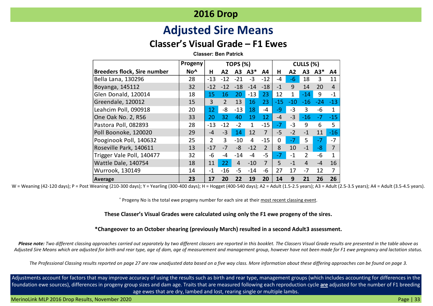# **Adjusted Sire Means**

## **Classer's Visual Grade – F1 Ewes**

**Classer: Ben Patrick**

|                                    | Progeny         | <b>TOPS (%)</b> |                |                |              |                | CULLS (%) |       |                |       |                |
|------------------------------------|-----------------|-----------------|----------------|----------------|--------------|----------------|-----------|-------|----------------|-------|----------------|
| <b>Breeders flock, Sire number</b> | No <sup>^</sup> | H               | Α2             | А3             | $A3*$        | A4             | н         | A2    | A3             | $A3*$ | A4             |
| Bella Lana, 130296                 | 28              | $-13$           | $-12$          | $-21$          | $-3$         | $-12$          | -4        | $-6$  | 18             | 3     | 11             |
| Boyanga, 145112                    | 32              | $-12$           | $-12$          | $-18$          | $-14$        | $-18$          | $-1$      | 9     | 14             | 20    | $\overline{4}$ |
| Glen Donald, 120014                | 18              | 15              | 16             | 20             | $-13$        | 23             | 12        | 1     | $-14$          | 9     | $-1$           |
| Greendale, 120012                  | 15              | 3               | $\overline{2}$ | 13             | 16           | 23             | $-15$     | $-10$ | $-16$          | $-24$ | $-13$          |
| Leahcim Poll, 090918               | 20              | 12              | -8             | $-13$          | 18           | -4             | $-9$      | $-3$  | 3              | -6    | $\mathbf{1}$   |
| One Oak No. 2, R56                 | 33              | 20              | 32             | 40             | 19           | 12             | $-4$      | $-3$  | $-16$          | $-7$  | $-15$          |
| Pastora Poll, 082893               | 28              | $-13$           | $-12$          | $-2$           | $\mathbf{1}$ | $-15$          | $-7$      | $-3$  | 9              | 6     | 5              |
| Poll Boonoke, 120020               | 29              | $-4$            | $-3$           | 14             | 12           | $\overline{7}$ | $-5$      | $-2$  | $-1$           | 11    | $-16$          |
| Pooginook Poll, 140632             | 25              | $\overline{2}$  | 3              | $-10$          | 4            | $-15$          | 0         | $-7$  | 5              | $-7$  | $-7$           |
| Roseville Park, 140611             | 13              | $-17$           | $-7$           | $-8$           | $-12$        | 2              | 8         | 10    | $-1$           | -8    | $\overline{7}$ |
| Trigger Vale Poll, 140477          | 32              | $-6$            | $-4$           | $-14$          | $-4$         | $-5$           | $-7$      | $-1$  | $\overline{2}$ | -6    | $\mathbf{1}$   |
| Wattle Dale, 140754                | 18              | 11              | 22             | $\overline{4}$ | $-10$        | $\overline{7}$ | 5         | $-1$  | $\overline{4}$ | $-4$  | 16             |
| Wurrook, 130149                    | 14              | $-1$            | $-16$          | $-5$           | $-14$        | $-6$           | 27        | 17    | $-7$           | 12    | 7              |
| Average                            | 23              | 17              | 20             | 22             | 19           | 20             | 14        | 9     | 21             | 26    | 26             |

W = Weaning (42-120 days); P = Post Weaning (210-300 days); Y = Yearling (300-400 days); H = Hogget (400-540 days); A2 = Adult (1.5-2.5 years); A3 = Adult (2.5-3.5 years); A4 = Adult (3.5-4.5 years); A4 = Adult (3.5-4.5 ye

^ Progeny No is the total ewe progeny number for each sire at their most recent classing event.

**These Classer's Visual Grades were calculated using only the F1 ewe progeny of the sires.** 

#### **\*Changeover to an October shearing (previously March) resulted in a second Adult3 assessment.**

*Please note: Two different classing approaches carried out separately by two different classers are reported in this booklet. The Classers Visual Grade results are presented in the table above as Adjusted Sire Means which are adjusted for birth and rear type, age of dam, age of measurement and management group, however have not been made for F1 ewe pregnancy and lactation status.*

*The Professional Classing results reported on page 27 are raw unadjusted data based on a five way class. More information about these differing approaches can be found on page 3.*

Adjustments account for factors that may improve accuracy of using the results such as birth and rear type, management groups (which includes accounting for differences in the foundation ewe sources), differences in progeny group sizes and dam age. Traits that are measured following each reproduction cycle **are** adjusted for the number of F1 breeding age ewes that are dry, lambed and lost, rearing single or multiple lambs.

MerinoLink MLP 2016 Drop Results, November 2020 Page | 33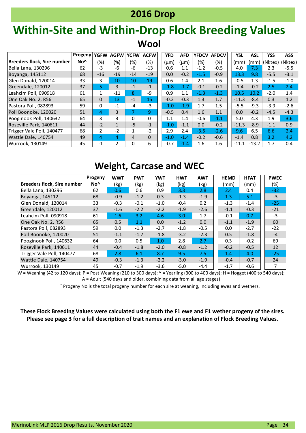# **Within-Site and Within-Drop Flock Breeding Values Wool**

|                             | <b>Progeny</b>  | <b>YGFW</b>   | <b>AGFW</b>    | <b>YCFW</b>     | <b>ACFW</b> | <b>YFD</b> | <b>AFD</b> | <b>YFDCV</b> | <b>AFDCV</b>     | <b>YSL</b> | <b>ASL</b> | <b>YSS</b> | <b>ASS</b> |
|-----------------------------|-----------------|---------------|----------------|-----------------|-------------|------------|------------|--------------|------------------|------------|------------|------------|------------|
| Breeders flock, Sire number | No <sup>^</sup> | (%)           | (%)            | (%)             | (%)         | $(\mu m)$  | (µm)       | (%)          | (%)              | (mm)       | (mm)       | l(Nktex)   | (Nktex)    |
| Bella Lana, 130296          | 62              | $-3$          | $-6$           | -6              | $-13$       | 0.6        | 1.1        | $-1.2$       | $-0.5$           | 4.0        | 7.3        | 2.3        | $-5.5$     |
| Boyanga, 145112             | 68              | $-16$         | $-19$          | $-14$           | $-19$       | 0.0        | $-0.2$     | $-1.5$       | $-0.9$           | 13.3       | 9.8        | $-5.5$     | $-3.1$     |
| Glen Donald, 120014         | 33              | 3             | 10             | 10 <sup>1</sup> | 19          | 0.6        | 1.4        | 2.1          | 1.6              | $-0.5$     | 1.3        | $-1.5$     | $-1.0$     |
| Greendale, 120012           | 37              | 5.            | 3              | $-1$            | $-1$        | $-1.8$     | $-1.7$     | $-0.1$       | $-0.2$           | $-1.4$     | $-0.2$     | 2.5        | 2.4        |
| Leahcim Poll, 090918        | 61              |               | $-11$          | 8               | -9          | 0.9        | 1.1        | $-1.3$       | $-1.3$           | 10.5       | 10.2       | $-2.0$     | 1.4        |
| One Oak No. 2, R56          | 65              | 0             | 13             | $-1$            | 15          | $-0.2$     | $-0.3$     | 1.3          | 1.7              | $-11.3$    | $-8.4$     | 0.3        | 1.2        |
| Pastora Poll, 082893        | 59              | 0             | $-1$           | -4              | $-3$        | $-1.0$     | $-1.9$     | 1.7          | 1.5              | $-5.5$     | $-9.3$     | $-3.9$     | $-2.6$     |
| Poll Boonoke, 120020        | 51              | 4             | 3              | 7               | 9           | $-0.5$     | 0.4        | 1.6          | 1.1              | 0.0        | $-0.2$     | $-4.5$     | $-4.3$     |
| Pooginook Poll, 140632      | 64              | 3             | 3              | $\Omega$        | $\Omega$    | 1.1        | 1.4        | $-0.6$       | $-1.1$           | 5.0        | 4.3        | 1.9        | 3.6        |
| Roseville Park. 140611      | 44              | $-2$          | $\mathbf{1}$   | $-5$            | $-1$        | $-1.0$     | $-1.1$     | 0.0          | $-0.2$           | $-11.3$    | $-8.9$     | $-1.1$     | 0.9        |
| Trigger Vale Poll, 140477   | 68              | $\mathcal{P}$ | $-2$           | $\mathbf{1}$    | $-2$        | 2.9        | 2.4        | $-3.5$       | $-2.6$           | 9.6        | 6.5        | 6.6        | 2.4        |
| Wattle Dale, 140754         | 49              | 4             | 4              | 4               | $\Omega$    | $-1.0$     | $-1.4$     | $-0.2$       | $-0.6$           | $-1.4$     | 0.8        | 3.2        | 4.2        |
| Wurrook. 130149             | 45              | $-1$          | $\overline{2}$ | 0               | 6           | $-0.7$     | $-1.4$     | $1.6\,$      | $1.6\phantom{0}$ | $-11.1$    | $-13.2$    | 1.7        | 0.4        |

## **Weight, Carcase and WEC**

|                             | Progeny         | <b>WWT</b> | <b>PWT</b> | <b>YWT</b> | <b>HWT</b> | <b>AWT</b> | <b>HEMD</b> | <b>HFAT</b> | <b>PWEC</b>    |
|-----------------------------|-----------------|------------|------------|------------|------------|------------|-------------|-------------|----------------|
| Breeders flock, Sire number | No <sup>^</sup> | (kg)       | (kg)       | (kg)       | (kg)       | (kg)       | (mm)        | (mm)        | $(\%)$         |
| Bella Lana, 130296          | 62              | 0.6        | 0.6        | 0.9        | 3.3        | 2.8        | 2.4         | 0.4         | $-32$          |
| Boyanga, 145112             | 68              | $-0.9$     | $-1.2$     | 0.3        | $-1.3$     | $-1.9$     | 1.3         | 5.1         | $-3$           |
| lGlen Donald. 120014        | 33              | $-0.3$     | $-0.1$     | $-1.0$     | $-0.4$     | 0.2        | $-1.3$      | $-1.4$      | $-25$          |
| Greendale, 120012           | 37              | $-1.6$     | $-2.2$     | $-2.2$     | $-1.9$     | $-2.6$     | $-1.1$      | $-0.3$      | $-21$          |
| Leahcim Poll. 090918        | 61              | 1.6        | 3.2        | 4.6        | 3.0        | 1.7        | $-0.1$      | 0.7         | $-3$           |
| One Oak No. 2, R56          | 65              | 0.5        | 1.1        | 0.0        | $-1.2$     | 0.0        | $-1.1$      | $-1.9$      | 60             |
| Pastora Poll, 082893        | 59              | 0.0        | $-1.3$     | $-2.7$     | $-1.8$     | $-0.5$     | 0.0         | $-2.7$      | $-22$          |
| Poll Boonoke, 120020        | 51              | $-1.1$     | $-1.7$     | $-1.8$     | $-3.2$     | $-2.3$     | 0.5         | $-1.8$      | $-4$           |
| Pooginook Poll, 140632      | 64              | 0.0        | 0.5        | 1.0        | 2.8        | 2.7        | 0.3         | $-0.2$      | 69             |
| Roseville Park, 140611      | 44              | $-0.4$     | $-1.8$     | $-2.0$     | $-0.8$     | $-1.2$     | $-0.2$      | $-0.5$      | 12             |
| Trigger Vale Poll, 140477   | 68              | 2.8        | 6.1        | 8.7        | 9.5        | 7.5        | 1.4         | 4.0         | $-25$          |
| Wattle Dale, 140754         | 49              | $-0.3$     | $-1.3$     | $-2.2$     | $-3.0$     | $-1.9$     | $-0.4$      | $-0.7$      | 24             |
| Wurrook, 130149             | 45              | $-0.7$     | $-1.9$     | $-3.6$     | $-5.0$     | $-4.4$     | $-1.7$      | $-0.6$      | $\overline{7}$ |

W = Weaning (42 to 120 days); P = Post Weaning (210 to 300 days); Y = Yearling (300 to 400 days); H = Hogget (400 to 540 days); A = Adult (540 days and older, combining data from all age stages)

^ Progeny No is the total progeny number for each sire at weaning, including ewes and wethers.

**These Flock Breeding Values were calculated using both the F1 ewe and F1 wether progeny of the sires. Please see page 3 for a full description of trait names and an explanation of Flock Breeding Values.**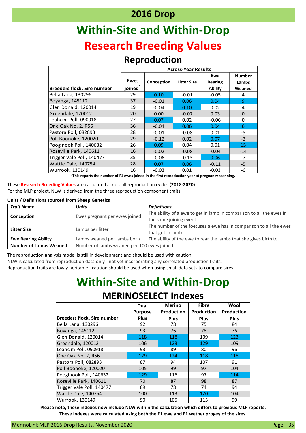# **Within-Site and Within-Drop Research Breeding Values**

### **Reproduction**

|                             | <b>Across-Year Results</b> |            |                    |                       |                        |  |  |  |  |
|-----------------------------|----------------------------|------------|--------------------|-----------------------|------------------------|--|--|--|--|
|                             | <b>Ewes</b>                | Conception | <b>Litter Size</b> | Ewe<br><b>Rearing</b> | <b>Number</b><br>Lambs |  |  |  |  |
| Breeders flock, Sire number | joined <sup>1</sup>        |            |                    | <b>Ability</b>        | Weaned                 |  |  |  |  |
| Bella Lana, 130296          | 29                         | 0.10       | $-0.01$            | $-0.05$               | 4                      |  |  |  |  |
| Boyanga, 145112             | 37                         | $-0.01$    | 0.06               | 0.04                  | 9                      |  |  |  |  |
| Glen Donald, 120014         | 19                         | $-0.04$    | 0.10               | 0.02                  | 4                      |  |  |  |  |
| Greendale, 120012           | 20                         | 0.00       | $-0.07$            | 0.03                  | $\Omega$               |  |  |  |  |
| Leahcim Poll, 090918        | 27                         | 0.07       | 0.02               | $-0.06$               | 0                      |  |  |  |  |
| One Oak No. 2, R56          | 36                         | $-0.04$    | 0.06               | 0.04                  | 6                      |  |  |  |  |
| Pastora Poll, 082893        | 28                         | $-0.01$    | $-0.08$            | 0.01                  | -5                     |  |  |  |  |
| Poll Boonoke, 120020        | 29                         | $-0.12$    | 0.02               | 0.07                  | $-3$                   |  |  |  |  |
| Pooginook Poll, 140632      | 26                         | 0.09       | 0.04               | 0.01                  | 15                     |  |  |  |  |
| Roseville Park, 140611      | 16                         | $-0.02$    | $-0.08$            | $-0.04$               | $-14$                  |  |  |  |  |
| Trigger Vale Poll, 140477   | 35                         | $-0.06$    | $-0.13$            | 0.06                  | $-7$                   |  |  |  |  |
| Wattle Dale, 140754         | 28                         | 0.07       | 0.06               | $-0.11$               | $-5$                   |  |  |  |  |
| Wurrook, 130149             | 16                         | $-0.03$    | 0.01               | $-0.03$               | -6                     |  |  |  |  |

**<sup>1</sup>This reports the number of F1 ewes joined in the first reproduction year at pregnancy scanning.**

These **Research Breeding Values** are calculated across all reproduction cycles (**2018-2020**). For the MLP project, NLW is derived from the three reproduction component traits.

#### **Units / Definitions sourced from Sheep Genetics**

| <b>Trait Name</b>             | <b>Units</b>                               | <b>Definitions</b>                                                   |
|-------------------------------|--------------------------------------------|----------------------------------------------------------------------|
| Conception                    | Ewes pregnant per ewes joined              | The ability of a ewe to get in lamb in comparison to all the ewes in |
|                               |                                            | the same joining event.                                              |
| <b>Litter Size</b>            | Lambs per litter                           | The number of the foetuses a ewe has in comparison to all the ewes   |
|                               |                                            | that got in lamb.                                                    |
| <b>Ewe Rearing Ability</b>    | Lambs weaned per lambs born                | The ability of the ewe to rear the lambs that she gives birth to.    |
| <b>Number of Lambs Weaned</b> | Number of lambs weaned per 100 ewes joined |                                                                      |

The reproduction analysis model is still in development and should be used with caution.

NLW is calculated from reproduction data only - not yet incorporating any correlated production traits.

Reproduction traits are lowly heritable - caution should be used when using small data sets to compare sires.

# **Within-Site and Within-Drop**

### **MERINOSELECT Indexes**

|                                    | Dual<br><b>Purpose</b> | <b>Merino</b><br><b>Production</b> | <b>Fibre</b><br>Production | Wool<br><b>Production</b> |
|------------------------------------|------------------------|------------------------------------|----------------------------|---------------------------|
| <b>Breeders flock, Sire number</b> | <b>Plus</b>            | Plus                               | Plus                       | <b>Plus</b>               |
| Bella Lana, 130296                 | 92                     | 78                                 | 75                         | 84                        |
| Boyanga, 145112                    | 93                     | 76                                 | 78                         | 76                        |
| Glen Donald, 120014                | 118                    | 118                                | 109                        | 123                       |
| Greendale, 120012                  | 106                    | 123                                | 129                        | 109                       |
| Leahcim Poll, 090918               | 93                     | 89                                 | 80                         | 96                        |
| One Oak No. 2, R56                 | 129                    | 124                                | 118                        | 118                       |
| Pastora Poll, 082893               | 87                     | 94                                 | 107                        | 91                        |
| Poll Boonoke, 120020               | 105                    | 99                                 | 97                         | 104                       |
| Pooginook Poll, 140632             | 129                    | 116                                | 97                         | 114                       |
| Roseville Park, 140611             | 70                     | 87                                 | 98                         | 87                        |
| Trigger Vale Poll, 140477          | 89                     | 78                                 | 74                         | 94                        |
| Wattle Dale, 140754                | 100                    | 113                                | 120                        | 104                       |
| Wurrook, 130149                    | 90                     | 105                                | 115                        | 99                        |

**Please note, these indexes now include NLW within the calculation which differs to previous MLP reports. These Indexes were calculated using both the F1 ewe and F1 wether progey of the sires.**